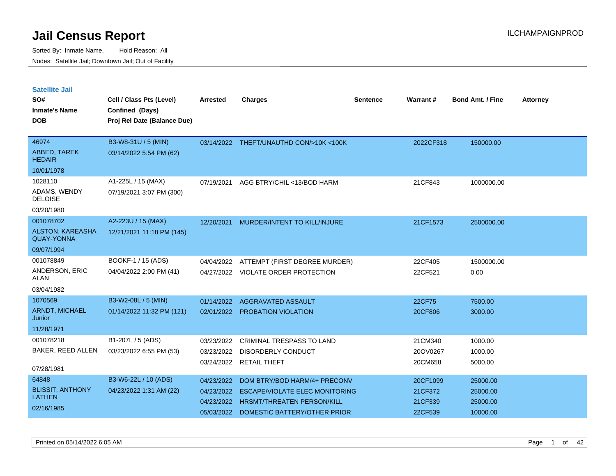Sorted By: Inmate Name, Hold Reason: All Nodes: Satellite Jail; Downtown Jail; Out of Facility

| <b>Satellite Jail</b><br>SO#<br><b>Inmate's Name</b><br><b>DOB</b> | Cell / Class Pts (Level)<br>Confined (Days)<br>Proj Rel Date (Balance Due) | <b>Arrested</b>          | <b>Charges</b>                                                                                                 | <b>Sentence</b> | Warrant#                       | <b>Bond Amt. / Fine</b>          | <b>Attorney</b> |
|--------------------------------------------------------------------|----------------------------------------------------------------------------|--------------------------|----------------------------------------------------------------------------------------------------------------|-----------------|--------------------------------|----------------------------------|-----------------|
| 46974<br>ABBED, TAREK<br><b>HEDAIR</b>                             | B3-W8-31U / 5 (MIN)<br>03/14/2022 5:54 PM (62)                             |                          | 03/14/2022 THEFT/UNAUTHD CON/>10K <100K                                                                        |                 | 2022CF318                      | 150000.00                        |                 |
| 10/01/1978                                                         |                                                                            |                          |                                                                                                                |                 |                                |                                  |                 |
| 1028110<br>ADAMS, WENDY<br><b>DELOISE</b>                          | A1-225L / 15 (MAX)<br>07/19/2021 3:07 PM (300)                             | 07/19/2021               | AGG BTRY/CHIL <13/BOD HARM                                                                                     |                 | 21CF843                        | 1000000.00                       |                 |
| 03/20/1980                                                         |                                                                            |                          |                                                                                                                |                 |                                |                                  |                 |
| 001078702<br><b>ALSTON, KAREASHA</b><br><b>QUAY-YONNA</b>          | A2-223U / 15 (MAX)<br>12/21/2021 11:18 PM (145)                            | 12/20/2021               | MURDER/INTENT TO KILL/INJURE                                                                                   |                 | 21CF1573                       | 2500000.00                       |                 |
| 09/07/1994                                                         |                                                                            |                          |                                                                                                                |                 |                                |                                  |                 |
| 001078849<br>ANDERSON, ERIC<br><b>ALAN</b><br>03/04/1982           | BOOKF-1 / 15 (ADS)<br>04/04/2022 2:00 PM (41)                              | 04/04/2022               | ATTEMPT (FIRST DEGREE MURDER)<br>04/27/2022 VIOLATE ORDER PROTECTION                                           |                 | 22CF405<br>22CF521             | 1500000.00<br>0.00               |                 |
| 1070569<br><b>ARNDT, MICHAEL</b><br>Junior<br>11/28/1971           | B3-W2-08L / 5 (MIN)<br>01/14/2022 11:32 PM (121)                           | 01/14/2022<br>02/01/2022 | AGGRAVATED ASSAULT<br>PROBATION VIOLATION                                                                      |                 | 22CF75<br>20CF806              | 7500.00<br>3000.00               |                 |
| 001078218<br>BAKER, REED ALLEN<br>07/28/1981                       | B1-207L / 5 (ADS)<br>03/23/2022 6:55 PM (53)                               | 03/23/2022<br>03/23/2022 | CRIMINAL TRESPASS TO LAND<br><b>DISORDERLY CONDUCT</b><br>03/24/2022 RETAIL THEFT                              |                 | 21CM340<br>20OV0267<br>20CM658 | 1000.00<br>1000.00<br>5000.00    |                 |
| 64848<br><b>BLISSIT, ANTHONY</b><br><b>LATHEN</b>                  | B3-W6-22L / 10 (ADS)<br>04/23/2022 1:31 AM (22)                            | 04/23/2022<br>04/23/2022 | DOM BTRY/BOD HARM/4+ PRECONV<br><b>ESCAPE/VIOLATE ELEC MONITORING</b><br>04/23/2022 HRSMT/THREATEN PERSON/KILL |                 | 20CF1099<br>21CF372<br>21CF339 | 25000.00<br>25000.00<br>25000.00 |                 |

05/03/2022 DOMESTIC BATTERY/OTHER PRIOR 22CF539 10000.00

02/16/1985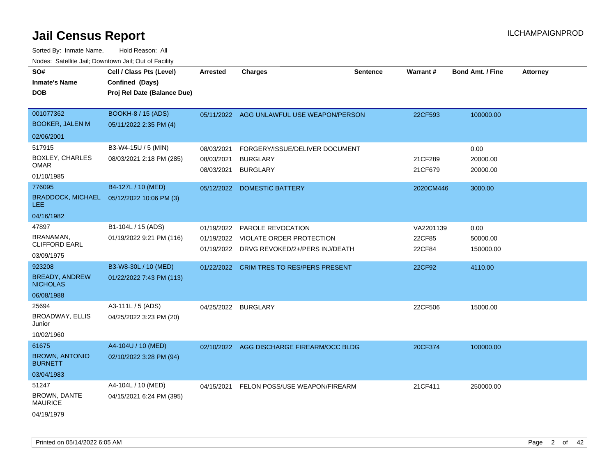| SO#<br><b>Inmate's Name</b><br><b>DOB</b>                                 | Cell / Class Pts (Level)<br>Confined (Days)<br>Proj Rel Date (Balance Due) | <b>Arrested</b>                        | <b>Charges</b>                                                                                | Sentence | Warrant#                      | <b>Bond Amt. / Fine</b>       | <b>Attorney</b> |
|---------------------------------------------------------------------------|----------------------------------------------------------------------------|----------------------------------------|-----------------------------------------------------------------------------------------------|----------|-------------------------------|-------------------------------|-----------------|
| 001077362<br><b>BOOKER, JALEN M</b>                                       | <b>BOOKH-8 / 15 (ADS)</b><br>05/11/2022 2:35 PM (4)                        |                                        | 05/11/2022 AGG UNLAWFUL USE WEAPON/PERSON                                                     |          | 22CF593                       | 100000.00                     |                 |
| 02/06/2001                                                                |                                                                            |                                        |                                                                                               |          |                               |                               |                 |
| 517915<br><b>BOXLEY, CHARLES</b><br><b>OMAR</b><br>01/10/1985             | B3-W4-15U / 5 (MIN)<br>08/03/2021 2:18 PM (285)                            | 08/03/2021<br>08/03/2021<br>08/03/2021 | FORGERY/ISSUE/DELIVER DOCUMENT<br><b>BURGLARY</b><br><b>BURGLARY</b>                          |          | 21CF289<br>21CF679            | 0.00<br>20000.00<br>20000.00  |                 |
| 776095<br>BRADDOCK, MICHAEL 05/12/2022 10:06 PM (3)<br>LEE.<br>04/16/1982 | B4-127L / 10 (MED)                                                         | 05/12/2022                             | <b>DOMESTIC BATTERY</b>                                                                       |          | 2020CM446                     | 3000.00                       |                 |
| 47897<br>BRANAMAN,<br><b>CLIFFORD EARL</b><br>03/09/1975                  | B1-104L / 15 (ADS)<br>01/19/2022 9:21 PM (116)                             | 01/19/2022<br>01/19/2022<br>01/19/2022 | <b>PAROLE REVOCATION</b><br><b>VIOLATE ORDER PROTECTION</b><br>DRVG REVOKED/2+/PERS INJ/DEATH |          | VA2201139<br>22CF85<br>22CF84 | 0.00<br>50000.00<br>150000.00 |                 |
| 923208<br><b>BREADY, ANDREW</b><br><b>NICHOLAS</b><br>06/08/1988          | B3-W8-30L / 10 (MED)<br>01/22/2022 7:43 PM (113)                           | 01/22/2022                             | <b>CRIM TRES TO RES/PERS PRESENT</b>                                                          |          | 22CF92                        | 4110.00                       |                 |
| 25694<br><b>BROADWAY, ELLIS</b><br>Junior<br>10/02/1960                   | A3-111L / 5 (ADS)<br>04/25/2022 3:23 PM (20)                               | 04/25/2022                             | <b>BURGLARY</b>                                                                               |          | 22CF506                       | 15000.00                      |                 |
| 61675<br><b>BROWN, ANTONIO</b><br><b>BURNETT</b><br>03/04/1983            | A4-104U / 10 (MED)<br>02/10/2022 3:28 PM (94)                              |                                        | 02/10/2022 AGG DISCHARGE FIREARM/OCC BLDG                                                     |          | 20CF374                       | 100000.00                     |                 |
| 51247<br><b>BROWN, DANTE</b><br><b>MAURICE</b><br>04/19/1979              | A4-104L / 10 (MED)<br>04/15/2021 6:24 PM (395)                             |                                        | 04/15/2021 FELON POSS/USE WEAPON/FIREARM                                                      |          | 21CF411                       | 250000.00                     |                 |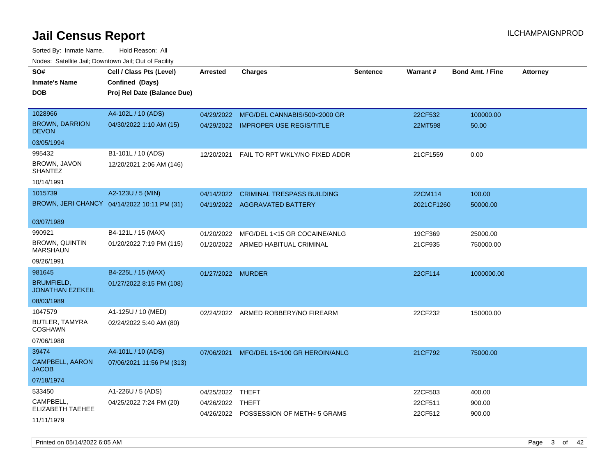Sorted By: Inmate Name, Hold Reason: All Nodes: Satellite Jail; Downtown Jail; Out of Facility

| SO#                                          | Cell / Class Pts (Level)                    | <b>Arrested</b>   | <b>Charges</b>                         | <b>Sentence</b> | Warrant#   | <b>Bond Amt. / Fine</b> | <b>Attorney</b> |
|----------------------------------------------|---------------------------------------------|-------------------|----------------------------------------|-----------------|------------|-------------------------|-----------------|
| Inmate's Name                                | Confined (Days)                             |                   |                                        |                 |            |                         |                 |
| <b>DOB</b>                                   | Proj Rel Date (Balance Due)                 |                   |                                        |                 |            |                         |                 |
|                                              |                                             |                   |                                        |                 |            |                         |                 |
| 1028966                                      | A4-102L / 10 (ADS)                          | 04/29/2022        | MFG/DEL CANNABIS/500<2000 GR           |                 | 22CF532    | 100000.00               |                 |
| <b>BROWN, DARRION</b><br><b>DEVON</b>        | 04/30/2022 1:10 AM (15)                     |                   | 04/29/2022 IMPROPER USE REGIS/TITLE    |                 | 22MT598    | 50.00                   |                 |
| 03/05/1994                                   |                                             |                   |                                        |                 |            |                         |                 |
| 995432                                       | B1-101L / 10 (ADS)                          | 12/20/2021        | FAIL TO RPT WKLY/NO FIXED ADDR         |                 | 21CF1559   | 0.00                    |                 |
| BROWN, JAVON<br><b>SHANTEZ</b>               | 12/20/2021 2:06 AM (146)                    |                   |                                        |                 |            |                         |                 |
| 10/14/1991                                   |                                             |                   |                                        |                 |            |                         |                 |
| 1015739                                      | A2-123U / 5 (MIN)                           | 04/14/2022        | <b>CRIMINAL TRESPASS BUILDING</b>      |                 | 22CM114    | 100.00                  |                 |
|                                              | BROWN, JERI CHANCY 04/14/2022 10:11 PM (31) |                   | 04/19/2022 AGGRAVATED BATTERY          |                 | 2021CF1260 | 50000.00                |                 |
|                                              |                                             |                   |                                        |                 |            |                         |                 |
| 03/07/1989                                   |                                             |                   |                                        |                 |            |                         |                 |
| 990921                                       | B4-121L / 15 (MAX)                          | 01/20/2022        | MFG/DEL 1<15 GR COCAINE/ANLG           |                 | 19CF369    | 25000.00                |                 |
| BROWN, QUINTIN<br><b>MARSHAUN</b>            | 01/20/2022 7:19 PM (115)                    |                   | 01/20/2022 ARMED HABITUAL CRIMINAL     |                 | 21CF935    | 750000.00               |                 |
| 09/26/1991                                   |                                             |                   |                                        |                 |            |                         |                 |
| 981645                                       | B4-225L / 15 (MAX)                          | 01/27/2022 MURDER |                                        |                 | 22CF114    | 1000000.00              |                 |
| <b>BRUMFIELD,</b><br><b>JONATHAN EZEKEIL</b> | 01/27/2022 8:15 PM (108)                    |                   |                                        |                 |            |                         |                 |
| 08/03/1989                                   |                                             |                   |                                        |                 |            |                         |                 |
| 1047579                                      | A1-125U / 10 (MED)                          |                   | 02/24/2022 ARMED ROBBERY/NO FIREARM    |                 | 22CF232    | 150000.00               |                 |
| BUTLER, TAMYRA<br>COSHAWN                    | 02/24/2022 5:40 AM (80)                     |                   |                                        |                 |            |                         |                 |
| 07/06/1988                                   |                                             |                   |                                        |                 |            |                         |                 |
| 39474                                        | A4-101L / 10 (ADS)                          | 07/06/2021        | MFG/DEL 15<100 GR HEROIN/ANLG          |                 | 21CF792    | 75000.00                |                 |
| <b>CAMPBELL, AARON</b><br><b>JACOB</b>       | 07/06/2021 11:56 PM (313)                   |                   |                                        |                 |            |                         |                 |
| 07/18/1974                                   |                                             |                   |                                        |                 |            |                         |                 |
| 533450                                       | A1-226U / 5 (ADS)                           | 04/25/2022        | THEFT                                  |                 | 22CF503    | 400.00                  |                 |
| CAMPBELL,                                    | 04/25/2022 7:24 PM (20)                     | 04/26/2022 THEFT  |                                        |                 | 22CF511    | 900.00                  |                 |
| ELIZABETH TAEHEE                             |                                             |                   | 04/26/2022 POSSESSION OF METH< 5 GRAMS |                 | 22CF512    | 900.00                  |                 |
| 11/11/1979                                   |                                             |                   |                                        |                 |            |                         |                 |

Printed on 05/14/2022 6:05 AM Page 3 of 42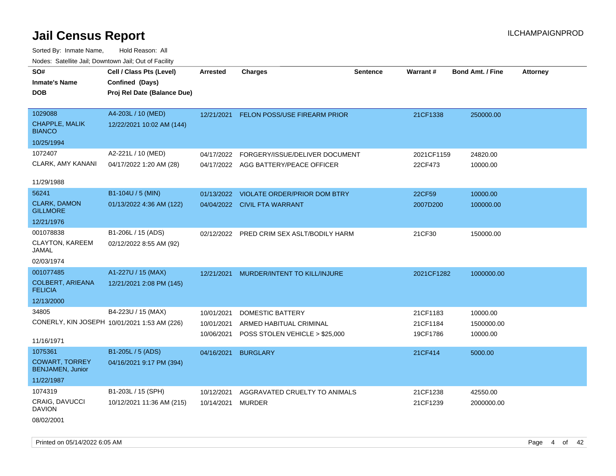Sorted By: Inmate Name, Hold Reason: All Nodes: Satellite Jail; Downtown Jail; Out of Facility

| SO#                                              | Cell / Class Pts (Level)                     | <b>Arrested</b> | <b>Charges</b>                       | <b>Sentence</b> | Warrant#   | <b>Bond Amt. / Fine</b> | <b>Attorney</b> |
|--------------------------------------------------|----------------------------------------------|-----------------|--------------------------------------|-----------------|------------|-------------------------|-----------------|
| <b>Inmate's Name</b>                             | Confined (Days)                              |                 |                                      |                 |            |                         |                 |
| <b>DOB</b>                                       | Proj Rel Date (Balance Due)                  |                 |                                      |                 |            |                         |                 |
|                                                  |                                              |                 |                                      |                 |            |                         |                 |
| 1029088                                          | A4-203L / 10 (MED)                           | 12/21/2021      | FELON POSS/USE FIREARM PRIOR         |                 | 21CF1338   | 250000.00               |                 |
| <b>CHAPPLE, MALIK</b><br><b>BIANCO</b>           | 12/22/2021 10:02 AM (144)                    |                 |                                      |                 |            |                         |                 |
| 10/25/1994                                       |                                              |                 |                                      |                 |            |                         |                 |
| 1072407                                          | A2-221L / 10 (MED)                           | 04/17/2022      | FORGERY/ISSUE/DELIVER DOCUMENT       |                 | 2021CF1159 | 24820.00                |                 |
| <b>CLARK, AMY KANANI</b>                         | 04/17/2022 1:20 AM (28)                      |                 | 04/17/2022 AGG BATTERY/PEACE OFFICER |                 | 22CF473    | 10000.00                |                 |
|                                                  |                                              |                 |                                      |                 |            |                         |                 |
| 11/29/1988                                       |                                              |                 |                                      |                 |            |                         |                 |
| 56241                                            | B1-104U / 5 (MIN)                            | 01/13/2022      | <b>VIOLATE ORDER/PRIOR DOM BTRY</b>  |                 | 22CF59     | 10000.00                |                 |
| <b>CLARK, DAMON</b><br><b>GILLMORE</b>           | 01/13/2022 4:36 AM (122)                     |                 | 04/04/2022 CIVIL FTA WARRANT         |                 | 2007D200   | 100000.00               |                 |
| 12/21/1976                                       |                                              |                 |                                      |                 |            |                         |                 |
| 001078838                                        | B1-206L / 15 (ADS)                           | 02/12/2022      | PRED CRIM SEX ASLT/BODILY HARM       |                 | 21CF30     | 150000.00               |                 |
| CLAYTON, KAREEM<br>JAMAL                         | 02/12/2022 8:55 AM (92)                      |                 |                                      |                 |            |                         |                 |
| 02/03/1974                                       |                                              |                 |                                      |                 |            |                         |                 |
| 001077485                                        | A1-227U / 15 (MAX)                           | 12/21/2021      | MURDER/INTENT TO KILL/INJURE         |                 | 2021CF1282 | 1000000.00              |                 |
| <b>COLBERT, ARIEANA</b><br><b>FELICIA</b>        | 12/21/2021 2:08 PM (145)                     |                 |                                      |                 |            |                         |                 |
| 12/13/2000                                       |                                              |                 |                                      |                 |            |                         |                 |
| 34805                                            | B4-223U / 15 (MAX)                           | 10/01/2021      | DOMESTIC BATTERY                     |                 | 21CF1183   | 10000.00                |                 |
|                                                  | CONERLY, KIN JOSEPH 10/01/2021 1:53 AM (226) | 10/01/2021      | ARMED HABITUAL CRIMINAL              |                 | 21CF1184   | 1500000.00              |                 |
|                                                  |                                              | 10/06/2021      | POSS STOLEN VEHICLE > \$25,000       |                 | 19CF1786   | 10000.00                |                 |
| 11/16/1971                                       |                                              |                 |                                      |                 |            |                         |                 |
| 1075361                                          | B1-205L / 5 (ADS)                            | 04/16/2021      | <b>BURGLARY</b>                      |                 | 21CF414    | 5000.00                 |                 |
| <b>COWART, TORREY</b><br><b>BENJAMEN, Junior</b> | 04/16/2021 9:17 PM (394)                     |                 |                                      |                 |            |                         |                 |
| 11/22/1987                                       |                                              |                 |                                      |                 |            |                         |                 |
| 1074319                                          | B1-203L / 15 (SPH)                           | 10/12/2021      | AGGRAVATED CRUELTY TO ANIMALS        |                 | 21CF1238   | 42550.00                |                 |
| CRAIG, DAVUCCI<br><b>DAVION</b>                  | 10/12/2021 11:36 AM (215)                    | 10/14/2021      | <b>MURDER</b>                        |                 | 21CF1239   | 2000000.00              |                 |

08/02/2001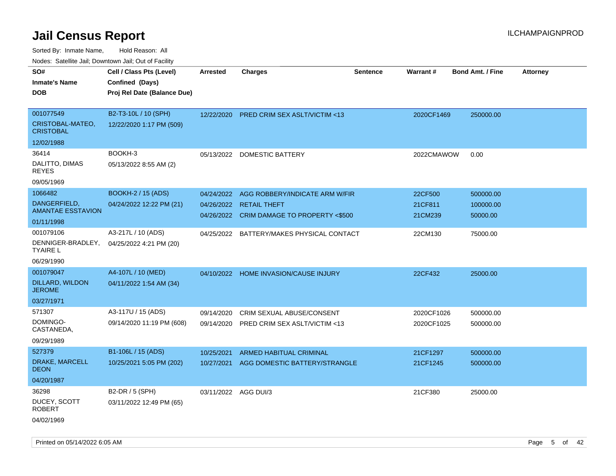Sorted By: Inmate Name, Hold Reason: All

| Nodes: Satellite Jail; Downtown Jail; Out of Facility |                             |                 |                                           |          |            |                         |                 |
|-------------------------------------------------------|-----------------------------|-----------------|-------------------------------------------|----------|------------|-------------------------|-----------------|
| SO#                                                   | Cell / Class Pts (Level)    | <b>Arrested</b> | <b>Charges</b>                            | Sentence | Warrant#   | <b>Bond Amt. / Fine</b> | <b>Attorney</b> |
| <b>Inmate's Name</b>                                  | Confined (Days)             |                 |                                           |          |            |                         |                 |
| <b>DOB</b>                                            | Proj Rel Date (Balance Due) |                 |                                           |          |            |                         |                 |
|                                                       |                             |                 |                                           |          |            |                         |                 |
| 001077549                                             | B2-T3-10L / 10 (SPH)        |                 | 12/22/2020 PRED CRIM SEX ASLT/VICTIM <13  |          | 2020CF1469 | 250000.00               |                 |
| CRISTOBAL-MATEO,<br><b>CRISTOBAL</b>                  | 12/22/2020 1:17 PM (509)    |                 |                                           |          |            |                         |                 |
| 12/02/1988                                            |                             |                 |                                           |          |            |                         |                 |
| 36414                                                 | BOOKH-3                     | 05/13/2022      | DOMESTIC BATTERY                          |          | 2022CMAWOW | 0.00                    |                 |
| DALITTO, DIMAS<br><b>REYES</b>                        | 05/13/2022 8:55 AM (2)      |                 |                                           |          |            |                         |                 |
| 09/05/1969                                            |                             |                 |                                           |          |            |                         |                 |
| 1066482                                               | <b>BOOKH-2 / 15 (ADS)</b>   | 04/24/2022      | AGG ROBBERY/INDICATE ARM W/FIR            |          | 22CF500    | 500000.00               |                 |
| DANGERFIELD,<br><b>AMANTAE ESSTAVION</b>              | 04/24/2022 12:22 PM (21)    |                 | 04/26/2022 RETAIL THEFT                   |          | 21CF811    | 100000.00               |                 |
| 01/11/1998                                            |                             |                 | 04/26/2022 CRIM DAMAGE TO PROPERTY <\$500 |          | 21CM239    | 50000.00                |                 |
| 001079106                                             | A3-217L / 10 (ADS)          | 04/25/2022      | BATTERY/MAKES PHYSICAL CONTACT            |          | 22CM130    | 75000.00                |                 |
| DENNIGER-BRADLEY,<br><b>TYAIRE L</b>                  | 04/25/2022 4:21 PM (20)     |                 |                                           |          |            |                         |                 |
| 06/29/1990                                            |                             |                 |                                           |          |            |                         |                 |
| 001079047                                             | A4-107L / 10 (MED)          |                 | 04/10/2022 HOME INVASION/CAUSE INJURY     |          | 22CF432    | 25000.00                |                 |
| DILLARD, WILDON<br><b>JEROME</b>                      | 04/11/2022 1:54 AM (34)     |                 |                                           |          |            |                         |                 |
| 03/27/1971                                            |                             |                 |                                           |          |            |                         |                 |
| 571307                                                | A3-117U / 15 (ADS)          | 09/14/2020      | CRIM SEXUAL ABUSE/CONSENT                 |          | 2020CF1026 | 500000.00               |                 |
| DOMINGO-<br>CASTANEDA,                                | 09/14/2020 11:19 PM (608)   | 09/14/2020      | PRED CRIM SEX ASLT/VICTIM <13             |          | 2020CF1025 | 500000.00               |                 |
| 09/29/1989                                            |                             |                 |                                           |          |            |                         |                 |
| 527379                                                | B1-106L / 15 (ADS)          | 10/25/2021      | ARMED HABITUAL CRIMINAL                   |          | 21CF1297   | 500000.00               |                 |
| DRAKE, MARCELL<br><b>DEON</b>                         | 10/25/2021 5:05 PM (202)    | 10/27/2021      | AGG DOMESTIC BATTERY/STRANGLE             |          | 21CF1245   | 500000.00               |                 |
| 04/20/1987                                            |                             |                 |                                           |          |            |                         |                 |
| 36298                                                 | B2-DR / 5 (SPH)             | 03/11/2022      | AGG DUI/3                                 |          | 21CF380    | 25000.00                |                 |
| DUCEY, SCOTT<br><b>ROBERT</b>                         | 03/11/2022 12:49 PM (65)    |                 |                                           |          |            |                         |                 |
| 04/02/1969                                            |                             |                 |                                           |          |            |                         |                 |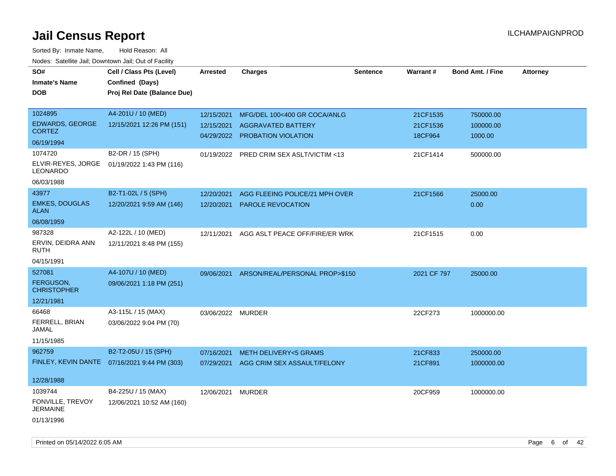| rouce. Calcinic Jan, Downtown Jan, Out or Facility |                                              |                   |                                          |                 |                 |                         |                 |
|----------------------------------------------------|----------------------------------------------|-------------------|------------------------------------------|-----------------|-----------------|-------------------------|-----------------|
| SO#                                                | Cell / Class Pts (Level)                     | <b>Arrested</b>   | <b>Charges</b>                           | <b>Sentence</b> | <b>Warrant#</b> | <b>Bond Amt. / Fine</b> | <b>Attorney</b> |
| <b>Inmate's Name</b>                               | Confined (Days)                              |                   |                                          |                 |                 |                         |                 |
| <b>DOB</b>                                         | Proj Rel Date (Balance Due)                  |                   |                                          |                 |                 |                         |                 |
|                                                    |                                              |                   |                                          |                 |                 |                         |                 |
| 1024895                                            | A4-201U / 10 (MED)                           | 12/15/2021        | MFG/DEL 100<400 GR COCA/ANLG             |                 | 21CF1535        | 750000.00               |                 |
| <b>EDWARDS, GEORGE</b>                             | 12/15/2021 12:26 PM (151)                    | 12/15/2021        | AGGRAVATED BATTERY                       |                 | 21CF1536        | 100000.00               |                 |
| <b>CORTEZ</b>                                      |                                              |                   | 04/29/2022 PROBATION VIOLATION           |                 | 18CF964         | 1000.00                 |                 |
| 06/19/1994                                         |                                              |                   |                                          |                 |                 |                         |                 |
| 1074720                                            | B2-DR / 15 (SPH)                             |                   | 01/19/2022 PRED CRIM SEX ASLT/VICTIM <13 |                 | 21CF1414        | 500000.00               |                 |
| LEONARDO                                           | ELVIR-REYES, JORGE 01/19/2022 1:43 PM (116)  |                   |                                          |                 |                 |                         |                 |
| 06/03/1988                                         |                                              |                   |                                          |                 |                 |                         |                 |
| 43977                                              | B2-T1-02L / 5 (SPH)                          | 12/20/2021        | AGG FLEEING POLICE/21 MPH OVER           |                 | 21CF1566        | 25000.00                |                 |
| <b>EMKES, DOUGLAS</b><br><b>ALAN</b>               | 12/20/2021 9:59 AM (146)                     | 12/20/2021        | <b>PAROLE REVOCATION</b>                 |                 |                 | 0.00                    |                 |
| 06/08/1959                                         |                                              |                   |                                          |                 |                 |                         |                 |
| 987328                                             | A2-122L / 10 (MED)                           | 12/11/2021        | AGG ASLT PEACE OFF/FIRE/ER WRK           |                 | 21CF1515        | 0.00                    |                 |
| ERVIN, DEIDRA ANN<br>RUTH                          | 12/11/2021 8:48 PM (155)                     |                   |                                          |                 |                 |                         |                 |
| 04/15/1991                                         |                                              |                   |                                          |                 |                 |                         |                 |
| 527081                                             | A4-107U / 10 (MED)                           | 09/06/2021        | ARSON/REAL/PERSONAL PROP>\$150           |                 | 2021 CF 797     | 25000.00                |                 |
| FERGUSON,<br><b>CHRISTOPHER</b>                    | 09/06/2021 1:18 PM (251)                     |                   |                                          |                 |                 |                         |                 |
| 12/21/1981                                         |                                              |                   |                                          |                 |                 |                         |                 |
| 66468                                              | A3-115L / 15 (MAX)                           | 03/06/2022 MURDER |                                          |                 | 22CF273         | 1000000.00              |                 |
| FERRELL, BRIAN<br>JAMAL                            | 03/06/2022 9:04 PM (70)                      |                   |                                          |                 |                 |                         |                 |
| 11/15/1985                                         |                                              |                   |                                          |                 |                 |                         |                 |
| 962759                                             | B2-T2-05U / 15 (SPH)                         | 07/16/2021        | <b>METH DELIVERY&lt;5 GRAMS</b>          |                 | 21CF833         | 250000.00               |                 |
|                                                    | FINLEY, KEVIN DANTE 07/16/2021 9:44 PM (303) |                   | 07/29/2021 AGG CRIM SEX ASSAULT/FELONY   |                 | 21CF891         | 1000000.00              |                 |
|                                                    |                                              |                   |                                          |                 |                 |                         |                 |
| 12/28/1988                                         |                                              |                   |                                          |                 |                 |                         |                 |
| 1039744                                            | B4-225U / 15 (MAX)                           | 12/06/2021        | <b>MURDER</b>                            |                 | 20CF959         | 1000000.00              |                 |
| FONVILLE, TREVOY<br><b>JERMAINE</b>                | 12/06/2021 10:52 AM (160)                    |                   |                                          |                 |                 |                         |                 |
| 01/13/1996                                         |                                              |                   |                                          |                 |                 |                         |                 |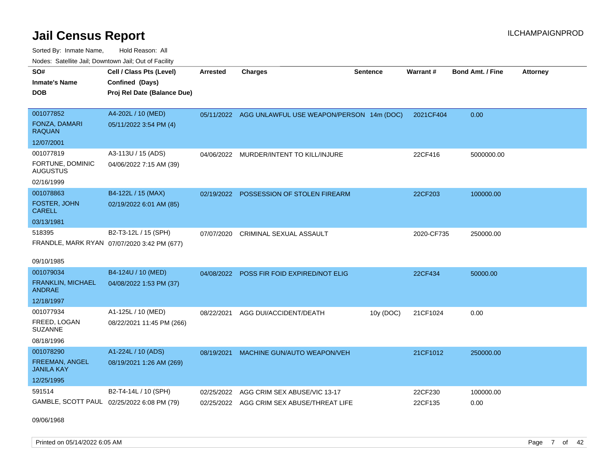Sorted By: Inmate Name, Hold Reason: All Nodes: Satellite Jail; Downtown Jail; Out of Facility

| SO#                                        | Cell / Class Pts (Level)                    | <b>Arrested</b> | <b>Charges</b>                                      | <b>Sentence</b> | Warrant#   | <b>Bond Amt. / Fine</b> | <b>Attorney</b> |
|--------------------------------------------|---------------------------------------------|-----------------|-----------------------------------------------------|-----------------|------------|-------------------------|-----------------|
| <b>Inmate's Name</b>                       | Confined (Days)                             |                 |                                                     |                 |            |                         |                 |
| <b>DOB</b>                                 | Proj Rel Date (Balance Due)                 |                 |                                                     |                 |            |                         |                 |
|                                            |                                             |                 |                                                     |                 |            |                         |                 |
| 001077852                                  | A4-202L / 10 (MED)                          |                 | 05/11/2022 AGG UNLAWFUL USE WEAPON/PERSON 14m (DOC) |                 | 2021CF404  | 0.00                    |                 |
| FONZA, DAMARI<br><b>RAQUAN</b>             | 05/11/2022 3:54 PM (4)                      |                 |                                                     |                 |            |                         |                 |
| 12/07/2001                                 |                                             |                 |                                                     |                 |            |                         |                 |
| 001077819                                  | A3-113U / 15 (ADS)                          | 04/06/2022      | MURDER/INTENT TO KILL/INJURE                        |                 | 22CF416    | 5000000.00              |                 |
| FORTUNE, DOMINIC<br><b>AUGUSTUS</b>        | 04/06/2022 7:15 AM (39)                     |                 |                                                     |                 |            |                         |                 |
| 02/16/1999                                 |                                             |                 |                                                     |                 |            |                         |                 |
| 001078863                                  | B4-122L / 15 (MAX)                          |                 | 02/19/2022 POSSESSION OF STOLEN FIREARM             |                 | 22CF203    | 100000.00               |                 |
| FOSTER, JOHN<br><b>CARELL</b>              | 02/19/2022 6:01 AM (85)                     |                 |                                                     |                 |            |                         |                 |
| 03/13/1981                                 |                                             |                 |                                                     |                 |            |                         |                 |
| 518395                                     | B2-T3-12L / 15 (SPH)                        | 07/07/2020      | CRIMINAL SEXUAL ASSAULT                             |                 | 2020-CF735 | 250000.00               |                 |
|                                            | FRANDLE, MARK RYAN 07/07/2020 3:42 PM (677) |                 |                                                     |                 |            |                         |                 |
|                                            |                                             |                 |                                                     |                 |            |                         |                 |
| 09/10/1985                                 |                                             |                 |                                                     |                 |            |                         |                 |
| 001079034                                  | B4-124U / 10 (MED)                          |                 | 04/08/2022 POSS FIR FOID EXPIRED/NOT ELIG           |                 | 22CF434    | 50000.00                |                 |
| <b>FRANKLIN, MICHAEL</b><br>ANDRAE         | 04/08/2022 1:53 PM (37)                     |                 |                                                     |                 |            |                         |                 |
| 12/18/1997                                 |                                             |                 |                                                     |                 |            |                         |                 |
| 001077934                                  | A1-125L / 10 (MED)                          | 08/22/2021      | AGG DUI/ACCIDENT/DEATH                              | 10y (DOC)       | 21CF1024   | 0.00                    |                 |
| FREED, LOGAN<br><b>SUZANNE</b>             | 08/22/2021 11:45 PM (266)                   |                 |                                                     |                 |            |                         |                 |
| 08/18/1996                                 |                                             |                 |                                                     |                 |            |                         |                 |
| 001078290                                  | A1-224L / 10 (ADS)                          | 08/19/2021      | MACHINE GUN/AUTO WEAPON/VEH                         |                 | 21CF1012   | 250000.00               |                 |
| FREEMAN, ANGEL<br><b>JANILA KAY</b>        | 08/19/2021 1:26 AM (269)                    |                 |                                                     |                 |            |                         |                 |
| 12/25/1995                                 |                                             |                 |                                                     |                 |            |                         |                 |
| 591514                                     | B2-T4-14L / 10 (SPH)                        | 02/25/2022      | AGG CRIM SEX ABUSE/VIC 13-17                        |                 | 22CF230    | 100000.00               |                 |
| GAMBLE, SCOTT PAUL 02/25/2022 6:08 PM (79) |                                             |                 | 02/25/2022 AGG CRIM SEX ABUSE/THREAT LIFE           |                 | 22CF135    | 0.00                    |                 |

09/06/1968

Printed on 05/14/2022 6:05 AM Page 7 of 42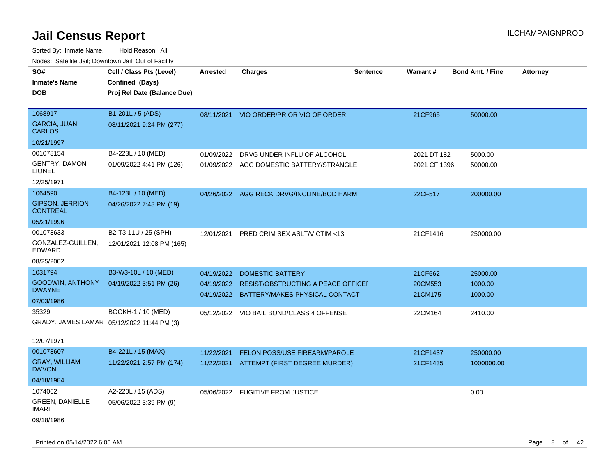| SO#<br><b>Inmate's Name</b>               | Cell / Class Pts (Level)<br>Confined (Days) | <b>Arrested</b> | <b>Charges</b>                                | <b>Sentence</b> | <b>Warrant#</b> | <b>Bond Amt. / Fine</b> | <b>Attorney</b> |
|-------------------------------------------|---------------------------------------------|-----------------|-----------------------------------------------|-----------------|-----------------|-------------------------|-----------------|
| <b>DOB</b>                                | Proj Rel Date (Balance Due)                 |                 |                                               |                 |                 |                         |                 |
| 1068917                                   | B1-201L / 5 (ADS)                           |                 | 08/11/2021 VIO ORDER/PRIOR VIO OF ORDER       |                 | 21CF965         | 50000.00                |                 |
| <b>GARCIA, JUAN</b><br><b>CARLOS</b>      | 08/11/2021 9:24 PM (277)                    |                 |                                               |                 |                 |                         |                 |
| 10/21/1997                                |                                             |                 |                                               |                 |                 |                         |                 |
| 001078154                                 | B4-223L / 10 (MED)                          | 01/09/2022      | DRVG UNDER INFLU OF ALCOHOL                   |                 | 2021 DT 182     | 5000.00                 |                 |
| <b>GENTRY, DAMON</b><br><b>LIONEL</b>     | 01/09/2022 4:41 PM (126)                    |                 | 01/09/2022 AGG DOMESTIC BATTERY/STRANGLE      |                 | 2021 CF 1396    | 50000.00                |                 |
| 12/25/1971                                |                                             |                 |                                               |                 |                 |                         |                 |
| 1064590                                   | B4-123L / 10 (MED)                          | 04/26/2022      | AGG RECK DRVG/INCLINE/BOD HARM                |                 | 22CF517         | 200000.00               |                 |
| <b>GIPSON, JERRION</b><br><b>CONTREAL</b> | 04/26/2022 7:43 PM (19)                     |                 |                                               |                 |                 |                         |                 |
| 05/21/1996                                |                                             |                 |                                               |                 |                 |                         |                 |
| 001078633                                 | B2-T3-11U / 25 (SPH)                        | 12/01/2021      | PRED CRIM SEX ASLT/VICTIM <13                 |                 | 21CF1416        | 250000.00               |                 |
| GONZALEZ-GUILLEN,<br>EDWARD               | 12/01/2021 12:08 PM (165)                   |                 |                                               |                 |                 |                         |                 |
| 08/25/2002                                |                                             |                 |                                               |                 |                 |                         |                 |
| 1031794                                   | B3-W3-10L / 10 (MED)                        | 04/19/2022      | <b>DOMESTIC BATTERY</b>                       |                 | 21CF662         | 25000.00                |                 |
| <b>GOODWIN, ANTHONY</b><br><b>DWAYNE</b>  | 04/19/2022 3:51 PM (26)                     |                 | 04/19/2022 RESIST/OBSTRUCTING A PEACE OFFICEF |                 | 20CM553         | 1000.00                 |                 |
| 07/03/1986                                |                                             |                 | 04/19/2022 BATTERY/MAKES PHYSICAL CONTACT     |                 | 21CM175         | 1000.00                 |                 |
| 35329                                     | BOOKH-1 / 10 (MED)                          |                 | 05/12/2022 VIO BAIL BOND/CLASS 4 OFFENSE      |                 | 22CM164         | 2410.00                 |                 |
|                                           | GRADY, JAMES LAMAR 05/12/2022 11:44 PM (3)  |                 |                                               |                 |                 |                         |                 |
|                                           |                                             |                 |                                               |                 |                 |                         |                 |
| 12/07/1971                                |                                             |                 |                                               |                 |                 |                         |                 |
| 001078607                                 | B4-221L / 15 (MAX)                          | 11/22/2021      | FELON POSS/USE FIREARM/PAROLE                 |                 | 21CF1437        | 250000.00               |                 |
| <b>GRAY, WILLIAM</b><br>DA'VON            | 11/22/2021 2:57 PM (174)                    |                 | 11/22/2021 ATTEMPT (FIRST DEGREE MURDER)      |                 | 21CF1435        | 1000000.00              |                 |
| 04/18/1984                                |                                             |                 |                                               |                 |                 |                         |                 |
| 1074062                                   | A2-220L / 15 (ADS)                          |                 | 05/06/2022 FUGITIVE FROM JUSTICE              |                 |                 | 0.00                    |                 |
| <b>GREEN, DANIELLE</b><br><b>IMARI</b>    | 05/06/2022 3:39 PM (9)                      |                 |                                               |                 |                 |                         |                 |
| 09/18/1986                                |                                             |                 |                                               |                 |                 |                         |                 |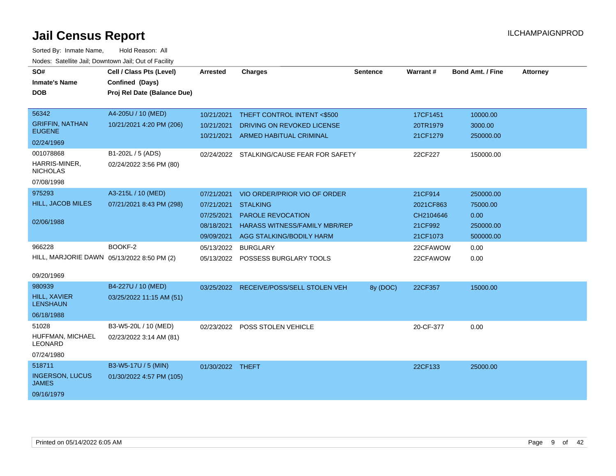| SO#                                                                | Cell / Class Pts (Level)                        | <b>Arrested</b>                        | <b>Charges</b>                                                                               | <b>Sentence</b> | Warrant#                         | <b>Bond Amt. / Fine</b>        | <b>Attorney</b> |
|--------------------------------------------------------------------|-------------------------------------------------|----------------------------------------|----------------------------------------------------------------------------------------------|-----------------|----------------------------------|--------------------------------|-----------------|
| <b>Inmate's Name</b>                                               | Confined (Days)                                 |                                        |                                                                                              |                 |                                  |                                |                 |
| <b>DOB</b>                                                         | Proj Rel Date (Balance Due)                     |                                        |                                                                                              |                 |                                  |                                |                 |
| 56342                                                              | A4-205U / 10 (MED)                              | 10/21/2021                             | THEFT CONTROL INTENT <\$500                                                                  |                 | 17CF1451                         | 10000.00                       |                 |
| <b>GRIFFIN, NATHAN</b><br><b>EUGENE</b>                            | 10/21/2021 4:20 PM (206)                        | 10/21/2021                             | DRIVING ON REVOKED LICENSE                                                                   |                 | 20TR1979                         | 3000.00                        |                 |
| 02/24/1969                                                         |                                                 | 10/21/2021                             | ARMED HABITUAL CRIMINAL                                                                      |                 | 21CF1279                         | 250000.00                      |                 |
| 001078868<br>HARRIS-MINER,<br><b>NICHOLAS</b>                      | B1-202L / 5 (ADS)<br>02/24/2022 3:56 PM (80)    |                                        | 02/24/2022 STALKING/CAUSE FEAR FOR SAFETY                                                    |                 | 22CF227                          | 150000.00                      |                 |
| 07/08/1998                                                         |                                                 |                                        |                                                                                              |                 |                                  |                                |                 |
| 975293<br>HILL, JACOB MILES                                        | A3-215L / 10 (MED)<br>07/21/2021 8:43 PM (298)  | 07/21/2021<br>07/21/2021 STALKING      | VIO ORDER/PRIOR VIO OF ORDER                                                                 |                 | 21CF914<br>2021CF863             | 250000.00<br>75000.00          |                 |
| 02/06/1988                                                         |                                                 | 07/25/2021<br>08/18/2021<br>09/09/2021 | <b>PAROLE REVOCATION</b><br><b>HARASS WITNESS/FAMILY MBR/REP</b><br>AGG STALKING/BODILY HARM |                 | CH2104646<br>21CF992<br>21CF1073 | 0.00<br>250000.00<br>500000.00 |                 |
| 966228<br>HILL, MARJORIE DAWN 05/13/2022 8:50 PM (2)<br>09/20/1969 | BOOKF-2                                         | 05/13/2022                             | <b>BURGLARY</b><br>05/13/2022 POSSESS BURGLARY TOOLS                                         |                 | 22CFAWOW<br>22CFAWOW             | 0.00<br>0.00                   |                 |
| 980939<br><b>HILL, XAVIER</b><br><b>LENSHAUN</b>                   | B4-227U / 10 (MED)<br>03/25/2022 11:15 AM (51)  |                                        | 03/25/2022 RECEIVE/POSS/SELL STOLEN VEH                                                      | 8y (DOC)        | 22CF357                          | 15000.00                       |                 |
| 06/18/1988<br>51028<br>HUFFMAN, MICHAEL<br>LEONARD                 | B3-W5-20L / 10 (MED)<br>02/23/2022 3:14 AM (81) |                                        | 02/23/2022 POSS STOLEN VEHICLE                                                               |                 | 20-CF-377                        | 0.00                           |                 |
| 07/24/1980                                                         |                                                 |                                        |                                                                                              |                 |                                  |                                |                 |
| 518711<br><b>INGERSON, LUCUS</b><br><b>JAMES</b>                   | B3-W5-17U / 5 (MIN)<br>01/30/2022 4:57 PM (105) | 01/30/2022 THEFT                       |                                                                                              |                 | 22CF133                          | 25000.00                       |                 |
| 09/16/1979                                                         |                                                 |                                        |                                                                                              |                 |                                  |                                |                 |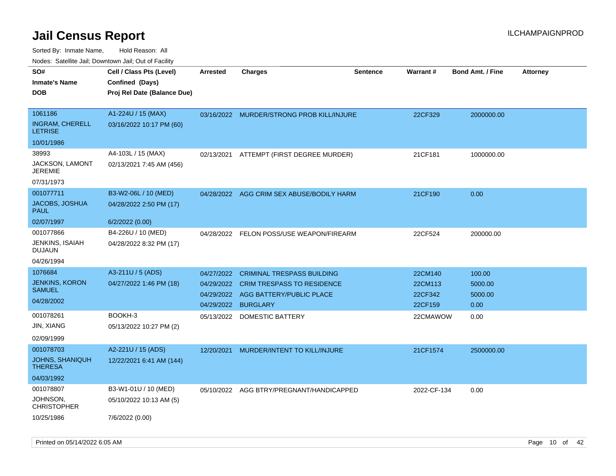| SO#<br><b>Inmate's Name</b><br><b>DOB</b>                                                         | Cell / Class Pts (Level)<br>Confined (Days)<br>Proj Rel Date (Balance Due)         | <b>Arrested</b>                                                    | <b>Charges</b>                                                                                                                            | <b>Sentence</b> | Warrant#                                             | <b>Bond Amt. / Fine</b>                      | <b>Attorney</b> |
|---------------------------------------------------------------------------------------------------|------------------------------------------------------------------------------------|--------------------------------------------------------------------|-------------------------------------------------------------------------------------------------------------------------------------------|-----------------|------------------------------------------------------|----------------------------------------------|-----------------|
| 1061186<br><b>INGRAM, CHERELL</b><br><b>LETRISE</b>                                               | A1-224U / 15 (MAX)<br>03/16/2022 10:17 PM (60)                                     | 03/16/2022                                                         | <b>MURDER/STRONG PROB KILL/INJURE</b>                                                                                                     |                 | 22CF329                                              | 2000000.00                                   |                 |
| 10/01/1986<br>38993<br><b>JACKSON, LAMONT</b><br><b>JEREMIE</b><br>07/31/1973                     | A4-103L / 15 (MAX)<br>02/13/2021 7:45 AM (456)                                     | 02/13/2021                                                         | ATTEMPT (FIRST DEGREE MURDER)                                                                                                             |                 | 21CF181                                              | 1000000.00                                   |                 |
| 001077711<br>JACOBS, JOSHUA<br><b>PAUL</b>                                                        | B3-W2-06L / 10 (MED)<br>04/28/2022 2:50 PM (17)                                    | 04/28/2022                                                         | AGG CRIM SEX ABUSE/BODILY HARM                                                                                                            |                 | 21CF190                                              | 0.00                                         |                 |
| 02/07/1997<br>001077866<br><b>JENKINS, ISAIAH</b><br><b>DUJAUN</b><br>04/26/1994                  | 6/2/2022 (0.00)<br>B4-226U / 10 (MED)<br>04/28/2022 8:32 PM (17)                   | 04/28/2022                                                         | FELON POSS/USE WEAPON/FIREARM                                                                                                             |                 | 22CF524                                              | 200000.00                                    |                 |
| 1076684<br><b>JENKINS, KORON</b><br><b>SAMUEL</b><br>04/28/2002<br>001078261<br><b>JIN, XIANG</b> | A3-211U / 5 (ADS)<br>04/27/2022 1:46 PM (18)<br>BOOKH-3<br>05/13/2022 10:27 PM (2) | 04/27/2022<br>04/29/2022<br>04/29/2022<br>04/29/2022<br>05/13/2022 | <b>CRIMINAL TRESPASS BUILDING</b><br><b>CRIM TRESPASS TO RESIDENCE</b><br>AGG BATTERY/PUBLIC PLACE<br><b>BURGLARY</b><br>DOMESTIC BATTERY |                 | 22CM140<br>22CM113<br>22CF342<br>22CF159<br>22CMAWOW | 100.00<br>5000.00<br>5000.00<br>0.00<br>0.00 |                 |
| 02/09/1999<br>001078703<br><b>JOHNS, SHANIQUH</b><br><b>THERESA</b><br>04/03/1992                 | A2-221U / 15 (ADS)<br>12/22/2021 6:41 AM (144)                                     | 12/20/2021                                                         | MURDER/INTENT TO KILL/INJURE                                                                                                              |                 | 21CF1574                                             | 2500000.00                                   |                 |
| 001078807<br>JOHNSON,<br><b>CHRISTOPHER</b><br>10/25/1986                                         | B3-W1-01U / 10 (MED)<br>05/10/2022 10:13 AM (5)<br>7/6/2022 (0.00)                 |                                                                    | 05/10/2022 AGG BTRY/PREGNANT/HANDICAPPED                                                                                                  |                 | 2022-CF-134                                          | 0.00                                         |                 |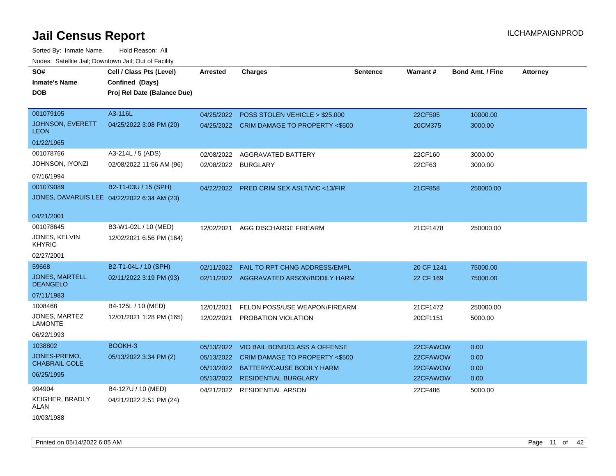| SO#<br><b>Inmate's Name</b><br><b>DOB</b> | Cell / Class Pts (Level)<br>Confined (Days)<br>Proj Rel Date (Balance Due) | <b>Arrested</b> | <b>Charges</b>                            | <b>Sentence</b> | Warrant#   | <b>Bond Amt. / Fine</b> | <b>Attorney</b> |
|-------------------------------------------|----------------------------------------------------------------------------|-----------------|-------------------------------------------|-----------------|------------|-------------------------|-----------------|
|                                           |                                                                            |                 |                                           |                 |            |                         |                 |
| 001079105                                 | A3-116L                                                                    |                 | 04/25/2022 POSS STOLEN VEHICLE > \$25,000 |                 | 22CF505    | 10000.00                |                 |
| <b>JOHNSON, EVERETT</b><br><b>LEON</b>    | 04/25/2022 3:08 PM (20)                                                    |                 | 04/25/2022 CRIM DAMAGE TO PROPERTY <\$500 |                 | 20CM375    | 3000.00                 |                 |
| 01/22/1965                                |                                                                            |                 |                                           |                 |            |                         |                 |
| 001078766                                 | A3-214L / 5 (ADS)                                                          | 02/08/2022      | AGGRAVATED BATTERY                        |                 | 22CF160    | 3000.00                 |                 |
| JOHNSON, IYONZI                           | 02/08/2022 11:56 AM (96)                                                   | 02/08/2022      | <b>BURGLARY</b>                           |                 | 22CF63     | 3000.00                 |                 |
| 07/16/1994                                |                                                                            |                 |                                           |                 |            |                         |                 |
| 001079089                                 | B2-T1-03U / 15 (SPH)                                                       |                 | 04/22/2022 PRED CRIM SEX ASLT/VIC <13/FIR |                 | 21CF858    | 250000.00               |                 |
|                                           | JONES, DAVARUIS LEE 04/22/2022 6:34 AM (23)                                |                 |                                           |                 |            |                         |                 |
|                                           |                                                                            |                 |                                           |                 |            |                         |                 |
| 04/21/2001                                |                                                                            |                 |                                           |                 |            |                         |                 |
| 001078645                                 | B3-W1-02L / 10 (MED)                                                       | 12/02/2021      | AGG DISCHARGE FIREARM                     |                 | 21CF1478   | 250000.00               |                 |
| JONES, KELVIN<br><b>KHYRIC</b>            | 12/02/2021 6:56 PM (164)                                                   |                 |                                           |                 |            |                         |                 |
| 02/27/2001                                |                                                                            |                 |                                           |                 |            |                         |                 |
| 59668                                     | B2-T1-04L / 10 (SPH)                                                       | 02/11/2022      | <b>FAIL TO RPT CHNG ADDRESS/EMPL</b>      |                 | 20 CF 1241 | 75000.00                |                 |
| <b>JONES, MARTELL</b>                     | 02/11/2022 3:19 PM (93)                                                    |                 | 02/11/2022 AGGRAVATED ARSON/BODILY HARM   |                 | 22 CF 169  | 75000.00                |                 |
| <b>DEANGELO</b>                           |                                                                            |                 |                                           |                 |            |                         |                 |
| 07/11/1983                                |                                                                            |                 |                                           |                 |            |                         |                 |
| 1008468                                   | B4-125L / 10 (MED)                                                         | 12/01/2021      | FELON POSS/USE WEAPON/FIREARM             |                 | 21CF1472   | 250000.00               |                 |
| <b>JONES, MARTEZ</b><br><b>LAMONTE</b>    | 12/01/2021 1:28 PM (165)                                                   | 12/02/2021      | PROBATION VIOLATION                       |                 | 20CF1151   | 5000.00                 |                 |
| 06/22/1993                                |                                                                            |                 |                                           |                 |            |                         |                 |
| 1038802                                   | BOOKH-3                                                                    | 05/13/2022      | VIO BAIL BOND/CLASS A OFFENSE             |                 | 22CFAWOW   | 0.00                    |                 |
| JONES-PREMO.                              | 05/13/2022 3:34 PM (2)                                                     | 05/13/2022      | CRIM DAMAGE TO PROPERTY <\$500            |                 | 22CFAWOW   | 0.00                    |                 |
| <b>CHABRAIL COLE</b>                      |                                                                            | 05/13/2022      | BATTERY/CAUSE BODILY HARM                 |                 | 22CFAWOW   | 0.00                    |                 |
| 06/25/1995                                |                                                                            |                 | 05/13/2022 RESIDENTIAL BURGLARY           |                 | 22CFAWOW   | 0.00                    |                 |
| 994904                                    | B4-127U / 10 (MED)                                                         | 04/21/2022      | RESIDENTIAL ARSON                         |                 | 22CF486    | 5000.00                 |                 |
| KEIGHER, BRADLY<br>ALAN                   | 04/21/2022 2:51 PM (24)                                                    |                 |                                           |                 |            |                         |                 |
| 10/03/1988                                |                                                                            |                 |                                           |                 |            |                         |                 |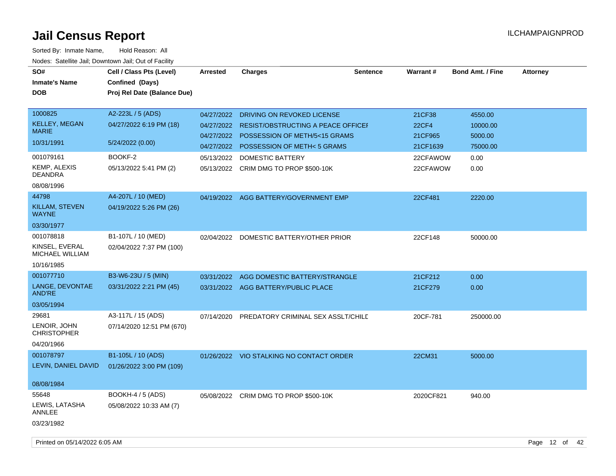| SO#<br><b>Inmate's Name</b><br><b>DOB</b>                                                         | Cell / Class Pts (Level)<br>Confined (Days)<br>Proj Rel Date (Balance Due)                            | Arrested                                                           | <b>Charges</b>                                                                                                                                                                                             | <b>Sentence</b> | <b>Warrant#</b>                                                       | <b>Bond Amt. / Fine</b>                                    | <b>Attorney</b> |
|---------------------------------------------------------------------------------------------------|-------------------------------------------------------------------------------------------------------|--------------------------------------------------------------------|------------------------------------------------------------------------------------------------------------------------------------------------------------------------------------------------------------|-----------------|-----------------------------------------------------------------------|------------------------------------------------------------|-----------------|
| 1000825<br><b>KELLEY, MEGAN</b><br><b>MARIE</b><br>10/31/1991<br>001079161<br><b>KEMP, ALEXIS</b> | A2-223L / 5 (ADS)<br>04/27/2022 6:19 PM (18)<br>5/24/2022 (0.00)<br>BOOKF-2<br>05/13/2022 5:41 PM (2) | 04/27/2022<br>04/27/2022<br>04/27/2022<br>04/27/2022<br>05/13/2022 | <b>DRIVING ON REVOKED LICENSE</b><br><b>RESIST/OBSTRUCTING A PEACE OFFICEF</b><br>POSSESSION OF METH/5<15 GRAMS<br>POSSESSION OF METH<5 GRAMS<br>DOMESTIC BATTERY<br>05/13/2022 CRIM DMG TO PROP \$500-10K |                 | 21CF38<br><b>22CF4</b><br>21CF965<br>21CF1639<br>22CFAWOW<br>22CFAWOW | 4550.00<br>10000.00<br>5000.00<br>75000.00<br>0.00<br>0.00 |                 |
| <b>DEANDRA</b><br>08/08/1996<br>44798<br>KILLAM, STEVEN<br><b>WAYNE</b><br>03/30/1977             | A4-207L / 10 (MED)<br>04/19/2022 5:26 PM (26)                                                         |                                                                    | 04/19/2022 AGG BATTERY/GOVERNMENT EMP                                                                                                                                                                      |                 | 22CF481                                                               | 2220.00                                                    |                 |
| 001078818<br>KINSEL, EVERAL<br>MICHAEL WILLIAM<br>10/16/1985                                      | B1-107L / 10 (MED)<br>02/04/2022 7:37 PM (100)                                                        | 02/04/2022                                                         | DOMESTIC BATTERY/OTHER PRIOR                                                                                                                                                                               |                 | 22CF148                                                               | 50000.00                                                   |                 |
| 001077710<br>LANGE, DEVONTAE<br>AND'RE<br>03/05/1994                                              | B3-W6-23U / 5 (MIN)<br>03/31/2022 2:21 PM (45)                                                        |                                                                    | 03/31/2022 AGG DOMESTIC BATTERY/STRANGLE<br>03/31/2022 AGG BATTERY/PUBLIC PLACE                                                                                                                            |                 | 21CF212<br>21CF279                                                    | 0.00<br>0.00                                               |                 |
| 29681<br>LENOIR, JOHN<br><b>CHRISTOPHER</b><br>04/20/1966                                         | A3-117L / 15 (ADS)<br>07/14/2020 12:51 PM (670)                                                       | 07/14/2020                                                         | PREDATORY CRIMINAL SEX ASSLT/CHILD                                                                                                                                                                         |                 | 20CF-781                                                              | 250000.00                                                  |                 |
| 001078797<br>LEVIN, DANIEL DAVID<br>08/08/1984                                                    | B1-105L / 10 (ADS)<br>01/26/2022 3:00 PM (109)                                                        |                                                                    | 01/26/2022 VIO STALKING NO CONTACT ORDER                                                                                                                                                                   |                 | 22CM31                                                                | 5000.00                                                    |                 |
| 55648<br>LEWIS, LATASHA<br>ANNLEE<br>03/23/1982                                                   | BOOKH-4 / 5 (ADS)<br>05/08/2022 10:33 AM (7)                                                          |                                                                    | 05/08/2022 CRIM DMG TO PROP \$500-10K                                                                                                                                                                      |                 | 2020CF821                                                             | 940.00                                                     |                 |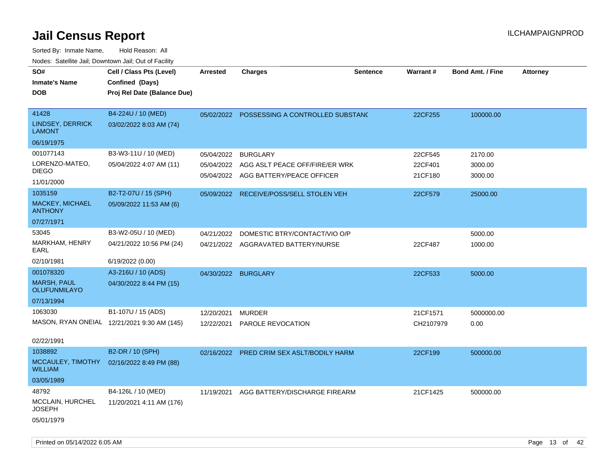| SO#<br><b>Inmate's Name</b><br><b>DOB</b>                            | Cell / Class Pts (Level)<br>Confined (Days)<br>Proj Rel Date (Balance Due) | <b>Arrested</b>          | <b>Charges</b>                                                                                       | <b>Sentence</b> | <b>Warrant#</b>               | <b>Bond Amt. / Fine</b>       | Attorney |
|----------------------------------------------------------------------|----------------------------------------------------------------------------|--------------------------|------------------------------------------------------------------------------------------------------|-----------------|-------------------------------|-------------------------------|----------|
| 41428<br><b>LINDSEY, DERRICK</b><br><b>LAMONT</b><br>06/19/1975      | B4-224U / 10 (MED)<br>03/02/2022 8:03 AM (74)                              | 05/02/2022               | POSSESSING A CONTROLLED SUBSTANC                                                                     |                 | 22CF255                       | 100000.00                     |          |
| 001077143<br>LORENZO-MATEO,<br><b>DIEGO</b><br>11/01/2000            | B3-W3-11U / 10 (MED)<br>05/04/2022 4:07 AM (11)                            | 05/04/2022               | <b>BURGLARY</b><br>05/04/2022 AGG ASLT PEACE OFF/FIRE/ER WRK<br>05/04/2022 AGG BATTERY/PEACE OFFICER |                 | 22CF545<br>22CF401<br>21CF180 | 2170.00<br>3000.00<br>3000.00 |          |
| 1035159<br>MACKEY, MICHAEL<br><b>ANTHONY</b><br>07/27/1971           | B2-T2-07U / 15 (SPH)<br>05/09/2022 11:53 AM (6)                            | 05/09/2022               | RECEIVE/POSS/SELL STOLEN VEH                                                                         |                 | 22CF579                       | 25000.00                      |          |
| 53045<br>MARKHAM, HENRY<br>EARL<br>02/10/1981                        | B3-W2-05U / 10 (MED)<br>04/21/2022 10:56 PM (24)<br>6/19/2022 (0.00)       | 04/21/2022               | DOMESTIC BTRY/CONTACT/VIO O/P<br>04/21/2022 AGGRAVATED BATTERY/NURSE                                 |                 | 22CF487                       | 5000.00<br>1000.00            |          |
| 001078320<br><b>MARSH, PAUL</b><br><b>OLUFUNMILAYO</b><br>07/13/1994 | A3-216U / 10 (ADS)<br>04/30/2022 8:44 PM (15)                              |                          | 04/30/2022 BURGLARY                                                                                  |                 | 22CF533                       | 5000.00                       |          |
| 1063030<br>02/22/1991                                                | B1-107U / 15 (ADS)<br>MASON, RYAN ONEIAL 12/21/2021 9:30 AM (145)          | 12/20/2021<br>12/22/2021 | <b>MURDER</b><br>PAROLE REVOCATION                                                                   |                 | 21CF1571<br>CH2107979         | 5000000.00<br>0.00            |          |
| 1038892<br>MCCAULEY, TIMOTHY<br><b>WILLIAM</b><br>03/05/1989         | B2-DR / 10 (SPH)<br>02/16/2022 8:49 PM (88)                                | 02/16/2022               | PRED CRIM SEX ASLT/BODILY HARM                                                                       |                 | 22CF199                       | 500000.00                     |          |
| 48792<br>MCCLAIN, HURCHEL<br><b>JOSEPH</b><br>05/01/1979             | B4-126L / 10 (MED)<br>11/20/2021 4:11 AM (176)                             | 11/19/2021               | AGG BATTERY/DISCHARGE FIREARM                                                                        |                 | 21CF1425                      | 500000.00                     |          |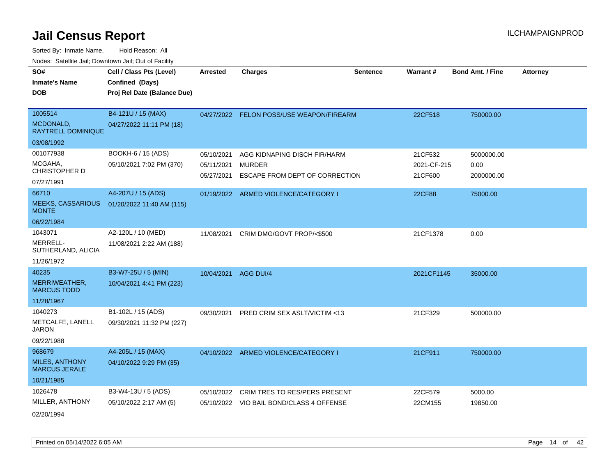Sorted By: Inmate Name, Hold Reason: All

| Nodes: Satellite Jail; Downtown Jail; Out of Facility |                             |                 |                                          |                 |               |                         |                 |
|-------------------------------------------------------|-----------------------------|-----------------|------------------------------------------|-----------------|---------------|-------------------------|-----------------|
| SO#                                                   | Cell / Class Pts (Level)    | <b>Arrested</b> | <b>Charges</b>                           | <b>Sentence</b> | Warrant#      | <b>Bond Amt. / Fine</b> | <b>Attorney</b> |
| <b>Inmate's Name</b>                                  | Confined (Days)             |                 |                                          |                 |               |                         |                 |
| <b>DOB</b>                                            | Proj Rel Date (Balance Due) |                 |                                          |                 |               |                         |                 |
|                                                       |                             |                 |                                          |                 |               |                         |                 |
| 1005514                                               | B4-121U / 15 (MAX)          |                 | 04/27/2022 FELON POSS/USE WEAPON/FIREARM |                 | 22CF518       | 750000.00               |                 |
| MCDONALD,<br><b>RAYTRELL DOMINIQUE</b>                | 04/27/2022 11:11 PM (18)    |                 |                                          |                 |               |                         |                 |
| 03/08/1992                                            |                             |                 |                                          |                 |               |                         |                 |
| 001077938                                             | BOOKH-6 / 15 (ADS)          | 05/10/2021      | AGG KIDNAPING DISCH FIR/HARM             |                 | 21CF532       | 5000000.00              |                 |
| MCGAHA,                                               | 05/10/2021 7:02 PM (370)    | 05/11/2021      | <b>MURDER</b>                            |                 | 2021-CF-215   | 0.00                    |                 |
| CHRISTOPHER D                                         |                             | 05/27/2021      | ESCAPE FROM DEPT OF CORRECTION           |                 | 21CF600       | 2000000.00              |                 |
| 07/27/1991                                            |                             |                 |                                          |                 |               |                         |                 |
| 66710                                                 | A4-207U / 15 (ADS)          |                 | 01/19/2022 ARMED VIOLENCE/CATEGORY I     |                 | <b>22CF88</b> | 75000.00                |                 |
| <b>MEEKS, CASSARIOUS</b><br><b>MONTE</b>              | 01/20/2022 11:40 AM (115)   |                 |                                          |                 |               |                         |                 |
| 06/22/1984                                            |                             |                 |                                          |                 |               |                         |                 |
| 1043071                                               | A2-120L / 10 (MED)          | 11/08/2021      | CRIM DMG/GOVT PROP/<\$500                |                 | 21CF1378      | 0.00                    |                 |
| MERRELL-<br>SUTHERLAND, ALICIA                        | 11/08/2021 2:22 AM (188)    |                 |                                          |                 |               |                         |                 |
| 11/26/1972                                            |                             |                 |                                          |                 |               |                         |                 |
| 40235                                                 | B3-W7-25U / 5 (MIN)         | 10/04/2021      | AGG DUI/4                                |                 | 2021CF1145    | 35000.00                |                 |
| MERRIWEATHER,<br><b>MARCUS TODD</b>                   | 10/04/2021 4:41 PM (223)    |                 |                                          |                 |               |                         |                 |
| 11/28/1967                                            |                             |                 |                                          |                 |               |                         |                 |
| 1040273                                               | B1-102L / 15 (ADS)          | 09/30/2021      | PRED CRIM SEX ASLT/VICTIM <13            |                 | 21CF329       | 500000.00               |                 |
| METCALFE, LANELL<br><b>JARON</b>                      | 09/30/2021 11:32 PM (227)   |                 |                                          |                 |               |                         |                 |
| 09/22/1988                                            |                             |                 |                                          |                 |               |                         |                 |
| 968679                                                | A4-205L / 15 (MAX)          |                 | 04/10/2022 ARMED VIOLENCE/CATEGORY I     |                 | 21CF911       | 750000.00               |                 |
| <b>MILES, ANTHONY</b><br><b>MARCUS JERALE</b>         | 04/10/2022 9:29 PM (35)     |                 |                                          |                 |               |                         |                 |
| 10/21/1985                                            |                             |                 |                                          |                 |               |                         |                 |
| 1026478                                               | B3-W4-13U / 5 (ADS)         | 05/10/2022      | CRIM TRES TO RES/PERS PRESENT            |                 | 22CF579       | 5000.00                 |                 |
| MILLER, ANTHONY                                       | 05/10/2022 2:17 AM (5)      |                 | 05/10/2022 VIO BAIL BOND/CLASS 4 OFFENSE |                 | 22CM155       | 19850.00                |                 |
| 02/20/1994                                            |                             |                 |                                          |                 |               |                         |                 |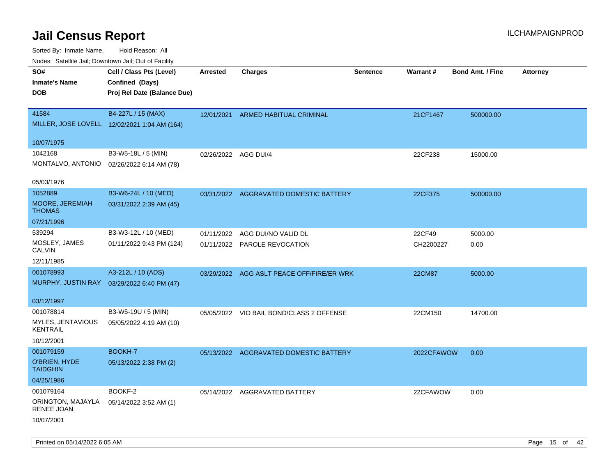| indues. Satellite Jali, Downtown Jali, Out of Facility |                                              |                      |                                           |                 |               |                         |                 |
|--------------------------------------------------------|----------------------------------------------|----------------------|-------------------------------------------|-----------------|---------------|-------------------------|-----------------|
| SO#                                                    | Cell / Class Pts (Level)                     | Arrested             | <b>Charges</b>                            | <b>Sentence</b> | Warrant#      | <b>Bond Amt. / Fine</b> | <b>Attorney</b> |
| <b>Inmate's Name</b>                                   | Confined (Days)                              |                      |                                           |                 |               |                         |                 |
| <b>DOB</b>                                             | Proj Rel Date (Balance Due)                  |                      |                                           |                 |               |                         |                 |
|                                                        |                                              |                      |                                           |                 |               |                         |                 |
| 41584                                                  | B4-227L / 15 (MAX)                           |                      | 12/01/2021 ARMED HABITUAL CRIMINAL        |                 | 21CF1467      | 500000.00               |                 |
|                                                        | MILLER, JOSE LOVELL 12/02/2021 1:04 AM (164) |                      |                                           |                 |               |                         |                 |
|                                                        |                                              |                      |                                           |                 |               |                         |                 |
| 10/07/1975                                             |                                              |                      |                                           |                 |               |                         |                 |
| 1042168                                                | B3-W5-18L / 5 (MIN)                          | 02/26/2022 AGG DUI/4 |                                           |                 | 22CF238       | 15000.00                |                 |
| MONTALVO, ANTONIO                                      | 02/26/2022 6:14 AM (78)                      |                      |                                           |                 |               |                         |                 |
|                                                        |                                              |                      |                                           |                 |               |                         |                 |
| 05/03/1976                                             |                                              |                      |                                           |                 |               |                         |                 |
| 1052889                                                | B3-W6-24L / 10 (MED)                         |                      | 03/31/2022 AGGRAVATED DOMESTIC BATTERY    |                 | 22CF375       | 500000.00               |                 |
| MOORE, JEREMIAH<br><b>THOMAS</b>                       | 03/31/2022 2:39 AM (45)                      |                      |                                           |                 |               |                         |                 |
|                                                        |                                              |                      |                                           |                 |               |                         |                 |
| 07/21/1996                                             |                                              |                      |                                           |                 |               |                         |                 |
| 539294                                                 | B3-W3-12L / 10 (MED)                         | 01/11/2022           | AGG DUI/NO VALID DL                       |                 | 22CF49        | 5000.00                 |                 |
| MOSLEY, JAMES<br><b>CALVIN</b>                         | 01/11/2022 9:43 PM (124)                     |                      | 01/11/2022 PAROLE REVOCATION              |                 | CH2200227     | 0.00                    |                 |
| 12/11/1985                                             |                                              |                      |                                           |                 |               |                         |                 |
| 001078993                                              | A3-212L / 10 (ADS)                           |                      |                                           |                 |               |                         |                 |
|                                                        | MURPHY, JUSTIN RAY 03/29/2022 6:40 PM (47)   |                      | 03/29/2022 AGG ASLT PEACE OFF/FIRE/ER WRK |                 | <b>22CM87</b> | 5000.00                 |                 |
|                                                        |                                              |                      |                                           |                 |               |                         |                 |
| 03/12/1997                                             |                                              |                      |                                           |                 |               |                         |                 |
| 001078814                                              | B3-W5-19U / 5 (MIN)                          |                      | 05/05/2022 VIO BAIL BOND/CLASS 2 OFFENSE  |                 | 22CM150       | 14700.00                |                 |
| MYLES, JENTAVIOUS                                      | 05/05/2022 4:19 AM (10)                      |                      |                                           |                 |               |                         |                 |
| <b>KENTRAIL</b>                                        |                                              |                      |                                           |                 |               |                         |                 |
| 10/12/2001                                             |                                              |                      |                                           |                 |               |                         |                 |
| 001079159                                              | BOOKH-7                                      |                      | 05/13/2022 AGGRAVATED DOMESTIC BATTERY    |                 | 2022CFAWOW    | 0.00                    |                 |
| O'BRIEN, HYDE                                          | 05/13/2022 2:38 PM (2)                       |                      |                                           |                 |               |                         |                 |
| <b>TAIDGHIN</b>                                        |                                              |                      |                                           |                 |               |                         |                 |
| 04/25/1986                                             |                                              |                      |                                           |                 |               |                         |                 |
| 001079164                                              | BOOKF-2                                      |                      | 05/14/2022 AGGRAVATED BATTERY             |                 | 22CFAWOW      | 0.00                    |                 |
| ORINGTON, MAJAYLA                                      | 05/14/2022 3:52 AM (1)                       |                      |                                           |                 |               |                         |                 |
| RENEE JOAN                                             |                                              |                      |                                           |                 |               |                         |                 |
| 10/07/2001                                             |                                              |                      |                                           |                 |               |                         |                 |
|                                                        |                                              |                      |                                           |                 |               |                         |                 |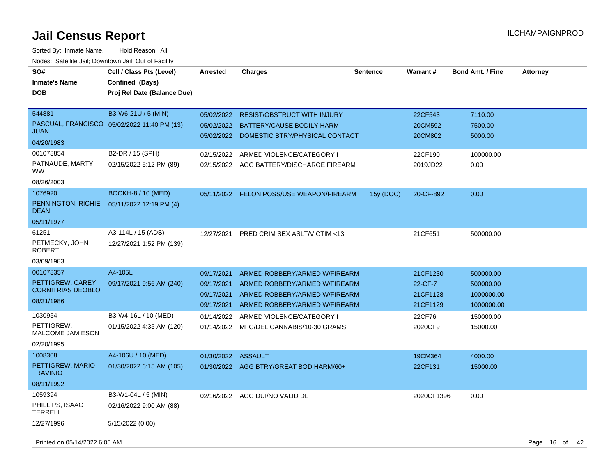| SO#<br><b>Inmate's Name</b><br>DOB                         | Cell / Class Pts (Level)<br>Confined (Days)<br>Proj Rel Date (Balance Due) | <b>Arrested</b>                        | <b>Charges</b>                                                                                                          | <b>Sentence</b> | <b>Warrant#</b>                 | <b>Bond Amt. / Fine</b>               | <b>Attorney</b> |
|------------------------------------------------------------|----------------------------------------------------------------------------|----------------------------------------|-------------------------------------------------------------------------------------------------------------------------|-----------------|---------------------------------|---------------------------------------|-----------------|
|                                                            |                                                                            |                                        |                                                                                                                         |                 |                                 |                                       |                 |
| 544881<br>JUAN                                             | B3-W6-21U / 5 (MIN)<br>PASCUAL, FRANCISCO 05/02/2022 11:40 PM (13)         | 05/02/2022                             | <b>RESIST/OBSTRUCT WITH INJURY</b><br>05/02/2022 BATTERY/CAUSE BODILY HARM<br>05/02/2022 DOMESTIC BTRY/PHYSICAL CONTACT |                 | 22CF543<br>20CM592<br>20CM802   | 7110.00<br>7500.00<br>5000.00         |                 |
| 04/20/1983                                                 |                                                                            |                                        |                                                                                                                         |                 |                                 |                                       |                 |
| 001078854<br>PATNAUDE, MARTY<br>ww.                        | B2-DR / 15 (SPH)<br>02/15/2022 5:12 PM (89)                                | 02/15/2022                             | ARMED VIOLENCE/CATEGORY I<br>02/15/2022 AGG BATTERY/DISCHARGE FIREARM                                                   |                 | 22CF190<br>2019JD22             | 100000.00<br>0.00                     |                 |
| 08/26/2003                                                 |                                                                            |                                        |                                                                                                                         |                 |                                 |                                       |                 |
| 1076920<br>PENNINGTON, RICHIE<br><b>DEAN</b>               | <b>BOOKH-8 / 10 (MED)</b><br>05/11/2022 12:19 PM (4)                       |                                        | 05/11/2022 FELON POSS/USE WEAPON/FIREARM                                                                                | 15y (DOC)       | 20-CF-892                       | 0.00                                  |                 |
| 05/11/1977                                                 |                                                                            |                                        |                                                                                                                         |                 |                                 |                                       |                 |
| 61251<br>PETMECKY, JOHN<br><b>ROBERT</b><br>03/09/1983     | A3-114L / 15 (ADS)<br>12/27/2021 1:52 PM (139)                             | 12/27/2021                             | <b>PRED CRIM SEX ASLT/VICTIM &lt;13</b>                                                                                 |                 | 21CF651                         | 500000.00                             |                 |
| 001078357                                                  | A4-105L                                                                    | 09/17/2021                             | ARMED ROBBERY/ARMED W/FIREARM                                                                                           |                 | 21CF1230                        | 500000.00                             |                 |
| PETTIGREW, CAREY<br><b>CORNITRIAS DEOBLO</b><br>08/31/1986 | 09/17/2021 9:56 AM (240)                                                   | 09/17/2021<br>09/17/2021<br>09/17/2021 | ARMED ROBBERY/ARMED W/FIREARM<br>ARMED ROBBERY/ARMED W/FIREARM<br>ARMED ROBBERY/ARMED W/FIREARM                         |                 | 22-CF-7<br>21CF1128<br>21CF1129 | 500000.00<br>1000000.00<br>1000000.00 |                 |
| 1030954                                                    | B3-W4-16L / 10 (MED)                                                       | 01/14/2022                             | ARMED VIOLENCE/CATEGORY I                                                                                               |                 | 22CF76                          | 150000.00                             |                 |
| PETTIGREW,<br><b>MALCOME JAMIESON</b>                      | 01/15/2022 4:35 AM (120)                                                   | 01/14/2022                             | MFG/DEL CANNABIS/10-30 GRAMS                                                                                            |                 | 2020CF9                         | 15000.00                              |                 |
| 02/20/1995                                                 |                                                                            |                                        |                                                                                                                         |                 |                                 |                                       |                 |
| 1008308                                                    | A4-106U / 10 (MED)                                                         | 01/30/2022 ASSAULT                     |                                                                                                                         |                 | 19CM364                         | 4000.00                               |                 |
| PETTIGREW, MARIO<br><b>TRAVINIO</b>                        | 01/30/2022 6:15 AM (105)                                                   |                                        | 01/30/2022 AGG BTRY/GREAT BOD HARM/60+                                                                                  |                 | 22CF131                         | 15000.00                              |                 |
| 08/11/1992                                                 |                                                                            |                                        |                                                                                                                         |                 |                                 |                                       |                 |
| 1059394<br>PHILLIPS, ISAAC<br><b>TERRELL</b>               | B3-W1-04L / 5 (MIN)<br>02/16/2022 9:00 AM (88)                             |                                        | 02/16/2022 AGG DUI/NO VALID DL                                                                                          |                 | 2020CF1396                      | 0.00                                  |                 |
| 12/27/1996                                                 | 5/15/2022 (0.00)                                                           |                                        |                                                                                                                         |                 |                                 |                                       |                 |
| Printed on 05/14/2022 6:05 AM                              |                                                                            |                                        |                                                                                                                         |                 |                                 |                                       | Page 16 of 42   |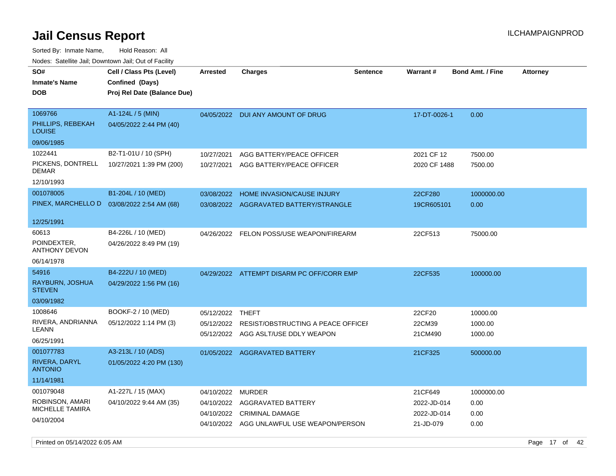| roaco. Calcinio dan, Domnomi dan, Cal or Fability                 |                                                                            |                                        |                                                                                                     |                 |                                                    |                                    |                 |
|-------------------------------------------------------------------|----------------------------------------------------------------------------|----------------------------------------|-----------------------------------------------------------------------------------------------------|-----------------|----------------------------------------------------|------------------------------------|-----------------|
| SO#<br><b>Inmate's Name</b><br>DOB                                | Cell / Class Pts (Level)<br>Confined (Days)<br>Proj Rel Date (Balance Due) | Arrested                               | <b>Charges</b>                                                                                      | <b>Sentence</b> | <b>Warrant#</b>                                    | <b>Bond Amt. / Fine</b>            | <b>Attorney</b> |
| 1069766<br>PHILLIPS, REBEKAH<br><b>LOUISE</b><br>09/06/1985       | A1-124L / 5 (MIN)<br>04/05/2022 2:44 PM (40)                               |                                        | 04/05/2022 DUI ANY AMOUNT OF DRUG                                                                   |                 | 17-DT-0026-1                                       | 0.00                               |                 |
| 1022441<br>PICKENS, DONTRELL<br>DEMAR<br>12/10/1993               | B2-T1-01U / 10 (SPH)<br>10/27/2021 1:39 PM (200)                           | 10/27/2021<br>10/27/2021               | AGG BATTERY/PEACE OFFICER<br>AGG BATTERY/PEACE OFFICER                                              |                 | 2021 CF 12<br>2020 CF 1488                         | 7500.00<br>7500.00                 |                 |
| 001078005<br>PINEX, MARCHELLO D                                   | B1-204L / 10 (MED)<br>03/08/2022 2:54 AM (68)                              | 03/08/2022<br>03/08/2022               | HOME INVASION/CAUSE INJURY<br>AGGRAVATED BATTERY/STRANGLE                                           |                 | 22CF280<br>19CR605101                              | 1000000.00<br>0.00                 |                 |
| 12/25/1991<br>60613<br>POINDEXTER,<br>ANTHONY DEVON<br>06/14/1978 | B4-226L / 10 (MED)<br>04/26/2022 8:49 PM (19)                              |                                        | 04/26/2022 FELON POSS/USE WEAPON/FIREARM                                                            |                 | 22CF513                                            | 75000.00                           |                 |
| 54916<br>RAYBURN, JOSHUA<br><b>STEVEN</b><br>03/09/1982           | B4-222U / 10 (MED)<br>04/29/2022 1:56 PM (16)                              |                                        | 04/29/2022 ATTEMPT DISARM PC OFF/CORR EMP                                                           |                 | 22CF535                                            | 100000.00                          |                 |
| 1008646<br>RIVERA, ANDRIANNA<br>LEANN<br>06/25/1991               | BOOKF-2 / 10 (MED)<br>05/12/2022 1:14 PM (3)                               | 05/12/2022 THEFT<br>05/12/2022         | RESIST/OBSTRUCTING A PEACE OFFICEF<br>05/12/2022 AGG ASLT/USE DDLY WEAPON                           |                 | 22CF20<br>22CM39<br>21CM490                        | 10000.00<br>1000.00<br>1000.00     |                 |
| 001077783<br>RIVERA, DARYL<br><b>ANTONIO</b><br>11/14/1981        | A3-213L / 10 (ADS)<br>01/05/2022 4:20 PM (130)                             |                                        | 01/05/2022 AGGRAVATED BATTERY                                                                       |                 | 21CF325                                            | 500000.00                          |                 |
| 001079048<br>ROBINSON, AMARI<br>MICHELLE TAMIRA<br>04/10/2004     | A1-227L / 15 (MAX)<br>04/10/2022 9:44 AM (35)                              | 04/10/2022<br>04/10/2022<br>04/10/2022 | MURDER<br>AGGRAVATED BATTERY<br><b>CRIMINAL DAMAGE</b><br>04/10/2022 AGG UNLAWFUL USE WEAPON/PERSON |                 | 21CF649<br>2022-JD-014<br>2022-JD-014<br>21-JD-079 | 1000000.00<br>0.00<br>0.00<br>0.00 |                 |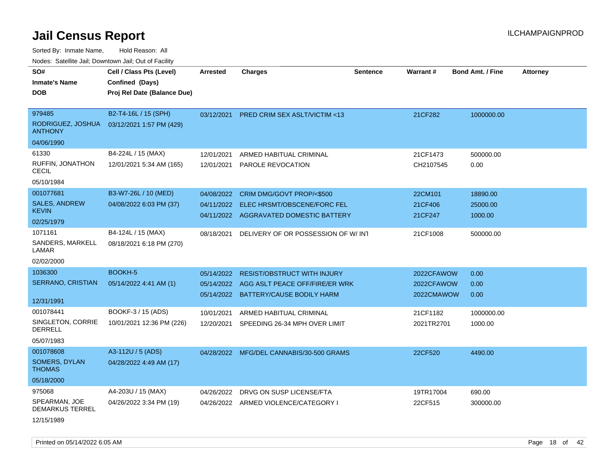Sorted By: Inmate Name, Hold Reason: All Nodes: Satellite Jail; Downtown Jail; Out of Facility

| SO#                                     | Cell / Class Pts (Level)    | <b>Arrested</b> | <b>Charges</b>                            | <b>Sentence</b> | Warrant #  | <b>Bond Amt. / Fine</b> | <b>Attorney</b> |
|-----------------------------------------|-----------------------------|-----------------|-------------------------------------------|-----------------|------------|-------------------------|-----------------|
| <b>Inmate's Name</b>                    | Confined (Days)             |                 |                                           |                 |            |                         |                 |
| <b>DOB</b>                              | Proj Rel Date (Balance Due) |                 |                                           |                 |            |                         |                 |
|                                         |                             |                 |                                           |                 |            |                         |                 |
| 979485                                  | B2-T4-16L / 15 (SPH)        | 03/12/2021      | PRED CRIM SEX ASLT/VICTIM <13             |                 | 21CF282    | 1000000.00              |                 |
| RODRIGUEZ, JOSHUA<br><b>ANTHONY</b>     | 03/12/2021 1:57 PM (429)    |                 |                                           |                 |            |                         |                 |
| 04/06/1990                              |                             |                 |                                           |                 |            |                         |                 |
| 61330                                   | B4-224L / 15 (MAX)          | 12/01/2021      | ARMED HABITUAL CRIMINAL                   |                 | 21CF1473   | 500000.00               |                 |
| <b>RUFFIN, JONATHON</b><br><b>CECIL</b> | 12/01/2021 5:34 AM (165)    | 12/01/2021      | PAROLE REVOCATION                         |                 | CH2107545  | 0.00                    |                 |
| 05/10/1984                              |                             |                 |                                           |                 |            |                         |                 |
| 001077681                               | B3-W7-26L / 10 (MED)        | 04/08/2022      | CRIM DMG/GOVT PROP/<\$500                 |                 | 22CM101    | 18890.00                |                 |
| <b>SALES, ANDREW</b>                    | 04/08/2022 6:03 PM (37)     |                 | 04/11/2022 ELEC HRSMT/OBSCENE/FORC FEL    |                 | 21CF406    | 25000.00                |                 |
| <b>KEVIN</b>                            |                             |                 | 04/11/2022 AGGRAVATED DOMESTIC BATTERY    |                 | 21CF247    | 1000.00                 |                 |
| 02/25/1979                              |                             |                 |                                           |                 |            |                         |                 |
| 1071161                                 | B4-124L / 15 (MAX)          | 08/18/2021      | DELIVERY OF OR POSSESSION OF W/INT        |                 | 21CF1008   | 500000.00               |                 |
| SANDERS, MARKELL<br>LAMAR               | 08/18/2021 6:18 PM (270)    |                 |                                           |                 |            |                         |                 |
| 02/02/2000                              |                             |                 |                                           |                 |            |                         |                 |
| 1036300                                 | BOOKH-5                     | 05/14/2022      | <b>RESIST/OBSTRUCT WITH INJURY</b>        |                 | 2022CFAWOW | 0.00                    |                 |
| SERRANO, CRISTIAN                       | 05/14/2022 4:41 AM (1)      |                 | 05/14/2022 AGG ASLT PEACE OFF/FIRE/ER WRK |                 | 2022CFAWOW | 0.00                    |                 |
| 12/31/1991                              |                             |                 | 05/14/2022 BATTERY/CAUSE BODILY HARM      |                 | 2022CMAWOW | 0.00                    |                 |
| 001078441                               | BOOKF-3 / 15 (ADS)          |                 |                                           |                 |            |                         |                 |
| SINGLETON, CORRIE                       | 10/01/2021 12:36 PM (226)   | 10/01/2021      | ARMED HABITUAL CRIMINAL                   |                 | 21CF1182   | 1000000.00              |                 |
| <b>DERRELL</b>                          |                             | 12/20/2021      | SPEEDING 26-34 MPH OVER LIMIT             |                 | 2021TR2701 | 1000.00                 |                 |
| 05/07/1983                              |                             |                 |                                           |                 |            |                         |                 |
| 001078608                               | A3-112U / 5 (ADS)           |                 | 04/28/2022 MFG/DEL CANNABIS/30-500 GRAMS  |                 | 22CF520    | 4490.00                 |                 |
| SOMERS, DYLAN<br><b>THOMAS</b>          | 04/28/2022 4:49 AM (17)     |                 |                                           |                 |            |                         |                 |
| 05/18/2000                              |                             |                 |                                           |                 |            |                         |                 |
| 975068                                  | A4-203U / 15 (MAX)          | 04/26/2022      | DRVG ON SUSP LICENSE/FTA                  |                 | 19TR17004  | 690.00                  |                 |
| SPEARMAN, JOE<br><b>DEMARKUS TERREL</b> | 04/26/2022 3:34 PM (19)     | 04/26/2022      | ARMED VIOLENCE/CATEGORY I                 |                 | 22CF515    | 300000.00               |                 |

12/15/1989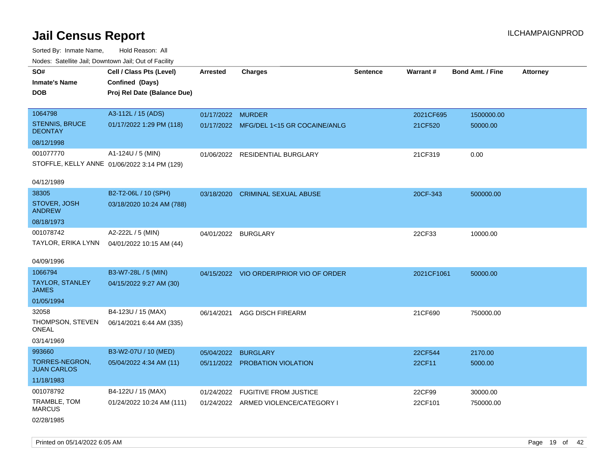Sorted By: Inmate Name, Hold Reason: All Nodes: Satellite Jail; Downtown Jail; Out of Facility

| roucs. Calcillic Jali, Downtown Jali, Out of Facility |                                              |                     |                                         |                 |            |                         |                 |
|-------------------------------------------------------|----------------------------------------------|---------------------|-----------------------------------------|-----------------|------------|-------------------------|-----------------|
| SO#                                                   | Cell / Class Pts (Level)                     | Arrested            | <b>Charges</b>                          | <b>Sentence</b> | Warrant#   | <b>Bond Amt. / Fine</b> | <b>Attorney</b> |
| <b>Inmate's Name</b>                                  | Confined (Days)                              |                     |                                         |                 |            |                         |                 |
| <b>DOB</b>                                            | Proj Rel Date (Balance Due)                  |                     |                                         |                 |            |                         |                 |
|                                                       |                                              |                     |                                         |                 |            |                         |                 |
| 1064798                                               | A3-112L / 15 (ADS)                           | 01/17/2022 MURDER   |                                         |                 | 2021CF695  | 1500000.00              |                 |
| <b>STENNIS, BRUCE</b><br><b>DEONTAY</b>               | 01/17/2022 1:29 PM (118)                     |                     | 01/17/2022 MFG/DEL 1<15 GR COCAINE/ANLG |                 | 21CF520    | 50000.00                |                 |
| 08/12/1998                                            |                                              |                     |                                         |                 |            |                         |                 |
| 001077770                                             | A1-124U / 5 (MIN)                            |                     | 01/06/2022 RESIDENTIAL BURGLARY         |                 | 21CF319    | 0.00                    |                 |
|                                                       | STOFFLE, KELLY ANNE 01/06/2022 3:14 PM (129) |                     |                                         |                 |            |                         |                 |
| 04/12/1989                                            |                                              |                     |                                         |                 |            |                         |                 |
| 38305                                                 | B2-T2-06L / 10 (SPH)                         |                     | 03/18/2020 CRIMINAL SEXUAL ABUSE        |                 | 20CF-343   | 500000.00               |                 |
| STOVER, JOSH<br><b>ANDREW</b>                         | 03/18/2020 10:24 AM (788)                    |                     |                                         |                 |            |                         |                 |
| 08/18/1973                                            |                                              |                     |                                         |                 |            |                         |                 |
| 001078742                                             | A2-222L / 5 (MIN)                            | 04/01/2022 BURGLARY |                                         |                 | 22CF33     | 10000.00                |                 |
| TAYLOR, ERIKA LYNN                                    | 04/01/2022 10:15 AM (44)                     |                     |                                         |                 |            |                         |                 |
| 04/09/1996                                            |                                              |                     |                                         |                 |            |                         |                 |
| 1066794                                               | B3-W7-28L / 5 (MIN)                          |                     | 04/15/2022 VIO ORDER/PRIOR VIO OF ORDER |                 | 2021CF1061 | 50000.00                |                 |
| <b>TAYLOR, STANLEY</b><br><b>JAMES</b>                | 04/15/2022 9:27 AM (30)                      |                     |                                         |                 |            |                         |                 |
| 01/05/1994                                            |                                              |                     |                                         |                 |            |                         |                 |
| 32058                                                 | B4-123U / 15 (MAX)                           | 06/14/2021          | <b>AGG DISCH FIREARM</b>                |                 | 21CF690    | 750000.00               |                 |
| THOMPSON, STEVEN<br><b>ONEAL</b>                      | 06/14/2021 6:44 AM (335)                     |                     |                                         |                 |            |                         |                 |
| 03/14/1969                                            |                                              |                     |                                         |                 |            |                         |                 |
| 993660                                                | B3-W2-07U / 10 (MED)                         | 05/04/2022          | <b>BURGLARY</b>                         |                 | 22CF544    | 2170.00                 |                 |
| <b>TORRES-NEGRON,</b><br><b>JUAN CARLOS</b>           | 05/04/2022 4:34 AM (11)                      |                     | 05/11/2022 PROBATION VIOLATION          |                 | 22CF11     | 5000.00                 |                 |
| 11/18/1983                                            |                                              |                     |                                         |                 |            |                         |                 |
| 001078792                                             | B4-122U / 15 (MAX)                           | 01/24/2022          | <b>FUGITIVE FROM JUSTICE</b>            |                 | 22CF99     | 30000.00                |                 |
| TRAMBLE, TOM<br><b>MARCUS</b>                         | 01/24/2022 10:24 AM (111)                    |                     | 01/24/2022 ARMED VIOLENCE/CATEGORY I    |                 | 22CF101    | 750000.00               |                 |
|                                                       |                                              |                     |                                         |                 |            |                         |                 |

02/28/1985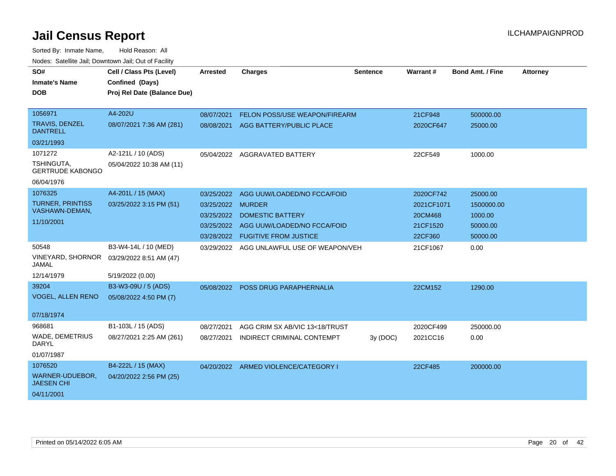| SO#                                      | Cell / Class Pts (Level)    | <b>Arrested</b> | <b>Charges</b>                       | <b>Sentence</b> | Warrant#   | <b>Bond Amt. / Fine</b> | <b>Attorney</b> |
|------------------------------------------|-----------------------------|-----------------|--------------------------------------|-----------------|------------|-------------------------|-----------------|
| <b>Inmate's Name</b>                     | Confined (Days)             |                 |                                      |                 |            |                         |                 |
| DOB                                      | Proj Rel Date (Balance Due) |                 |                                      |                 |            |                         |                 |
|                                          |                             |                 |                                      |                 |            |                         |                 |
| 1056971                                  | A4-202U                     | 08/07/2021      | <b>FELON POSS/USE WEAPON/FIREARM</b> |                 | 21CF948    | 500000.00               |                 |
| <b>TRAVIS, DENZEL</b><br><b>DANTRELL</b> | 08/07/2021 7:36 AM (281)    | 08/08/2021      | AGG BATTERY/PUBLIC PLACE             |                 | 2020CF647  | 25000.00                |                 |
| 03/21/1993                               |                             |                 |                                      |                 |            |                         |                 |
| 1071272                                  | A2-121L / 10 (ADS)          |                 | 05/04/2022 AGGRAVATED BATTERY        |                 | 22CF549    | 1000.00                 |                 |
| TSHINGUTA,<br><b>GERTRUDE KABONGO</b>    | 05/04/2022 10:38 AM (11)    |                 |                                      |                 |            |                         |                 |
| 06/04/1976                               |                             |                 |                                      |                 |            |                         |                 |
| 1076325                                  | A4-201L / 15 (MAX)          | 03/25/2022      | AGG UUW/LOADED/NO FCCA/FOID          |                 | 2020CF742  | 25000.00                |                 |
| <b>TURNER, PRINTISS</b>                  | 03/25/2022 3:15 PM (51)     | 03/25/2022      | <b>MURDER</b>                        |                 | 2021CF1071 | 1500000.00              |                 |
| VASHAWN-DEMAN,                           |                             | 03/25/2022      | <b>DOMESTIC BATTERY</b>              |                 | 20CM468    | 1000.00                 |                 |
| 11/10/2001                               |                             | 03/25/2022      | AGG UUW/LOADED/NO FCCA/FOID          |                 | 21CF1520   | 50000.00                |                 |
|                                          |                             | 03/28/2022      | <b>FUGITIVE FROM JUSTICE</b>         |                 | 22CF360    | 50000.00                |                 |
| 50548                                    | B3-W4-14L / 10 (MED)        | 03/29/2022      | AGG UNLAWFUL USE OF WEAPON/VEH       |                 | 21CF1067   | 0.00                    |                 |
| <b>VINEYARD, SHORNOR</b><br>JAMAL        | 03/29/2022 8:51 AM (47)     |                 |                                      |                 |            |                         |                 |
| 12/14/1979                               | 5/19/2022 (0.00)            |                 |                                      |                 |            |                         |                 |
| 39204                                    | B3-W3-09U / 5 (ADS)         |                 | 05/08/2022 POSS DRUG PARAPHERNALIA   |                 | 22CM152    | 1290.00                 |                 |
| <b>VOGEL, ALLEN RENO</b>                 | 05/08/2022 4:50 PM (7)      |                 |                                      |                 |            |                         |                 |
|                                          |                             |                 |                                      |                 |            |                         |                 |
| 07/18/1974                               |                             |                 |                                      |                 |            |                         |                 |
| 968681                                   | B1-103L / 15 (ADS)          | 08/27/2021      | AGG CRIM SX AB/VIC 13<18/TRUST       |                 | 2020CF499  | 250000.00               |                 |
| WADE, DEMETRIUS<br><b>DARYL</b>          | 08/27/2021 2:25 AM (261)    | 08/27/2021      | INDIRECT CRIMINAL CONTEMPT           | 3y(DOC)         | 2021CC16   | 0.00                    |                 |
| 01/07/1987                               |                             |                 |                                      |                 |            |                         |                 |
| 1076520                                  | B4-222L / 15 (MAX)          |                 | 04/20/2022 ARMED VIOLENCE/CATEGORY I |                 | 22CF485    | 200000.00               |                 |
| WARNER-UDUEBOR,<br><b>JAESEN CHI</b>     | 04/20/2022 2:56 PM (25)     |                 |                                      |                 |            |                         |                 |
| 04/11/2001                               |                             |                 |                                      |                 |            |                         |                 |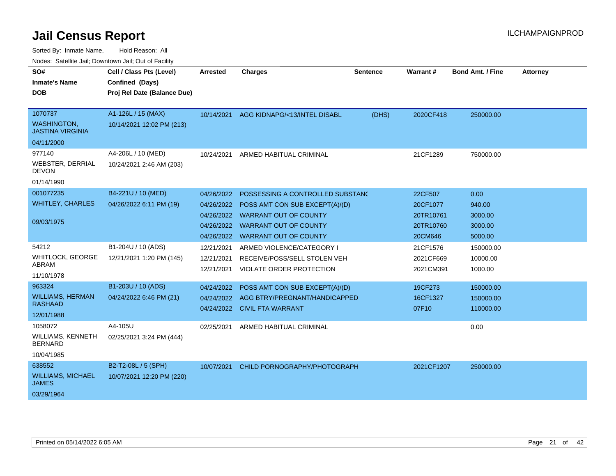| Nuuts. Saltiille Jali, Duwilluwii Jali, Oul of Facility |                             |            |                                         |                 |                 |                         |                 |
|---------------------------------------------------------|-----------------------------|------------|-----------------------------------------|-----------------|-----------------|-------------------------|-----------------|
| SO#                                                     | Cell / Class Pts (Level)    | Arrested   | <b>Charges</b>                          | <b>Sentence</b> | <b>Warrant#</b> | <b>Bond Amt. / Fine</b> | <b>Attorney</b> |
| <b>Inmate's Name</b>                                    | Confined (Days)             |            |                                         |                 |                 |                         |                 |
| DOB                                                     | Proj Rel Date (Balance Due) |            |                                         |                 |                 |                         |                 |
|                                                         |                             |            |                                         |                 |                 |                         |                 |
| 1070737                                                 | A1-126L / 15 (MAX)          |            | 10/14/2021 AGG KIDNAPG/<13/INTEL DISABL | (DHS)           | 2020CF418       | 250000.00               |                 |
| <b>WASHINGTON,</b><br><b>JASTINA VIRGINIA</b>           | 10/14/2021 12:02 PM (213)   |            |                                         |                 |                 |                         |                 |
| 04/11/2000                                              |                             |            |                                         |                 |                 |                         |                 |
| 977140                                                  | A4-206L / 10 (MED)          | 10/24/2021 | ARMED HABITUAL CRIMINAL                 |                 | 21CF1289        | 750000.00               |                 |
| WEBSTER, DERRIAL<br><b>DEVON</b>                        | 10/24/2021 2:46 AM (203)    |            |                                         |                 |                 |                         |                 |
| 01/14/1990                                              |                             |            |                                         |                 |                 |                         |                 |
| 001077235                                               | B4-221U / 10 (MED)          | 04/26/2022 | POSSESSING A CONTROLLED SUBSTAND        |                 | 22CF507         | 0.00                    |                 |
| <b>WHITLEY, CHARLES</b>                                 | 04/26/2022 6:11 PM (19)     | 04/26/2022 | POSS AMT CON SUB EXCEPT(A)/(D)          |                 | 20CF1077        | 940.00                  |                 |
|                                                         |                             | 04/26/2022 | WARRANT OUT OF COUNTY                   |                 | 20TR10761       | 3000.00                 |                 |
| 09/03/1975                                              |                             | 04/26/2022 | <b>WARRANT OUT OF COUNTY</b>            |                 | 20TR10760       | 3000.00                 |                 |
|                                                         |                             | 04/26/2022 | <b>WARRANT OUT OF COUNTY</b>            |                 | 20CM646         | 5000.00                 |                 |
| 54212                                                   | B1-204U / 10 (ADS)          | 12/21/2021 | ARMED VIOLENCE/CATEGORY I               |                 | 21CF1576        | 150000.00               |                 |
| <b>WHITLOCK, GEORGE</b>                                 | 12/21/2021 1:20 PM (145)    | 12/21/2021 | RECEIVE/POSS/SELL STOLEN VEH            |                 | 2021CF669       | 10000.00                |                 |
| ABRAM                                                   |                             | 12/21/2021 | VIOLATE ORDER PROTECTION                |                 | 2021CM391       | 1000.00                 |                 |
| 11/10/1978                                              |                             |            |                                         |                 |                 |                         |                 |
| 963324                                                  | B1-203U / 10 (ADS)          | 04/24/2022 | POSS AMT CON SUB EXCEPT(A)/(D)          |                 | 19CF273         | 150000.00               |                 |
| <b>WILLIAMS, HERMAN</b><br><b>RASHAAD</b>               | 04/24/2022 6:46 PM (21)     | 04/24/2022 | AGG BTRY/PREGNANT/HANDICAPPED           |                 | 16CF1327        | 150000.00               |                 |
|                                                         |                             |            | 04/24/2022 CIVIL FTA WARRANT            |                 | 07F10           | 110000.00               |                 |
| 12/01/1988                                              |                             |            |                                         |                 |                 |                         |                 |
| 1058072                                                 | A4-105U                     | 02/25/2021 | ARMED HABITUAL CRIMINAL                 |                 |                 | 0.00                    |                 |
| <b>WILLIAMS, KENNETH</b><br><b>BERNARD</b>              | 02/25/2021 3:24 PM (444)    |            |                                         |                 |                 |                         |                 |
| 10/04/1985                                              |                             |            |                                         |                 |                 |                         |                 |
| 638552                                                  | B2-T2-08L / 5 (SPH)         | 10/07/2021 | CHILD PORNOGRAPHY/PHOTOGRAPH            |                 | 2021CF1207      | 250000.00               |                 |
| <b>WILLIAMS, MICHAEL</b><br><b>JAMES</b>                | 10/07/2021 12:20 PM (220)   |            |                                         |                 |                 |                         |                 |
| 03/29/1964                                              |                             |            |                                         |                 |                 |                         |                 |
|                                                         |                             |            |                                         |                 |                 |                         |                 |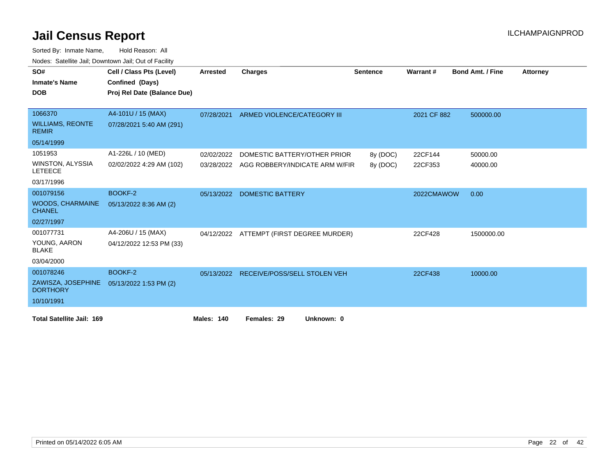| SO#                                       | Cell / Class Pts (Level)    | <b>Arrested</b> | Charges                                   | <b>Sentence</b> | Warrant#    | <b>Bond Amt. / Fine</b> | <b>Attorney</b> |
|-------------------------------------------|-----------------------------|-----------------|-------------------------------------------|-----------------|-------------|-------------------------|-----------------|
| <b>Inmate's Name</b>                      | Confined (Days)             |                 |                                           |                 |             |                         |                 |
| <b>DOB</b>                                | Proj Rel Date (Balance Due) |                 |                                           |                 |             |                         |                 |
|                                           |                             |                 |                                           |                 |             |                         |                 |
| 1066370                                   | A4-101U / 15 (MAX)          | 07/28/2021      | ARMED VIOLENCE/CATEGORY III               |                 | 2021 CF 882 | 500000.00               |                 |
| <b>WILLIAMS, REONTE</b><br><b>REMIR</b>   | 07/28/2021 5:40 AM (291)    |                 |                                           |                 |             |                         |                 |
| 05/14/1999                                |                             |                 |                                           |                 |             |                         |                 |
| 1051953                                   | A1-226L / 10 (MED)          | 02/02/2022      | DOMESTIC BATTERY/OTHER PRIOR              | 8y (DOC)        | 22CF144     | 50000.00                |                 |
| <b>WINSTON, ALYSSIA</b><br><b>LETEECE</b> | 02/02/2022 4:29 AM (102)    |                 | 03/28/2022 AGG ROBBERY/INDICATE ARM W/FIR | 8y (DOC)        | 22CF353     | 40000.00                |                 |
| 03/17/1996                                |                             |                 |                                           |                 |             |                         |                 |
| 001079156                                 | BOOKF-2                     | 05/13/2022      | <b>DOMESTIC BATTERY</b>                   |                 | 2022CMAWOW  | 0.00                    |                 |
| <b>WOODS, CHARMAINE</b><br><b>CHANEL</b>  | 05/13/2022 8:36 AM (2)      |                 |                                           |                 |             |                         |                 |
| 02/27/1997                                |                             |                 |                                           |                 |             |                         |                 |
| 001077731                                 | A4-206U / 15 (MAX)          |                 | 04/12/2022 ATTEMPT (FIRST DEGREE MURDER)  |                 | 22CF428     | 1500000.00              |                 |
| YOUNG, AARON<br><b>BLAKE</b>              | 04/12/2022 12:53 PM (33)    |                 |                                           |                 |             |                         |                 |
| 03/04/2000                                |                             |                 |                                           |                 |             |                         |                 |
| 001078246                                 | BOOKF-2                     | 05/13/2022      | RECEIVE/POSS/SELL STOLEN VEH              |                 | 22CF438     | 10000.00                |                 |
| ZAWISZA, JOSEPHINE<br><b>DORTHORY</b>     | 05/13/2022 1:53 PM (2)      |                 |                                           |                 |             |                         |                 |
| 10/10/1991                                |                             |                 |                                           |                 |             |                         |                 |
| <b>Total Satellite Jail: 169</b>          |                             | Males: 140      | Females: 29<br>Unknown: 0                 |                 |             |                         |                 |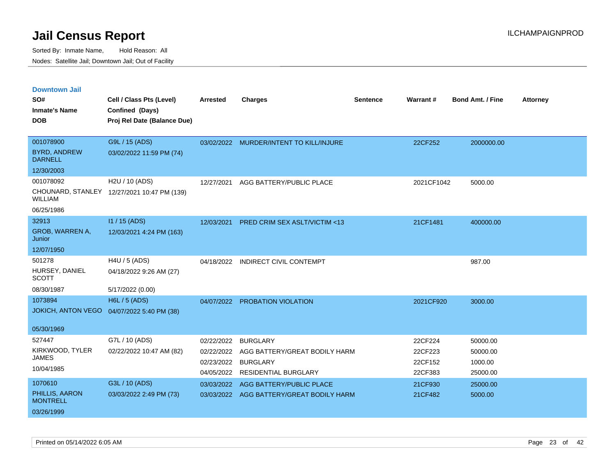| <b>Downtown Jail</b><br>SO#<br><b>Inmate's Name</b><br><b>DOB</b> | Cell / Class Pts (Level)<br>Confined (Days)<br>Proj Rel Date (Balance Due) | <b>Arrested</b>                                      | <b>Charges</b>                                                                                     | <b>Sentence</b> | Warrant#                                 | <b>Bond Amt. / Fine</b>                     | <b>Attorney</b> |
|-------------------------------------------------------------------|----------------------------------------------------------------------------|------------------------------------------------------|----------------------------------------------------------------------------------------------------|-----------------|------------------------------------------|---------------------------------------------|-----------------|
| 001078900<br><b>BYRD, ANDREW</b><br><b>DARNELL</b><br>12/30/2003  | G9L / 15 (ADS)<br>03/02/2022 11:59 PM (74)                                 |                                                      | 03/02/2022 MURDER/INTENT TO KILL/INJURE                                                            |                 | 22CF252                                  | 2000000.00                                  |                 |
| 001078092<br><b>WILLIAM</b><br>06/25/1986                         | H2U / 10 (ADS)<br>CHOUNARD, STANLEY 12/27/2021 10:47 PM (139)              | 12/27/2021                                           | AGG BATTERY/PUBLIC PLACE                                                                           |                 | 2021CF1042                               | 5000.00                                     |                 |
| 32913<br>GROB, WARREN A,<br>Junior<br>12/07/1950                  | $11/15$ (ADS)<br>12/03/2021 4:24 PM (163)                                  | 12/03/2021                                           | PRED CRIM SEX ASLT/VICTIM <13                                                                      |                 | 21CF1481                                 | 400000.00                                   |                 |
| 501278<br>HURSEY, DANIEL<br><b>SCOTT</b><br>08/30/1987            | H4U / 5 (ADS)<br>04/18/2022 9:26 AM (27)<br>5/17/2022 (0.00)               | 04/18/2022                                           | <b>INDIRECT CIVIL CONTEMPT</b>                                                                     |                 |                                          | 987.00                                      |                 |
| 1073894<br><b>JOKICH, ANTON VEGO</b><br>05/30/1969                | <b>H6L / 5 (ADS)</b><br>04/07/2022 5:40 PM (38)                            |                                                      | 04/07/2022 PROBATION VIOLATION                                                                     |                 | 2021CF920                                | 3000.00                                     |                 |
| 527447<br>KIRKWOOD, TYLER<br><b>JAMES</b><br>10/04/1985           | G7L / 10 (ADS)<br>02/22/2022 10:47 AM (82)                                 | 02/22/2022<br>02/22/2022<br>02/23/2022<br>04/05/2022 | <b>BURGLARY</b><br>AGG BATTERY/GREAT BODILY HARM<br><b>BURGLARY</b><br><b>RESIDENTIAL BURGLARY</b> |                 | 22CF224<br>22CF223<br>22CF152<br>22CF383 | 50000.00<br>50000.00<br>1000.00<br>25000.00 |                 |
| 1070610<br>PHILLIS, AARON<br><b>MONTRELL</b><br>03/26/1999        | G3L / 10 (ADS)<br>03/03/2022 2:49 PM (73)                                  | 03/03/2022                                           | AGG BATTERY/PUBLIC PLACE<br>03/03/2022 AGG BATTERY/GREAT BODILY HARM                               |                 | 21CF930<br>21CF482                       | 25000.00<br>5000.00                         |                 |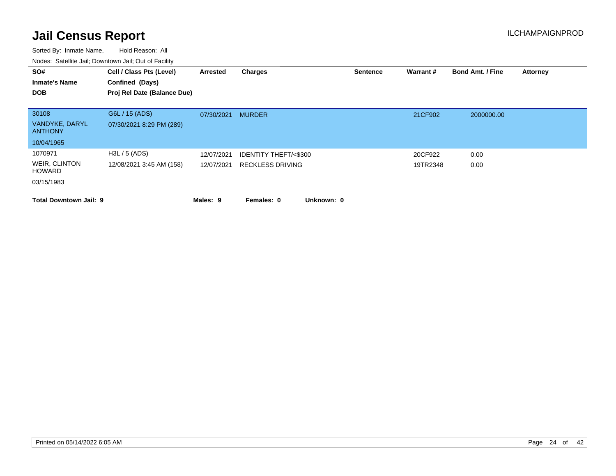| SO#<br><b>Inmate's Name</b>                             | Cell / Class Pts (Level)<br>Confined (Days) | Arrested                 | Charges                                                    |            | <b>Sentence</b> | Warrant#            | <b>Bond Amt. / Fine</b> | <b>Attorney</b> |
|---------------------------------------------------------|---------------------------------------------|--------------------------|------------------------------------------------------------|------------|-----------------|---------------------|-------------------------|-----------------|
| <b>DOB</b>                                              | Proj Rel Date (Balance Due)                 |                          |                                                            |            |                 |                     |                         |                 |
| 30108<br>VANDYKE, DARYL<br><b>ANTHONY</b>               | G6L / 15 (ADS)<br>07/30/2021 8:29 PM (289)  | 07/30/2021               | <b>MURDER</b>                                              |            |                 | 21CF902             | 2000000.00              |                 |
| 10/04/1965                                              |                                             |                          |                                                            |            |                 |                     |                         |                 |
| 1070971<br>WEIR, CLINTON<br><b>HOWARD</b><br>03/15/1983 | H3L / 5 (ADS)<br>12/08/2021 3:45 AM (158)   | 12/07/2021<br>12/07/2021 | <b>IDENTITY THEFT/&lt;\$300</b><br><b>RECKLESS DRIVING</b> |            |                 | 20CF922<br>19TR2348 | 0.00<br>0.00            |                 |
| <b>Total Downtown Jail: 9</b>                           |                                             | Males: 9                 | Females: 0                                                 | Unknown: 0 |                 |                     |                         |                 |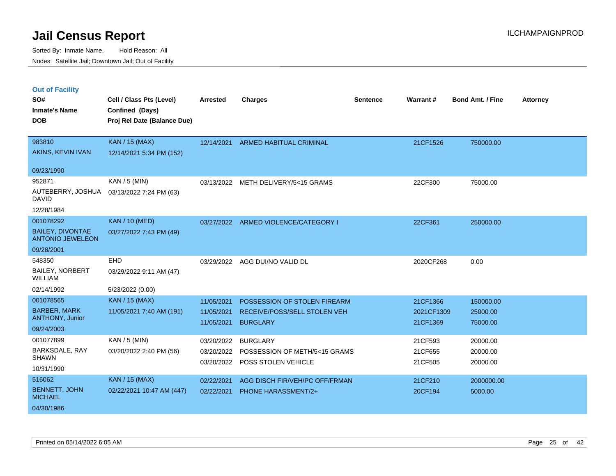Sorted By: Inmate Name, Hold Reason: All Nodes: Satellite Jail; Downtown Jail; Out of Facility

### **Out of Facility**

| SO#<br><b>Inmate's Name</b><br><b>DOB</b>                                | Cell / Class Pts (Level)<br>Confined (Days)<br>Proj Rel Date (Balance Due) | <b>Arrested</b>                        | <b>Charges</b>                                                                  | <b>Sentence</b> | Warrant#                           | <b>Bond Amt. / Fine</b>           | <b>Attorney</b> |
|--------------------------------------------------------------------------|----------------------------------------------------------------------------|----------------------------------------|---------------------------------------------------------------------------------|-----------------|------------------------------------|-----------------------------------|-----------------|
| 983810<br>AKINS, KEVIN IVAN                                              | KAN / 15 (MAX)<br>12/14/2021 5:34 PM (152)                                 |                                        | 12/14/2021 ARMED HABITUAL CRIMINAL                                              |                 | 21CF1526                           | 750000.00                         |                 |
| 09/23/1990                                                               |                                                                            |                                        |                                                                                 |                 |                                    |                                   |                 |
| 952871<br>AUTEBERRY, JOSHUA<br><b>DAVID</b>                              | $KAN / 5$ (MIN)<br>03/13/2022 7:24 PM (63)                                 |                                        | 03/13/2022 METH DELIVERY/5<15 GRAMS                                             |                 | 22CF300                            | 75000.00                          |                 |
| 12/28/1984                                                               |                                                                            |                                        |                                                                                 |                 |                                    |                                   |                 |
| 001078292<br><b>BAILEY, DIVONTAE</b><br><b>ANTONIO JEWELEON</b>          | <b>KAN / 10 (MED)</b><br>03/27/2022 7:43 PM (49)                           |                                        | 03/27/2022 ARMED VIOLENCE/CATEGORY I                                            |                 | 22CF361                            | 250000.00                         |                 |
| 09/28/2001                                                               |                                                                            |                                        |                                                                                 |                 |                                    |                                   |                 |
| 548350<br><b>BAILEY, NORBERT</b><br><b>WILLIAM</b>                       | EHD<br>03/29/2022 9:11 AM (47)                                             | 03/29/2022                             | AGG DUI/NO VALID DL                                                             |                 | 2020CF268                          | 0.00                              |                 |
| 02/14/1992                                                               | 5/23/2022 (0.00)                                                           |                                        |                                                                                 |                 |                                    |                                   |                 |
| 001078565<br><b>BARBER, MARK</b><br><b>ANTHONY, Junior</b><br>09/24/2003 | <b>KAN / 15 (MAX)</b><br>11/05/2021 7:40 AM (191)                          | 11/05/2021<br>11/05/2021<br>11/05/2021 | POSSESSION OF STOLEN FIREARM<br>RECEIVE/POSS/SELL STOLEN VEH<br><b>BURGLARY</b> |                 | 21CF1366<br>2021CF1309<br>21CF1369 | 150000.00<br>25000.00<br>75000.00 |                 |
| 001077899                                                                | $KAN / 5$ (MIN)                                                            | 03/20/2022                             | <b>BURGLARY</b>                                                                 |                 | 21CF593                            | 20000.00                          |                 |
| BARKSDALE, RAY<br><b>SHAWN</b><br>10/31/1990                             | 03/20/2022 2:40 PM (56)                                                    | 03/20/2022<br>03/20/2022               | POSSESSION OF METH/5<15 GRAMS<br>POSS STOLEN VEHICLE                            |                 | 21CF655<br>21CF505                 | 20000.00<br>20000.00              |                 |
| 516062<br><b>BENNETT, JOHN</b><br><b>MICHAEL</b><br>04/30/1986           | <b>KAN / 15 (MAX)</b><br>02/22/2021 10:47 AM (447)                         | 02/22/2021<br>02/22/2021               | AGG DISCH FIR/VEH/PC OFF/FRMAN<br><b>PHONE HARASSMENT/2+</b>                    |                 | 21CF210<br>20CF194                 | 2000000.00<br>5000.00             |                 |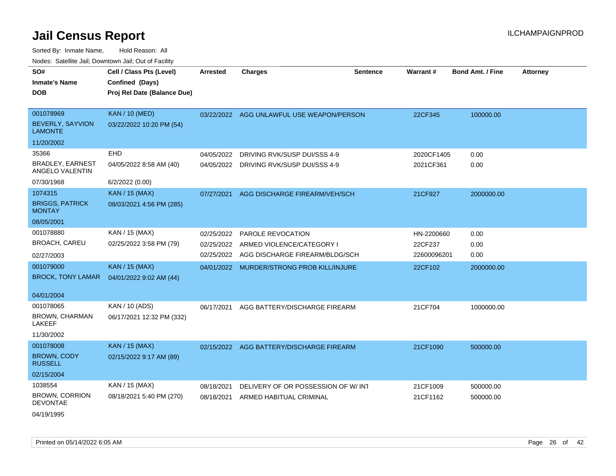| SO#                                        | Cell / Class Pts (Level)    | <b>Arrested</b> | <b>Charges</b>                            | <b>Sentence</b> | Warrant#    | <b>Bond Amt. / Fine</b> | <b>Attorney</b> |
|--------------------------------------------|-----------------------------|-----------------|-------------------------------------------|-----------------|-------------|-------------------------|-----------------|
| <b>Inmate's Name</b>                       | Confined (Days)             |                 |                                           |                 |             |                         |                 |
| <b>DOB</b>                                 | Proj Rel Date (Balance Due) |                 |                                           |                 |             |                         |                 |
|                                            |                             |                 |                                           |                 |             |                         |                 |
| 001078969                                  | <b>KAN / 10 (MED)</b>       |                 | 03/22/2022 AGG UNLAWFUL USE WEAPON/PERSON |                 | 22CF345     | 100000.00               |                 |
| <b>BEVERLY, SAYVION</b><br><b>LAMONTE</b>  | 03/22/2022 10:20 PM (54)    |                 |                                           |                 |             |                         |                 |
| 11/20/2002                                 |                             |                 |                                           |                 |             |                         |                 |
| 35366                                      | <b>EHD</b>                  | 04/05/2022      | DRIVING RVK/SUSP DUI/SSS 4-9              |                 | 2020CF1405  | 0.00                    |                 |
| <b>BRADLEY, EARNEST</b><br>ANGELO VALENTIN | 04/05/2022 8:58 AM (40)     | 04/05/2022      | DRIVING RVK/SUSP DUI/SSS 4-9              |                 | 2021CF361   | 0.00                    |                 |
| 07/30/1968                                 | 6/2/2022 (0.00)             |                 |                                           |                 |             |                         |                 |
| 1074315                                    | <b>KAN / 15 (MAX)</b>       | 07/27/2021      | AGG DISCHARGE FIREARM/VEH/SCH             |                 | 21CF927     | 2000000.00              |                 |
| <b>BRIGGS, PATRICK</b><br><b>MONTAY</b>    | 08/03/2021 4:56 PM (285)    |                 |                                           |                 |             |                         |                 |
| 08/05/2001                                 |                             |                 |                                           |                 |             |                         |                 |
| 001078880                                  | KAN / 15 (MAX)              | 02/25/2022      | <b>PAROLE REVOCATION</b>                  |                 | HN-2200660  | 0.00                    |                 |
| <b>BROACH, CAREU</b>                       | 02/25/2022 3:58 PM (79)     | 02/25/2022      | ARMED VIOLENCE/CATEGORY I                 |                 | 22CF237     | 0.00                    |                 |
| 02/27/2003                                 |                             | 02/25/2022      | AGG DISCHARGE FIREARM/BLDG/SCH            |                 | 22600096201 | 0.00                    |                 |
| 001079000                                  | <b>KAN / 15 (MAX)</b>       |                 | 04/01/2022 MURDER/STRONG PROB KILL/INJURE |                 | 22CF102     | 2000000.00              |                 |
| <b>BROCK, TONY LAMAR</b>                   | 04/01/2022 9:02 AM (44)     |                 |                                           |                 |             |                         |                 |
| 04/01/2004                                 |                             |                 |                                           |                 |             |                         |                 |
| 001078065                                  | KAN / 10 (ADS)              |                 |                                           |                 |             |                         |                 |
| <b>BROWN, CHARMAN</b>                      | 06/17/2021 12:32 PM (332)   | 06/17/2021      | AGG BATTERY/DISCHARGE FIREARM             |                 | 21CF704     | 1000000.00              |                 |
| <b>LAKEEF</b>                              |                             |                 |                                           |                 |             |                         |                 |
| 11/30/2002                                 |                             |                 |                                           |                 |             |                         |                 |
| 001078008                                  | <b>KAN / 15 (MAX)</b>       |                 | 02/15/2022 AGG BATTERY/DISCHARGE FIREARM  |                 | 21CF1090    | 500000.00               |                 |
| <b>BROWN, CODY</b><br><b>RUSSELL</b>       | 02/15/2022 9:17 AM (89)     |                 |                                           |                 |             |                         |                 |
| 02/15/2004                                 |                             |                 |                                           |                 |             |                         |                 |
| 1038554                                    | KAN / 15 (MAX)              | 08/18/2021      | DELIVERY OF OR POSSESSION OF W/INT        |                 | 21CF1009    | 500000.00               |                 |
| <b>BROWN, CORRION</b><br><b>DEVONTAE</b>   | 08/18/2021 5:40 PM (270)    | 08/18/2021      | ARMED HABITUAL CRIMINAL                   |                 | 21CF1162    | 500000.00               |                 |
| 04/19/1995                                 |                             |                 |                                           |                 |             |                         |                 |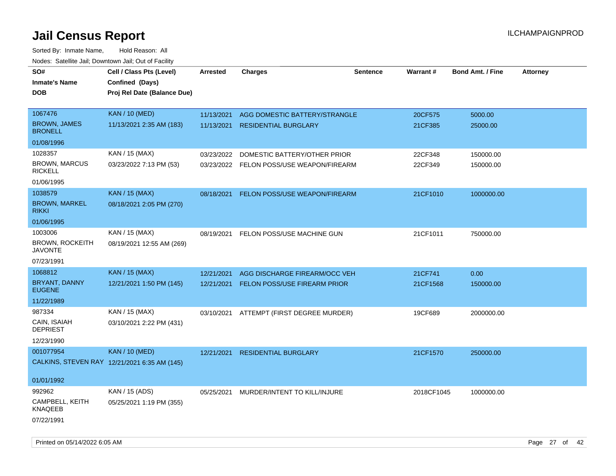| roaco. Catolino dall, Downtown dall, Out of Fability |                                              |            |                                          |                 |                 |                         |                 |
|------------------------------------------------------|----------------------------------------------|------------|------------------------------------------|-----------------|-----------------|-------------------------|-----------------|
| SO#                                                  | Cell / Class Pts (Level)                     | Arrested   | <b>Charges</b>                           | <b>Sentence</b> | <b>Warrant#</b> | <b>Bond Amt. / Fine</b> | <b>Attorney</b> |
| <b>Inmate's Name</b>                                 | Confined (Days)                              |            |                                          |                 |                 |                         |                 |
| <b>DOB</b>                                           | Proj Rel Date (Balance Due)                  |            |                                          |                 |                 |                         |                 |
|                                                      |                                              |            |                                          |                 |                 |                         |                 |
| 1067476                                              | <b>KAN / 10 (MED)</b>                        | 11/13/2021 | AGG DOMESTIC BATTERY/STRANGLE            |                 | 20CF575         | 5000.00                 |                 |
| <b>BROWN, JAMES</b><br><b>BRONELL</b>                | 11/13/2021 2:35 AM (183)                     | 11/13/2021 | <b>RESIDENTIAL BURGLARY</b>              |                 | 21CF385         | 25000.00                |                 |
| 01/08/1996                                           |                                              |            |                                          |                 |                 |                         |                 |
| 1028357                                              | KAN / 15 (MAX)                               | 03/23/2022 | DOMESTIC BATTERY/OTHER PRIOR             |                 | 22CF348         | 150000.00               |                 |
| <b>BROWN, MARCUS</b><br><b>RICKELL</b>               | 03/23/2022 7:13 PM (53)                      |            | 03/23/2022 FELON POSS/USE WEAPON/FIREARM |                 | 22CF349         | 150000.00               |                 |
| 01/06/1995                                           |                                              |            |                                          |                 |                 |                         |                 |
| 1038579                                              | <b>KAN / 15 (MAX)</b>                        | 08/18/2021 | FELON POSS/USE WEAPON/FIREARM            |                 | 21CF1010        | 1000000.00              |                 |
| <b>BROWN, MARKEL</b><br><b>RIKKI</b>                 | 08/18/2021 2:05 PM (270)                     |            |                                          |                 |                 |                         |                 |
| 01/06/1995                                           |                                              |            |                                          |                 |                 |                         |                 |
| 1003006                                              | KAN / 15 (MAX)                               | 08/19/2021 | FELON POSS/USE MACHINE GUN               |                 | 21CF1011        | 750000.00               |                 |
| <b>BROWN, ROCKEITH</b><br><b>JAVONTE</b>             | 08/19/2021 12:55 AM (269)                    |            |                                          |                 |                 |                         |                 |
| 07/23/1991                                           |                                              |            |                                          |                 |                 |                         |                 |
| 1068812                                              | <b>KAN / 15 (MAX)</b>                        | 12/21/2021 | AGG DISCHARGE FIREARM/OCC VEH            |                 | 21CF741         | 0.00                    |                 |
| BRYANT, DANNY<br><b>EUGENE</b>                       | 12/21/2021 1:50 PM (145)                     | 12/21/2021 | <b>FELON POSS/USE FIREARM PRIOR</b>      |                 | 21CF1568        | 150000.00               |                 |
| 11/22/1989                                           |                                              |            |                                          |                 |                 |                         |                 |
| 987334                                               | KAN / 15 (MAX)                               |            | 03/10/2021 ATTEMPT (FIRST DEGREE MURDER) |                 | 19CF689         | 2000000.00              |                 |
| CAIN, ISAIAH<br><b>DEPRIEST</b>                      | 03/10/2021 2:22 PM (431)                     |            |                                          |                 |                 |                         |                 |
| 12/23/1990                                           |                                              |            |                                          |                 |                 |                         |                 |
| 001077954                                            | <b>KAN / 10 (MED)</b>                        | 12/21/2021 | <b>RESIDENTIAL BURGLARY</b>              |                 | 21CF1570        | 250000.00               |                 |
|                                                      | CALKINS, STEVEN RAY 12/21/2021 6:35 AM (145) |            |                                          |                 |                 |                         |                 |
|                                                      |                                              |            |                                          |                 |                 |                         |                 |
| 01/01/1992                                           |                                              |            |                                          |                 |                 |                         |                 |
| 992962                                               | KAN / 15 (ADS)                               | 05/25/2021 | MURDER/INTENT TO KILL/INJURE             |                 | 2018CF1045      | 1000000.00              |                 |
| CAMPBELL, KEITH<br>KNAQEEB                           | 05/25/2021 1:19 PM (355)                     |            |                                          |                 |                 |                         |                 |
| 07/22/1991                                           |                                              |            |                                          |                 |                 |                         |                 |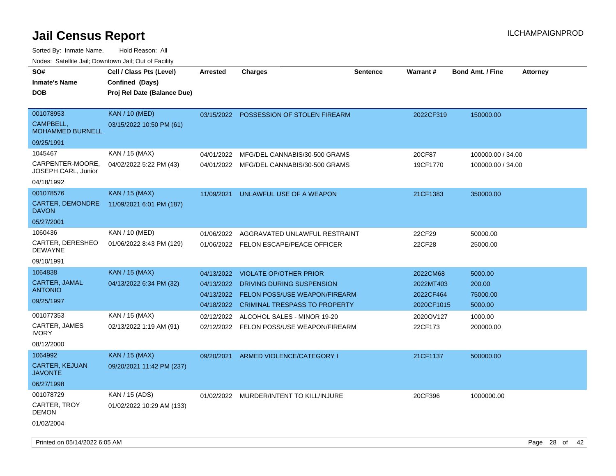| SO#<br><b>Inmate's Name</b><br><b>DOB</b>                                       | Cell / Class Pts (Level)<br>Confined (Days)<br>Proj Rel Date (Balance Due) | <b>Arrested</b>                                                    | <b>Charges</b>                                                                                                                                                     | <b>Sentence</b> | Warrant#                                                      | <b>Bond Amt. / Fine</b>                             | <b>Attorney</b> |
|---------------------------------------------------------------------------------|----------------------------------------------------------------------------|--------------------------------------------------------------------|--------------------------------------------------------------------------------------------------------------------------------------------------------------------|-----------------|---------------------------------------------------------------|-----------------------------------------------------|-----------------|
| 001078953<br>CAMPBELL,<br><b>MOHAMMED BURNELL</b><br>09/25/1991                 | <b>KAN / 10 (MED)</b><br>03/15/2022 10:50 PM (61)                          | 03/15/2022                                                         | POSSESSION OF STOLEN FIREARM                                                                                                                                       |                 | 2022CF319                                                     | 150000.00                                           |                 |
| 1045467<br>CARPENTER-MOORE.<br>JOSEPH CARL, Junior<br>04/18/1992                | KAN / 15 (MAX)<br>04/02/2022 5:22 PM (43)                                  | 04/01/2022                                                         | MFG/DEL CANNABIS/30-500 GRAMS<br>04/01/2022 MFG/DEL CANNABIS/30-500 GRAMS                                                                                          |                 | 20CF87<br>19CF1770                                            | 100000.00 / 34.00<br>100000.00 / 34.00              |                 |
| 001078576<br>CARTER, DEMONDRE<br><b>DAVON</b><br>05/27/2001                     | <b>KAN / 15 (MAX)</b><br>11/09/2021 6:01 PM (187)                          | 11/09/2021                                                         | UNLAWFUL USE OF A WEAPON                                                                                                                                           |                 | 21CF1383                                                      | 350000.00                                           |                 |
| 1060436<br>CARTER, DERESHEO<br><b>DEWAYNE</b><br>09/10/1991                     | KAN / 10 (MED)<br>01/06/2022 8:43 PM (129)                                 | 01/06/2022<br>01/06/2022                                           | AGGRAVATED UNLAWFUL RESTRAINT<br><b>FELON ESCAPE/PEACE OFFICER</b>                                                                                                 |                 | 22CF29<br>22CF28                                              | 50000.00<br>25000.00                                |                 |
| 1064838<br>CARTER, JAMAL<br>ANTONIO<br>09/25/1997<br>001077353<br>CARTER, JAMES | <b>KAN / 15 (MAX)</b><br>04/13/2022 6:34 PM (32)<br>KAN / 15 (MAX)         | 04/13/2022<br>04/13/2022<br>04/13/2022<br>04/18/2022<br>02/12/2022 | <b>VIOLATE OP/OTHER PRIOR</b><br>DRIVING DURING SUSPENSION<br>FELON POSS/USE WEAPON/FIREARM<br><b>CRIMINAL TRESPASS TO PROPERTY</b><br>ALCOHOL SALES - MINOR 19-20 |                 | 2022CM68<br>2022MT403<br>2022CF464<br>2020CF1015<br>2020OV127 | 5000.00<br>200.00<br>75000.00<br>5000.00<br>1000.00 |                 |
| <b>IVORY</b><br>08/12/2000                                                      | 02/13/2022 1:19 AM (91)                                                    | 02/12/2022                                                         | FELON POSS/USE WEAPON/FIREARM                                                                                                                                      |                 | 22CF173                                                       | 200000.00                                           |                 |
| 1064992<br>CARTER, KEJUAN<br><b>JAVONTE</b><br>06/27/1998                       | <b>KAN</b> / 15 (MAX)<br>09/20/2021 11:42 PM (237)                         | 09/20/2021                                                         | ARMED VIOLENCE/CATEGORY I                                                                                                                                          |                 | 21CF1137                                                      | 500000.00                                           |                 |
| 001078729<br>CARTER, TROY<br>DEMON<br>01/02/2004                                | KAN / 15 (ADS)<br>01/02/2022 10:29 AM (133)                                |                                                                    | 01/02/2022 MURDER/INTENT TO KILL/INJURE                                                                                                                            |                 | 20CF396                                                       | 1000000.00                                          |                 |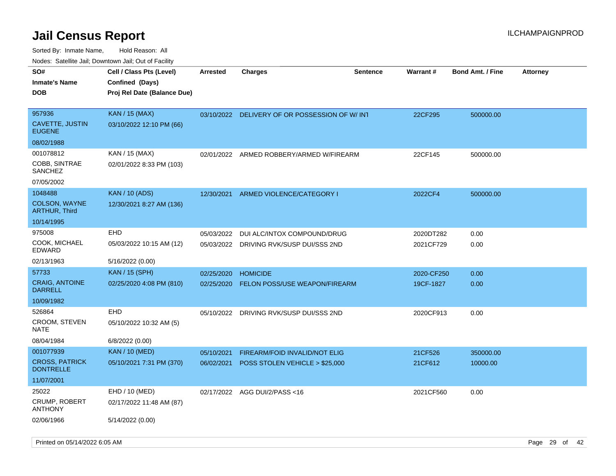| roaco. Calcinio dan, Downtown dan, Cal or Fability     |                                                                            |                          |                                                                 |                 |                        |                         |                 |
|--------------------------------------------------------|----------------------------------------------------------------------------|--------------------------|-----------------------------------------------------------------|-----------------|------------------------|-------------------------|-----------------|
| SO#<br>Inmate's Name<br>DOB                            | Cell / Class Pts (Level)<br>Confined (Days)<br>Proj Rel Date (Balance Due) | <b>Arrested</b>          | Charges                                                         | <b>Sentence</b> | Warrant#               | <b>Bond Amt. / Fine</b> | <b>Attorney</b> |
| 957936<br>CAVETTE, JUSTIN<br><b>EUGENE</b>             | <b>KAN / 15 (MAX)</b><br>03/10/2022 12:10 PM (66)                          |                          | 03/10/2022 DELIVERY OF OR POSSESSION OF W/INT                   |                 | 22CF295                | 500000.00               |                 |
| 08/02/1988                                             |                                                                            |                          |                                                                 |                 |                        |                         |                 |
| 001078812<br>COBB, SINTRAE<br>SANCHEZ                  | KAN / 15 (MAX)<br>02/01/2022 8:33 PM (103)                                 | 02/01/2022               | ARMED ROBBERY/ARMED W/FIREARM                                   |                 | 22CF145                | 500000.00               |                 |
| 07/05/2002                                             |                                                                            |                          |                                                                 |                 |                        |                         |                 |
| 1048488<br><b>COLSON, WAYNE</b><br>ARTHUR, Third       | <b>KAN / 10 (ADS)</b><br>12/30/2021 8:27 AM (136)                          | 12/30/2021               | ARMED VIOLENCE/CATEGORY I                                       |                 | 2022CF4                | 500000.00               |                 |
| 10/14/1995                                             |                                                                            |                          |                                                                 |                 |                        |                         |                 |
| 975008<br>COOK, MICHAEL<br>EDWARD                      | EHD<br>05/03/2022 10:15 AM (12)                                            | 05/03/2022<br>05/03/2022 | DUI ALC/INTOX COMPOUND/DRUG<br>DRIVING RVK/SUSP DUI/SSS 2ND     |                 | 2020DT282<br>2021CF729 | 0.00<br>0.00            |                 |
| 02/13/1963                                             | 5/16/2022 (0.00)                                                           |                          |                                                                 |                 |                        |                         |                 |
| 57733                                                  | <b>KAN / 15 (SPH)</b>                                                      | 02/25/2020               | <b>HOMICIDE</b>                                                 |                 | 2020-CF250             | 0.00                    |                 |
| <b>CRAIG, ANTOINE</b><br>DARRELL                       | 02/25/2020 4:08 PM (810)                                                   | 02/25/2020               | FELON POSS/USE WEAPON/FIREARM                                   |                 | 19CF-1827              | 0.00                    |                 |
| 10/09/1982                                             |                                                                            |                          |                                                                 |                 |                        |                         |                 |
| 526864<br>CROOM, STEVEN<br>NATE                        | EHD<br>05/10/2022 10:32 AM (5)                                             | 05/10/2022               | DRIVING RVK/SUSP DUI/SSS 2ND                                    |                 | 2020CF913              | 0.00                    |                 |
| 08/04/1984                                             | 6/8/2022 (0.00)                                                            |                          |                                                                 |                 |                        |                         |                 |
| 001077939<br><b>CROSS, PATRICK</b><br><b>DONTRELLE</b> | <b>KAN / 10 (MED)</b><br>05/10/2021 7:31 PM (370)                          | 05/10/2021<br>06/02/2021 | FIREARM/FOID INVALID/NOT ELIG<br>POSS STOLEN VEHICLE > \$25,000 |                 | 21CF526<br>21CF612     | 350000.00<br>10000.00   |                 |
| 11/07/2001                                             |                                                                            |                          |                                                                 |                 |                        |                         |                 |
| 25022<br>CRUMP, ROBERT<br><b>ANTHONY</b>               | EHD / 10 (MED)<br>02/17/2022 11:48 AM (87)                                 | 02/17/2022               | AGG DUI/2/PASS <16                                              |                 | 2021CF560              | 0.00                    |                 |
| 02/06/1966                                             | 5/14/2022 (0.00)                                                           |                          |                                                                 |                 |                        |                         |                 |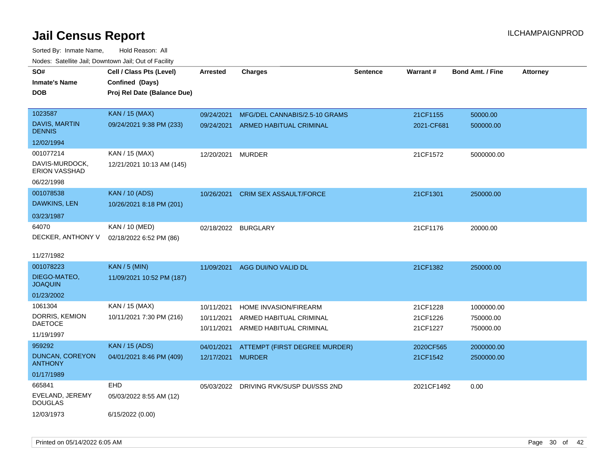| SO#<br><b>Inmate's Name</b><br><b>DOB</b>                                | Cell / Class Pts (Level)<br>Confined (Days)<br>Proj Rel Date (Balance Due) | <b>Arrested</b>                        | <b>Charges</b>                                                                     | <b>Sentence</b> | Warrant#                         | <b>Bond Amt. / Fine</b>              | <b>Attorney</b> |
|--------------------------------------------------------------------------|----------------------------------------------------------------------------|----------------------------------------|------------------------------------------------------------------------------------|-----------------|----------------------------------|--------------------------------------|-----------------|
| 1023587<br><b>DAVIS, MARTIN</b><br><b>DENNIS</b>                         | <b>KAN / 15 (MAX)</b><br>09/24/2021 9:38 PM (233)                          | 09/24/2021<br>09/24/2021               | MFG/DEL CANNABIS/2.5-10 GRAMS<br>ARMED HABITUAL CRIMINAL                           |                 | 21CF1155<br>2021-CF681           | 50000.00<br>500000.00                |                 |
| 12/02/1994<br>001077214<br>DAVIS-MURDOCK,<br>ERION VASSHAD<br>06/22/1998 | KAN / 15 (MAX)<br>12/21/2021 10:13 AM (145)                                | 12/20/2021                             | <b>MURDER</b>                                                                      |                 | 21CF1572                         | 5000000.00                           |                 |
| 001078538<br>DAWKINS, LEN<br>03/23/1987                                  | <b>KAN / 10 (ADS)</b><br>10/26/2021 8:18 PM (201)                          | 10/26/2021                             | <b>CRIM SEX ASSAULT/FORCE</b>                                                      |                 | 21CF1301                         | 250000.00                            |                 |
| 64070<br>DECKER, ANTHONY V<br>11/27/1982                                 | KAN / 10 (MED)<br>02/18/2022 6:52 PM (86)                                  | 02/18/2022                             | <b>BURGLARY</b>                                                                    |                 | 21CF1176                         | 20000.00                             |                 |
| 001078223<br>DIEGO-MATEO,<br><b>JOAQUIN</b><br>01/23/2002                | <b>KAN / 5 (MIN)</b><br>11/09/2021 10:52 PM (187)                          | 11/09/2021                             | AGG DUI/NO VALID DL                                                                |                 | 21CF1382                         | 250000.00                            |                 |
| 1061304<br>DORRIS, KEMION<br><b>DAETOCE</b><br>11/19/1997                | KAN / 15 (MAX)<br>10/11/2021 7:30 PM (216)                                 | 10/11/2021<br>10/11/2021<br>10/11/2021 | <b>HOME INVASION/FIREARM</b><br>ARMED HABITUAL CRIMINAL<br>ARMED HABITUAL CRIMINAL |                 | 21CF1228<br>21CF1226<br>21CF1227 | 1000000.00<br>750000.00<br>750000.00 |                 |
| 959292<br>DUNCAN, COREYON<br><b>ANTHONY</b><br>01/17/1989                | <b>KAN / 15 (ADS)</b><br>04/01/2021 8:46 PM (409)                          | 04/01/2021<br>12/17/2021 MURDER        | ATTEMPT (FIRST DEGREE MURDER)                                                      |                 | 2020CF565<br>21CF1542            | 2000000.00<br>2500000.00             |                 |
| 665841<br>EVELAND, JEREMY<br><b>DOUGLAS</b><br>12/03/1973                | EHD<br>05/03/2022 8:55 AM (12)<br>6/15/2022 (0.00)                         | 05/03/2022                             | DRIVING RVK/SUSP DUI/SSS 2ND                                                       |                 | 2021CF1492                       | 0.00                                 |                 |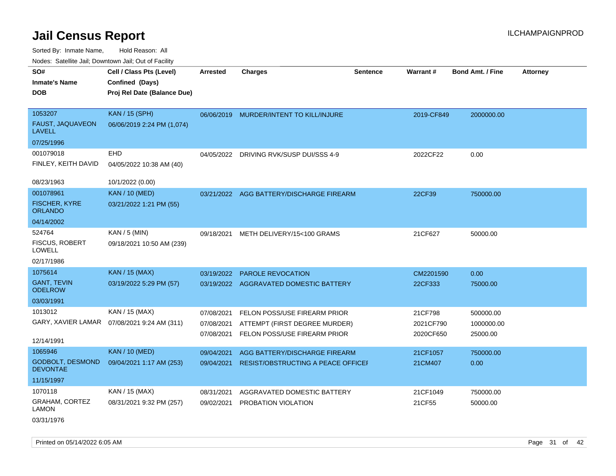Sorted By: Inmate Name, Hold Reason: All Nodes: Satellite Jail; Downtown Jail; Out of Facility

| SO#                                        | Cell / Class Pts (Level)    | <b>Arrested</b> | <b>Charges</b>                           | <b>Sentence</b> | Warrant#   | <b>Bond Amt. / Fine</b> | <b>Attorney</b> |
|--------------------------------------------|-----------------------------|-----------------|------------------------------------------|-----------------|------------|-------------------------|-----------------|
| <b>Inmate's Name</b>                       | Confined (Days)             |                 |                                          |                 |            |                         |                 |
| <b>DOB</b>                                 | Proj Rel Date (Balance Due) |                 |                                          |                 |            |                         |                 |
|                                            |                             |                 |                                          |                 |            |                         |                 |
| 1053207                                    | <b>KAN / 15 (SPH)</b>       |                 | 06/06/2019 MURDER/INTENT TO KILL/INJURE  |                 | 2019-CF849 | 2000000.00              |                 |
| FAUST, JAQUAVEON<br><b>LAVELL</b>          | 06/06/2019 2:24 PM (1,074)  |                 |                                          |                 |            |                         |                 |
| 07/25/1996                                 |                             |                 |                                          |                 |            |                         |                 |
| 001079018                                  | <b>EHD</b>                  |                 | 04/05/2022 DRIVING RVK/SUSP DUI/SSS 4-9  |                 | 2022CF22   | 0.00                    |                 |
| FINLEY, KEITH DAVID                        | 04/05/2022 10:38 AM (40)    |                 |                                          |                 |            |                         |                 |
| 08/23/1963                                 | 10/1/2022 (0.00)            |                 |                                          |                 |            |                         |                 |
| 001078961                                  | <b>KAN / 10 (MED)</b>       |                 | 03/21/2022 AGG BATTERY/DISCHARGE FIREARM |                 | 22CF39     | 750000.00               |                 |
| <b>FISCHER, KYRE</b><br><b>ORLANDO</b>     | 03/21/2022 1:21 PM (55)     |                 |                                          |                 |            |                         |                 |
| 04/14/2002                                 |                             |                 |                                          |                 |            |                         |                 |
| 524764                                     | KAN / 5 (MIN)               | 09/18/2021      | METH DELIVERY/15<100 GRAMS               |                 | 21CF627    | 50000.00                |                 |
| <b>FISCUS, ROBERT</b><br><b>LOWELL</b>     | 09/18/2021 10:50 AM (239)   |                 |                                          |                 |            |                         |                 |
| 02/17/1986                                 |                             |                 |                                          |                 |            |                         |                 |
| 1075614                                    | <b>KAN / 15 (MAX)</b>       | 03/19/2022      | PAROLE REVOCATION                        |                 | CM2201590  | 0.00                    |                 |
| <b>GANT, TEVIN</b><br><b>ODELROW</b>       | 03/19/2022 5:29 PM (57)     |                 | 03/19/2022 AGGRAVATED DOMESTIC BATTERY   |                 | 22CF333    | 75000.00                |                 |
| 03/03/1991                                 |                             |                 |                                          |                 |            |                         |                 |
| 1013012                                    | KAN / 15 (MAX)              | 07/08/2021      | FELON POSS/USE FIREARM PRIOR             |                 | 21CF798    | 500000.00               |                 |
| GARY, XAVIER LAMAR                         | 07/08/2021 9:24 AM (311)    | 07/08/2021      | ATTEMPT (FIRST DEGREE MURDER)            |                 | 2021CF790  | 1000000.00              |                 |
| 12/14/1991                                 |                             | 07/08/2021      | FELON POSS/USE FIREARM PRIOR             |                 | 2020CF650  | 25000.00                |                 |
| 1065946                                    | <b>KAN / 10 (MED)</b>       | 09/04/2021      | AGG BATTERY/DISCHARGE FIREARM            |                 | 21CF1057   | 750000.00               |                 |
| <b>GODBOLT, DESMOND</b><br><b>DEVONTAE</b> | 09/04/2021 1:17 AM (253)    | 09/04/2021      | RESIST/OBSTRUCTING A PEACE OFFICEI       |                 | 21CM407    | 0.00                    |                 |
| 11/15/1997                                 |                             |                 |                                          |                 |            |                         |                 |
| 1070118                                    | KAN / 15 (MAX)              | 08/31/2021      | AGGRAVATED DOMESTIC BATTERY              |                 | 21CF1049   | 750000.00               |                 |
| <b>GRAHAM, CORTEZ</b><br><b>LAMON</b>      | 08/31/2021 9:32 PM (257)    | 09/02/2021      | PROBATION VIOLATION                      |                 | 21CF55     | 50000.00                |                 |

03/31/1976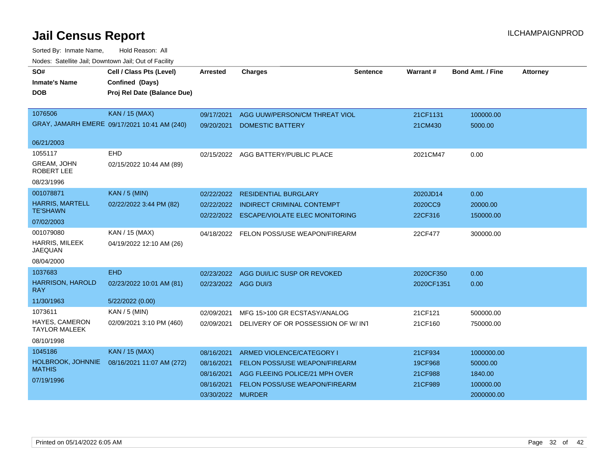| SO#<br><b>Inmate's Name</b><br><b>DOB</b> | Cell / Class Pts (Level)<br>Confined (Days)<br>Proj Rel Date (Balance Due) | <b>Arrested</b>      | <b>Charges</b>                           | <b>Sentence</b> | <b>Warrant#</b> | <b>Bond Amt. / Fine</b> | <b>Attorney</b> |
|-------------------------------------------|----------------------------------------------------------------------------|----------------------|------------------------------------------|-----------------|-----------------|-------------------------|-----------------|
| 1076506                                   | <b>KAN / 15 (MAX)</b>                                                      | 09/17/2021           | AGG UUW/PERSON/CM THREAT VIOL            |                 | 21CF1131        | 100000.00               |                 |
|                                           | GRAY, JAMARH EMERE 09/17/2021 10:41 AM (240)                               | 09/20/2021           | <b>DOMESTIC BATTERY</b>                  |                 | 21CM430         | 5000.00                 |                 |
| 06/21/2003                                |                                                                            |                      |                                          |                 |                 |                         |                 |
| 1055117                                   | <b>EHD</b>                                                                 |                      | 02/15/2022 AGG BATTERY/PUBLIC PLACE      |                 | 2021CM47        | 0.00                    |                 |
| <b>GREAM, JOHN</b><br><b>ROBERT LEE</b>   | 02/15/2022 10:44 AM (89)                                                   |                      |                                          |                 |                 |                         |                 |
| 08/23/1996                                |                                                                            |                      |                                          |                 |                 |                         |                 |
| 001078871                                 | <b>KAN / 5 (MIN)</b>                                                       | 02/22/2022           | <b>RESIDENTIAL BURGLARY</b>              |                 | 2020JD14        | 0.00                    |                 |
| <b>HARRIS, MARTELL</b>                    | 02/22/2022 3:44 PM (82)                                                    | 02/22/2022           | <b>INDIRECT CRIMINAL CONTEMPT</b>        |                 | 2020CC9         | 20000.00                |                 |
| <b>TE'SHAWN</b>                           |                                                                            | 02/22/2022           | <b>ESCAPE/VIOLATE ELEC MONITORING</b>    |                 | 22CF316         | 150000.00               |                 |
| 07/02/2003                                |                                                                            |                      |                                          |                 |                 |                         |                 |
| 001079080                                 | KAN / 15 (MAX)                                                             |                      | 04/18/2022 FELON POSS/USE WEAPON/FIREARM |                 | 22CF477         | 300000.00               |                 |
| <b>HARRIS, MILEEK</b><br><b>JAEQUAN</b>   | 04/19/2022 12:10 AM (26)                                                   |                      |                                          |                 |                 |                         |                 |
| 08/04/2000                                |                                                                            |                      |                                          |                 |                 |                         |                 |
| 1037683                                   | <b>EHD</b>                                                                 | 02/23/2022           | AGG DUI/LIC SUSP OR REVOKED              |                 | 2020CF350       | 0.00                    |                 |
| <b>HARRISON, HAROLD</b><br><b>RAY</b>     | 02/23/2022 10:01 AM (81)                                                   | 02/23/2022 AGG DUI/3 |                                          |                 | 2020CF1351      | 0.00                    |                 |
| 11/30/1963                                | 5/22/2022 (0.00)                                                           |                      |                                          |                 |                 |                         |                 |
| 1073611                                   | KAN / 5 (MIN)                                                              | 02/09/2021           | MFG 15>100 GR ECSTASY/ANALOG             |                 | 21CF121         | 500000.00               |                 |
| HAYES, CAMERON<br><b>TAYLOR MALEEK</b>    | 02/09/2021 3:10 PM (460)                                                   | 02/09/2021           | DELIVERY OF OR POSSESSION OF W/ INT      |                 | 21CF160         | 750000.00               |                 |
| 08/10/1998                                |                                                                            |                      |                                          |                 |                 |                         |                 |
| 1045186                                   | KAN / 15 (MAX)                                                             | 08/16/2021           | ARMED VIOLENCE/CATEGORY I                |                 | 21CF934         | 1000000.00              |                 |
| HOLBROOK, JOHNNIE                         | 08/16/2021 11:07 AM (272)                                                  | 08/16/2021           | <b>FELON POSS/USE WEAPON/FIREARM</b>     |                 | 19CF968         | 50000.00                |                 |
| <b>MATHIS</b>                             |                                                                            | 08/16/2021           | AGG FLEEING POLICE/21 MPH OVER           |                 | 21CF988         | 1840.00                 |                 |
| 07/19/1996                                |                                                                            | 08/16/2021           | FELON POSS/USE WEAPON/FIREARM            |                 | 21CF989         | 100000.00               |                 |
|                                           |                                                                            | 03/30/2022 MURDER    |                                          |                 |                 | 2000000.00              |                 |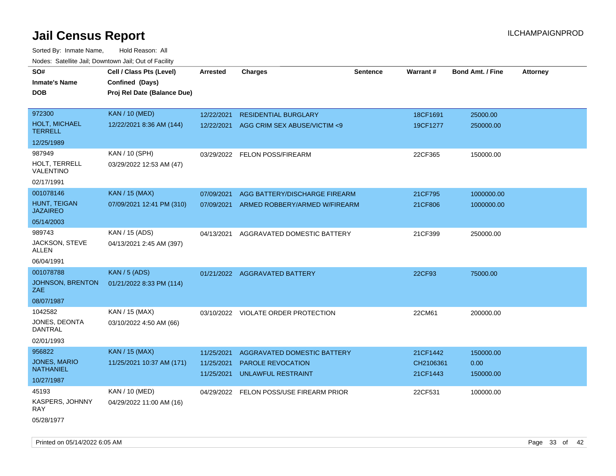| roaco. Catolino cali, Downtown cali, Out of Facility |                             |                 |                                         |                 |           |                         |                 |
|------------------------------------------------------|-----------------------------|-----------------|-----------------------------------------|-----------------|-----------|-------------------------|-----------------|
| SO#                                                  | Cell / Class Pts (Level)    | <b>Arrested</b> | <b>Charges</b>                          | <b>Sentence</b> | Warrant#  | <b>Bond Amt. / Fine</b> | <b>Attorney</b> |
| Inmate's Name                                        | Confined (Days)             |                 |                                         |                 |           |                         |                 |
| DOB                                                  | Proj Rel Date (Balance Due) |                 |                                         |                 |           |                         |                 |
|                                                      |                             |                 |                                         |                 |           |                         |                 |
| 972300                                               | <b>KAN / 10 (MED)</b>       | 12/22/2021      | <b>RESIDENTIAL BURGLARY</b>             |                 | 18CF1691  | 25000.00                |                 |
| <b>HOLT, MICHAEL</b><br><b>TERRELL</b>               | 12/22/2021 8:36 AM (144)    | 12/22/2021      | AGG CRIM SEX ABUSE/VICTIM <9            |                 | 19CF1277  | 250000.00               |                 |
| 12/25/1989                                           |                             |                 |                                         |                 |           |                         |                 |
| 987949                                               | KAN / 10 (SPH)              |                 | 03/29/2022 FELON POSS/FIREARM           |                 | 22CF365   | 150000.00               |                 |
| HOLT, TERRELL<br>VALENTINO                           | 03/29/2022 12:53 AM (47)    |                 |                                         |                 |           |                         |                 |
| 02/17/1991                                           |                             |                 |                                         |                 |           |                         |                 |
| 001078146                                            | KAN / 15 (MAX)              | 07/09/2021      | AGG BATTERY/DISCHARGE FIREARM           |                 | 21CF795   | 1000000.00              |                 |
| HUNT, TEIGAN<br><b>JAZAIREO</b>                      | 07/09/2021 12:41 PM (310)   | 07/09/2021      | ARMED ROBBERY/ARMED W/FIREARM           |                 | 21CF806   | 1000000.00              |                 |
| 05/14/2003                                           |                             |                 |                                         |                 |           |                         |                 |
| 989743                                               | KAN / 15 (ADS)              | 04/13/2021      | AGGRAVATED DOMESTIC BATTERY             |                 | 21CF399   | 250000.00               |                 |
| JACKSON, STEVE<br>ALLEN                              | 04/13/2021 2:45 AM (397)    |                 |                                         |                 |           |                         |                 |
| 06/04/1991                                           |                             |                 |                                         |                 |           |                         |                 |
| 001078788                                            | KAN / 5 (ADS)               |                 | 01/21/2022 AGGRAVATED BATTERY           |                 | 22CF93    | 75000.00                |                 |
| <b>JOHNSON, BRENTON</b><br>ZAE                       | 01/21/2022 8:33 PM (114)    |                 |                                         |                 |           |                         |                 |
| 08/07/1987                                           |                             |                 |                                         |                 |           |                         |                 |
| 1042582                                              | KAN / 15 (MAX)              |                 | 03/10/2022 VIOLATE ORDER PROTECTION     |                 | 22CM61    | 200000.00               |                 |
| JONES, DEONTA<br><b>DANTRAL</b>                      | 03/10/2022 4:50 AM (66)     |                 |                                         |                 |           |                         |                 |
| 02/01/1993                                           |                             |                 |                                         |                 |           |                         |                 |
| 956822                                               | <b>KAN / 15 (MAX)</b>       | 11/25/2021      | AGGRAVATED DOMESTIC BATTERY             |                 | 21CF1442  | 150000.00               |                 |
| <b>JONES, MARIO</b><br><b>NATHANIEL</b>              | 11/25/2021 10:37 AM (171)   | 11/25/2021      | PAROLE REVOCATION                       |                 | CH2106361 | 0.00                    |                 |
| 10/27/1987                                           |                             | 11/25/2021      | <b>UNLAWFUL RESTRAINT</b>               |                 | 21CF1443  | 150000.00               |                 |
| 45193                                                | KAN / 10 (MED)              |                 | 04/29/2022 FELON POSS/USE FIREARM PRIOR |                 | 22CF531   | 100000.00               |                 |
| KASPERS, JOHNNY<br>RAY                               | 04/29/2022 11:00 AM (16)    |                 |                                         |                 |           |                         |                 |
| 05/28/1977                                           |                             |                 |                                         |                 |           |                         |                 |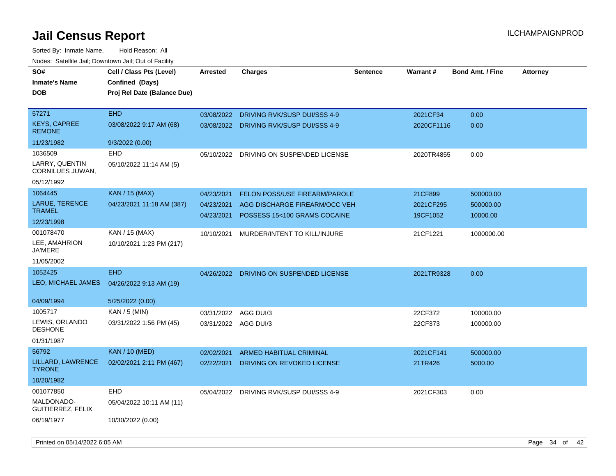| rouco. Calcinic Jan, Downtown Jan, Out of Facility |                             |                      |                                         |                 |                 |                         |                 |
|----------------------------------------------------|-----------------------------|----------------------|-----------------------------------------|-----------------|-----------------|-------------------------|-----------------|
| SO#                                                | Cell / Class Pts (Level)    | <b>Arrested</b>      | <b>Charges</b>                          | <b>Sentence</b> | <b>Warrant#</b> | <b>Bond Amt. / Fine</b> | <b>Attorney</b> |
| Inmate's Name                                      | Confined (Days)             |                      |                                         |                 |                 |                         |                 |
| DOB                                                | Proj Rel Date (Balance Due) |                      |                                         |                 |                 |                         |                 |
|                                                    |                             |                      |                                         |                 |                 |                         |                 |
| 57271                                              | <b>EHD</b>                  | 03/08/2022           | DRIVING RVK/SUSP DUI/SSS 4-9            |                 | 2021CF34        | 0.00                    |                 |
| KEYS, CAPREE<br><b>REMONE</b>                      | 03/08/2022 9:17 AM (68)     |                      | 03/08/2022 DRIVING RVK/SUSP DUI/SSS 4-9 |                 | 2020CF1116      | 0.00                    |                 |
| 11/23/1982                                         | 9/3/2022 (0.00)             |                      |                                         |                 |                 |                         |                 |
| 1036509                                            | <b>EHD</b>                  | 05/10/2022           | DRIVING ON SUSPENDED LICENSE            |                 | 2020TR4855      | 0.00                    |                 |
| LARRY, QUENTIN<br>CORNILUES JUWAN,                 | 05/10/2022 11:14 AM (5)     |                      |                                         |                 |                 |                         |                 |
| 05/12/1992                                         |                             |                      |                                         |                 |                 |                         |                 |
| 1064445                                            | <b>KAN</b> / 15 (MAX)       | 04/23/2021           | <b>FELON POSS/USE FIREARM/PAROLE</b>    |                 | 21CF899         | 500000.00               |                 |
| <b>LARUE, TERENCE</b>                              | 04/23/2021 11:18 AM (387)   | 04/23/2021           | AGG DISCHARGE FIREARM/OCC VEH           |                 | 2021CF295       | 500000.00               |                 |
| TRAMEL                                             |                             | 04/23/2021           | POSSESS 15<100 GRAMS COCAINE            |                 | 19CF1052        | 10000.00                |                 |
| 12/23/1998                                         |                             |                      |                                         |                 |                 |                         |                 |
| 001078470                                          | KAN / 15 (MAX)              | 10/10/2021           | MURDER/INTENT TO KILL/INJURE            |                 | 21CF1221        | 1000000.00              |                 |
| LEE, AMAHRION<br>JA'MERE                           | 10/10/2021 1:23 PM (217)    |                      |                                         |                 |                 |                         |                 |
| 11/05/2002                                         |                             |                      |                                         |                 |                 |                         |                 |
| 1052425                                            | <b>EHD</b>                  |                      | 04/26/2022 DRIVING ON SUSPENDED LICENSE |                 | 2021TR9328      | 0.00                    |                 |
| LEO, MICHAEL JAMES                                 | 04/26/2022 9:13 AM (19)     |                      |                                         |                 |                 |                         |                 |
| 04/09/1994                                         | 5/25/2022 (0.00)            |                      |                                         |                 |                 |                         |                 |
| 1005717                                            | KAN / 5 (MIN)               | 03/31/2022           | AGG DUI/3                               |                 | 22CF372         | 100000.00               |                 |
| LEWIS, ORLANDO<br>DESHONE                          | 03/31/2022 1:56 PM (45)     | 03/31/2022 AGG DUI/3 |                                         |                 | 22CF373         | 100000.00               |                 |
| 01/31/1987                                         |                             |                      |                                         |                 |                 |                         |                 |
| 56792                                              | <b>KAN / 10 (MED)</b>       | 02/02/2021           | ARMED HABITUAL CRIMINAL                 |                 | 2021CF141       | 500000.00               |                 |
| LILLARD, LAWRENCE<br><b>TYRONE</b>                 | 02/02/2021 2:11 PM (467)    | 02/22/2021           | DRIVING ON REVOKED LICENSE              |                 | 21TR426         | 5000.00                 |                 |
| 10/20/1982                                         |                             |                      |                                         |                 |                 |                         |                 |
| 001077850                                          | EHD                         | 05/04/2022           | DRIVING RVK/SUSP DUI/SSS 4-9            |                 | 2021CF303       | 0.00                    |                 |
| MALDONADO-<br>GUITIERREZ, FELIX                    | 05/04/2022 10:11 AM (11)    |                      |                                         |                 |                 |                         |                 |
| 06/19/1977                                         | 10/30/2022 (0.00)           |                      |                                         |                 |                 |                         |                 |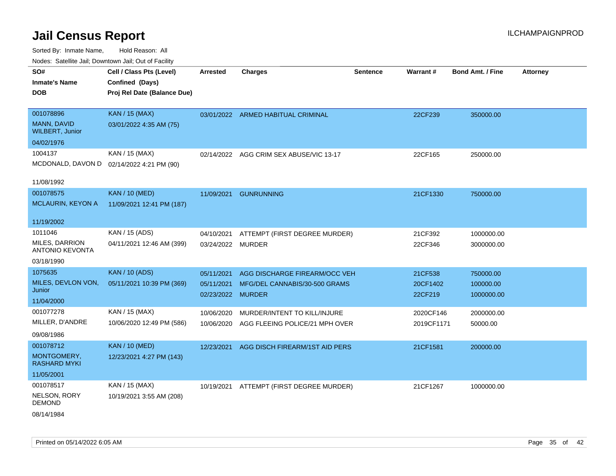Sorted By: Inmate Name, Hold Reason: All Nodes: Satellite Jail; Downtown Jail; Out of Facility

| roaco. Catolino cali, Domntonn cali, Out of Facility |                                             |                   |                                         |                 |            |                         |                 |
|------------------------------------------------------|---------------------------------------------|-------------------|-----------------------------------------|-----------------|------------|-------------------------|-----------------|
| SO#<br><b>Inmate's Name</b>                          | Cell / Class Pts (Level)<br>Confined (Days) | <b>Arrested</b>   | <b>Charges</b>                          | <b>Sentence</b> | Warrant#   | <b>Bond Amt. / Fine</b> | <b>Attorney</b> |
| <b>DOB</b>                                           | Proj Rel Date (Balance Due)                 |                   |                                         |                 |            |                         |                 |
| 001078896                                            | <b>KAN / 15 (MAX)</b>                       |                   | 03/01/2022 ARMED HABITUAL CRIMINAL      |                 | 22CF239    | 350000.00               |                 |
| MANN, DAVID<br><b>WILBERT, Junior</b>                | 03/01/2022 4:35 AM (75)                     |                   |                                         |                 |            |                         |                 |
| 04/02/1976                                           |                                             |                   |                                         |                 |            |                         |                 |
| 1004137                                              | KAN / 15 (MAX)                              |                   | 02/14/2022 AGG CRIM SEX ABUSE/VIC 13-17 |                 | 22CF165    | 250000.00               |                 |
|                                                      | MCDONALD, DAVON D 02/14/2022 4:21 PM (90)   |                   |                                         |                 |            |                         |                 |
| 11/08/1992                                           |                                             |                   |                                         |                 |            |                         |                 |
| 001078575                                            | <b>KAN / 10 (MED)</b>                       | 11/09/2021        | <b>GUNRUNNING</b>                       |                 | 21CF1330   | 750000.00               |                 |
| <b>MCLAURIN, KEYON A</b>                             | 11/09/2021 12:41 PM (187)                   |                   |                                         |                 |            |                         |                 |
| 11/19/2002                                           |                                             |                   |                                         |                 |            |                         |                 |
| 1011046                                              | KAN / 15 (ADS)                              | 04/10/2021        | ATTEMPT (FIRST DEGREE MURDER)           |                 | 21CF392    | 1000000.00              |                 |
| MILES, DARRION<br><b>ANTONIO KEVONTA</b>             | 04/11/2021 12:46 AM (399)                   | 03/24/2022 MURDER |                                         |                 | 22CF346    | 3000000.00              |                 |
| 03/18/1990                                           |                                             |                   |                                         |                 |            |                         |                 |
| 1075635                                              | <b>KAN / 10 (ADS)</b>                       | 05/11/2021        | AGG DISCHARGE FIREARM/OCC VEH           |                 | 21CF538    | 750000.00               |                 |
| MILES, DEVLON VON,                                   | 05/11/2021 10:39 PM (369)                   | 05/11/2021        | MFG/DEL CANNABIS/30-500 GRAMS           |                 | 20CF1402   | 100000.00               |                 |
| Junior                                               |                                             | 02/23/2022 MURDER |                                         |                 | 22CF219    | 1000000.00              |                 |
| 11/04/2000                                           |                                             |                   |                                         |                 |            |                         |                 |
| 001077278                                            | KAN / 15 (MAX)                              | 10/06/2020        | MURDER/INTENT TO KILL/INJURE            |                 | 2020CF146  | 2000000.00              |                 |
| MILLER, D'ANDRE                                      | 10/06/2020 12:49 PM (586)                   | 10/06/2020        | AGG FLEEING POLICE/21 MPH OVER          |                 | 2019CF1171 | 50000.00                |                 |
| 09/08/1986                                           |                                             |                   |                                         |                 |            |                         |                 |
| 001078712                                            | <b>KAN / 10 (MED)</b>                       | 12/23/2021        | AGG DISCH FIREARM/1ST AID PERS          |                 | 21CF1581   | 200000.00               |                 |
| MONTGOMERY,<br><b>RASHARD MYKI</b>                   | 12/23/2021 4:27 PM (143)                    |                   |                                         |                 |            |                         |                 |
| 11/05/2001                                           |                                             |                   |                                         |                 |            |                         |                 |
| 001078517                                            | KAN / 15 (MAX)                              | 10/19/2021        | ATTEMPT (FIRST DEGREE MURDER)           |                 | 21CF1267   | 1000000.00              |                 |
| NELSON, RORY<br><b>DEMOND</b>                        | 10/19/2021 3:55 AM (208)                    |                   |                                         |                 |            |                         |                 |
| - - <i>.</i> - - .                                   |                                             |                   |                                         |                 |            |                         |                 |

08/14/1984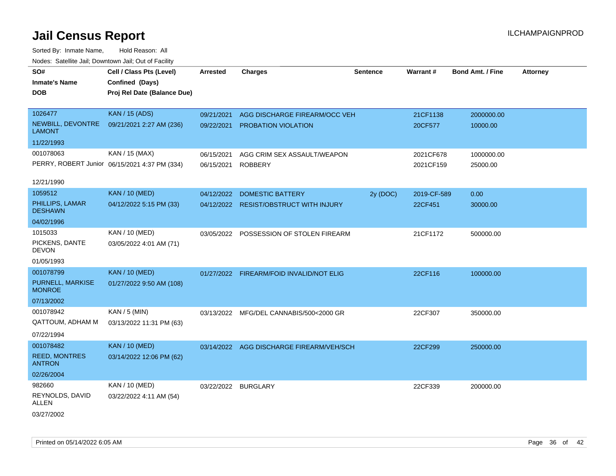| rouce. Calcinic Jan, Downtown Jan, Out or Facility |                                               |                     |                                          |                 |             |                         |                 |
|----------------------------------------------------|-----------------------------------------------|---------------------|------------------------------------------|-----------------|-------------|-------------------------|-----------------|
| SO#                                                | Cell / Class Pts (Level)                      | <b>Arrested</b>     | <b>Charges</b>                           | <b>Sentence</b> | Warrant#    | <b>Bond Amt. / Fine</b> | <b>Attorney</b> |
| <b>Inmate's Name</b>                               | Confined (Days)                               |                     |                                          |                 |             |                         |                 |
| <b>DOB</b>                                         | Proj Rel Date (Balance Due)                   |                     |                                          |                 |             |                         |                 |
|                                                    |                                               |                     |                                          |                 |             |                         |                 |
| 1026477                                            | <b>KAN / 15 (ADS)</b>                         | 09/21/2021          | AGG DISCHARGE FIREARM/OCC VEH            |                 | 21CF1138    | 2000000.00              |                 |
| NEWBILL, DEVONTRE<br><b>LAMONT</b>                 | 09/21/2021 2:27 AM (236)                      | 09/22/2021          | PROBATION VIOLATION                      |                 | 20CF577     | 10000.00                |                 |
| 11/22/1993                                         |                                               |                     |                                          |                 |             |                         |                 |
| 001078063                                          | KAN / 15 (MAX)                                | 06/15/2021          | AGG CRIM SEX ASSAULT/WEAPON              |                 | 2021CF678   | 1000000.00              |                 |
|                                                    | PERRY, ROBERT Junior 06/15/2021 4:37 PM (334) | 06/15/2021          | <b>ROBBERY</b>                           |                 | 2021CF159   | 25000.00                |                 |
| 12/21/1990                                         |                                               |                     |                                          |                 |             |                         |                 |
| 1059512                                            | <b>KAN / 10 (MED)</b>                         |                     | 04/12/2022 DOMESTIC BATTERY              | 2y (DOC)        | 2019-CF-589 | 0.00                    |                 |
| PHILLIPS, LAMAR<br><b>DESHAWN</b>                  | 04/12/2022 5:15 PM (33)                       |                     | 04/12/2022 RESIST/OBSTRUCT WITH INJURY   |                 | 22CF451     | 30000.00                |                 |
| 04/02/1996                                         |                                               |                     |                                          |                 |             |                         |                 |
| 1015033                                            | <b>KAN / 10 (MED)</b>                         |                     | 03/05/2022 POSSESSION OF STOLEN FIREARM  |                 | 21CF1172    | 500000.00               |                 |
| PICKENS, DANTE<br><b>DEVON</b>                     | 03/05/2022 4:01 AM (71)                       |                     |                                          |                 |             |                         |                 |
| 01/05/1993                                         |                                               |                     |                                          |                 |             |                         |                 |
| 001078799                                          | <b>KAN / 10 (MED)</b>                         |                     | 01/27/2022 FIREARM/FOID INVALID/NOT ELIG |                 | 22CF116     | 100000.00               |                 |
| PURNELL, MARKISE<br><b>MONROE</b>                  | 01/27/2022 9:50 AM (108)                      |                     |                                          |                 |             |                         |                 |
| 07/13/2002                                         |                                               |                     |                                          |                 |             |                         |                 |
| 001078942                                          | KAN / 5 (MIN)                                 |                     | 03/13/2022 MFG/DEL CANNABIS/500<2000 GR  |                 | 22CF307     | 350000.00               |                 |
| QATTOUM, ADHAM M                                   | 03/13/2022 11:31 PM (63)                      |                     |                                          |                 |             |                         |                 |
| 07/22/1994                                         |                                               |                     |                                          |                 |             |                         |                 |
| 001078482                                          | <b>KAN / 10 (MED)</b>                         |                     | 03/14/2022 AGG DISCHARGE FIREARM/VEH/SCH |                 | 22CF299     | 250000.00               |                 |
| <b>REED, MONTRES</b><br><b>ANTRON</b>              | 03/14/2022 12:06 PM (62)                      |                     |                                          |                 |             |                         |                 |
| 02/26/2004                                         |                                               |                     |                                          |                 |             |                         |                 |
| 982660                                             | KAN / 10 (MED)                                | 03/22/2022 BURGLARY |                                          |                 | 22CF339     | 200000.00               |                 |
| REYNOLDS, DAVID<br>ALLEN                           | 03/22/2022 4:11 AM (54)                       |                     |                                          |                 |             |                         |                 |
| 03/27/2002                                         |                                               |                     |                                          |                 |             |                         |                 |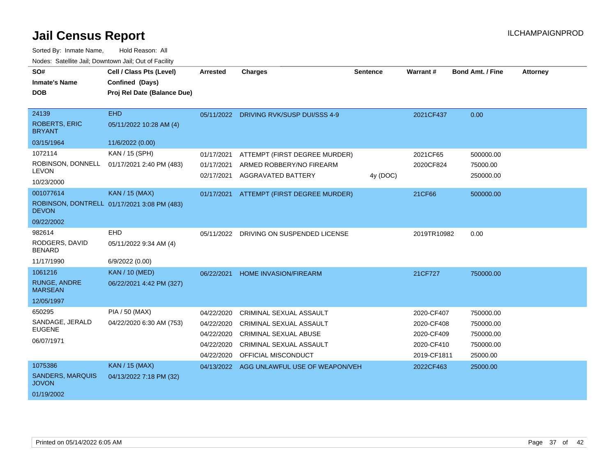| SO#<br><b>Inmate's Name</b><br><b>DOB</b>                                | Cell / Class Pts (Level)<br>Confined (Days)<br>Proj Rel Date (Balance Due) | Arrested                                                                         | <b>Charges</b>                                                                                                                                                         | <b>Sentence</b> | Warrant#                                                                         | <b>Bond Amt. / Fine</b>                                                  | <b>Attorney</b> |
|--------------------------------------------------------------------------|----------------------------------------------------------------------------|----------------------------------------------------------------------------------|------------------------------------------------------------------------------------------------------------------------------------------------------------------------|-----------------|----------------------------------------------------------------------------------|--------------------------------------------------------------------------|-----------------|
| 24139<br><b>ROBERTS, ERIC</b><br><b>BRYANT</b>                           | <b>EHD</b><br>05/11/2022 10:28 AM (4)                                      |                                                                                  | 05/11/2022 DRIVING RVK/SUSP DUI/SSS 4-9                                                                                                                                |                 | 2021CF437                                                                        | 0.00                                                                     |                 |
| 03/15/1964<br>1072114<br>ROBINSON, DONNELL<br><b>LEVON</b><br>10/23/2000 | 11/6/2022 (0.00)<br>KAN / 15 (SPH)<br>01/17/2021 2:40 PM (483)             | 01/17/2021<br>01/17/2021<br>02/17/2021                                           | ATTEMPT (FIRST DEGREE MURDER)<br>ARMED ROBBERY/NO FIREARM<br><b>AGGRAVATED BATTERY</b>                                                                                 | 4y (DOC)        | 2021CF65<br>2020CF824                                                            | 500000.00<br>75000.00<br>250000.00                                       |                 |
| 001077614<br><b>DEVON</b><br>09/22/2002                                  | KAN / 15 (MAX)<br>ROBINSON, DONTRELL 01/17/2021 3:08 PM (483)              |                                                                                  | 01/17/2021 ATTEMPT (FIRST DEGREE MURDER)                                                                                                                               |                 | 21CF66                                                                           | 500000.00                                                                |                 |
| 982614<br>RODGERS, DAVID<br><b>BENARD</b><br>11/17/1990                  | EHD<br>05/11/2022 9:34 AM (4)<br>6/9/2022 (0.00)                           |                                                                                  | 05/11/2022 DRIVING ON SUSPENDED LICENSE                                                                                                                                |                 | 2019TR10982                                                                      | 0.00                                                                     |                 |
| 1061216<br><b>RUNGE, ANDRE</b><br><b>MARSEAN</b><br>12/05/1997           | <b>KAN / 10 (MED)</b><br>06/22/2021 4:42 PM (327)                          | 06/22/2021                                                                       | HOME INVASION/FIREARM                                                                                                                                                  |                 | 21CF727                                                                          | 750000.00                                                                |                 |
| 650295<br>SANDAGE, JERALD<br><b>EUGENE</b><br>06/07/1971<br>1075386      | PIA / 50 (MAX)<br>04/22/2020 6:30 AM (753)<br><b>KAN / 15 (MAX)</b>        | 04/22/2020<br>04/22/2020<br>04/22/2020<br>04/22/2020<br>04/22/2020<br>04/13/2022 | CRIMINAL SEXUAL ASSAULT<br>CRIMINAL SEXUAL ASSAULT<br>CRIMINAL SEXUAL ABUSE<br><b>CRIMINAL SEXUAL ASSAULT</b><br>OFFICIAL MISCONDUCT<br>AGG UNLAWFUL USE OF WEAPON/VEH |                 | 2020-CF407<br>2020-CF408<br>2020-CF409<br>2020-CF410<br>2019-CF1811<br>2022CF463 | 750000.00<br>750000.00<br>750000.00<br>750000.00<br>25000.00<br>25000.00 |                 |
| <b>SANDERS, MARQUIS</b><br><b>JOVON</b><br>01/19/2002                    | 04/13/2022 7:18 PM (32)                                                    |                                                                                  |                                                                                                                                                                        |                 |                                                                                  |                                                                          |                 |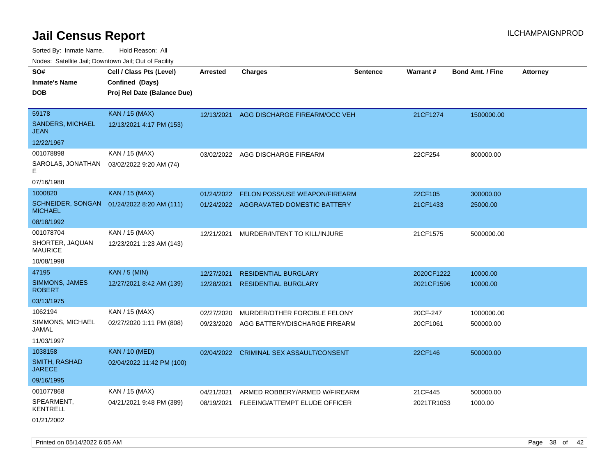Sorted By: Inmate Name, Hold Reason: All

| Nodes: Satellite Jail; Downtown Jail; Out of Facility |                             |                 |                                        |                 |            |                         |                 |  |  |
|-------------------------------------------------------|-----------------------------|-----------------|----------------------------------------|-----------------|------------|-------------------------|-----------------|--|--|
| SO#                                                   | Cell / Class Pts (Level)    | <b>Arrested</b> | <b>Charges</b>                         | <b>Sentence</b> | Warrant#   | <b>Bond Amt. / Fine</b> | <b>Attorney</b> |  |  |
| <b>Inmate's Name</b>                                  | Confined (Days)             |                 |                                        |                 |            |                         |                 |  |  |
| <b>DOB</b>                                            | Proj Rel Date (Balance Due) |                 |                                        |                 |            |                         |                 |  |  |
|                                                       |                             |                 |                                        |                 |            |                         |                 |  |  |
| 59178                                                 | <b>KAN / 15 (MAX)</b>       | 12/13/2021      | AGG DISCHARGE FIREARM/OCC VEH          |                 | 21CF1274   | 1500000.00              |                 |  |  |
| <b>SANDERS, MICHAEL</b><br><b>JEAN</b>                | 12/13/2021 4:17 PM (153)    |                 |                                        |                 |            |                         |                 |  |  |
| 12/22/1967                                            |                             |                 |                                        |                 |            |                         |                 |  |  |
| 001078898                                             | KAN / 15 (MAX)              |                 | 03/02/2022 AGG DISCHARGE FIREARM       |                 | 22CF254    | 800000.00               |                 |  |  |
| SAROLAS, JONATHAN<br>F                                | 03/02/2022 9:20 AM (74)     |                 |                                        |                 |            |                         |                 |  |  |
| 07/16/1988                                            |                             |                 |                                        |                 |            |                         |                 |  |  |
| 1000820                                               | <b>KAN / 15 (MAX)</b>       | 01/24/2022      | FELON POSS/USE WEAPON/FIREARM          |                 | 22CF105    | 300000.00               |                 |  |  |
| <b>SCHNEIDER, SONGAN</b><br><b>MICHAEL</b>            | 01/24/2022 8:20 AM (111)    |                 | 01/24/2022 AGGRAVATED DOMESTIC BATTERY |                 | 21CF1433   | 25000.00                |                 |  |  |
| 08/18/1992                                            |                             |                 |                                        |                 |            |                         |                 |  |  |
| 001078704                                             | KAN / 15 (MAX)              | 12/21/2021      | MURDER/INTENT TO KILL/INJURE           |                 | 21CF1575   | 5000000.00              |                 |  |  |
| SHORTER, JAQUAN<br><b>MAURICE</b>                     | 12/23/2021 1:23 AM (143)    |                 |                                        |                 |            |                         |                 |  |  |
| 10/08/1998                                            |                             |                 |                                        |                 |            |                         |                 |  |  |
| 47195                                                 | <b>KAN / 5 (MIN)</b>        | 12/27/2021      | <b>RESIDENTIAL BURGLARY</b>            |                 | 2020CF1222 | 10000.00                |                 |  |  |
| SIMMONS, JAMES<br><b>ROBERT</b>                       | 12/27/2021 8:42 AM (139)    | 12/28/2021      | <b>RESIDENTIAL BURGLARY</b>            |                 | 2021CF1596 | 10000.00                |                 |  |  |
| 03/13/1975                                            |                             |                 |                                        |                 |            |                         |                 |  |  |
| 1062194                                               | KAN / 15 (MAX)              | 02/27/2020      | MURDER/OTHER FORCIBLE FELONY           |                 | 20CF-247   | 1000000.00              |                 |  |  |
| SIMMONS, MICHAEL<br>JAMAL                             | 02/27/2020 1:11 PM (808)    | 09/23/2020      | AGG BATTERY/DISCHARGE FIREARM          |                 | 20CF1061   | 500000.00               |                 |  |  |
| 11/03/1997                                            |                             |                 |                                        |                 |            |                         |                 |  |  |
| 1038158                                               | <b>KAN / 10 (MED)</b>       | 02/04/2022      | CRIMINAL SEX ASSAULT/CONSENT           |                 | 22CF146    | 500000.00               |                 |  |  |
| <b>SMITH, RASHAD</b><br><b>JARECE</b>                 | 02/04/2022 11:42 PM (100)   |                 |                                        |                 |            |                         |                 |  |  |
| 09/16/1995                                            |                             |                 |                                        |                 |            |                         |                 |  |  |
| 001077868                                             | KAN / 15 (MAX)              | 04/21/2021      | ARMED ROBBERY/ARMED W/FIREARM          |                 | 21CF445    | 500000.00               |                 |  |  |
| SPEARMENT,<br><b>KENTRELL</b>                         | 04/21/2021 9:48 PM (389)    | 08/19/2021      | FLEEING/ATTEMPT ELUDE OFFICER          |                 | 2021TR1053 | 1000.00                 |                 |  |  |
| 01/21/2002                                            |                             |                 |                                        |                 |            |                         |                 |  |  |

Printed on 05/14/2022 6:05 AM Page 38 of 42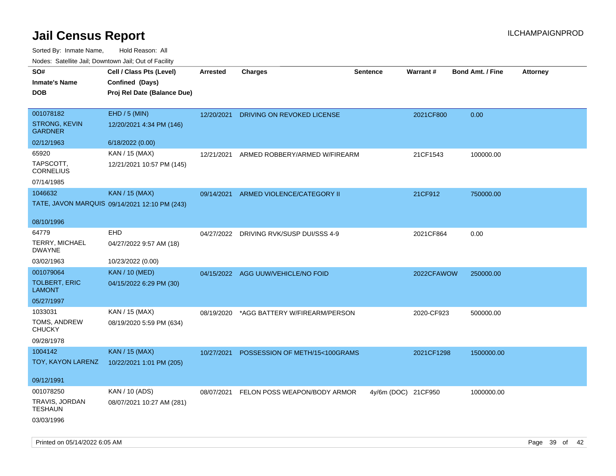| roaco. Catolino dall, Downtown dall, Out of Fability |                                               |                 |                                    |                     |                 |                         |                 |
|------------------------------------------------------|-----------------------------------------------|-----------------|------------------------------------|---------------------|-----------------|-------------------------|-----------------|
| SO#                                                  | Cell / Class Pts (Level)                      | <b>Arrested</b> | Charges                            | <b>Sentence</b>     | <b>Warrant#</b> | <b>Bond Amt. / Fine</b> | <b>Attorney</b> |
| <b>Inmate's Name</b>                                 | Confined (Days)                               |                 |                                    |                     |                 |                         |                 |
| <b>DOB</b>                                           | Proj Rel Date (Balance Due)                   |                 |                                    |                     |                 |                         |                 |
|                                                      |                                               |                 |                                    |                     |                 |                         |                 |
| 001078182                                            | EHD / 5 (MIN)                                 | 12/20/2021      | DRIVING ON REVOKED LICENSE         |                     | 2021CF800       | 0.00                    |                 |
| <b>STRONG, KEVIN</b><br><b>GARDNER</b>               | 12/20/2021 4:34 PM (146)                      |                 |                                    |                     |                 |                         |                 |
| 02/12/1963                                           | 6/18/2022 (0.00)                              |                 |                                    |                     |                 |                         |                 |
| 65920                                                | KAN / 15 (MAX)                                | 12/21/2021      | ARMED ROBBERY/ARMED W/FIREARM      |                     | 21CF1543        | 100000.00               |                 |
| TAPSCOTT,<br><b>CORNELIUS</b>                        | 12/21/2021 10:57 PM (145)                     |                 |                                    |                     |                 |                         |                 |
| 07/14/1985                                           |                                               |                 |                                    |                     |                 |                         |                 |
| 1046632                                              | <b>KAN / 15 (MAX)</b>                         | 09/14/2021      | ARMED VIOLENCE/CATEGORY II         |                     | 21CF912         | 750000.00               |                 |
|                                                      | TATE, JAVON MARQUIS 09/14/2021 12:10 PM (243) |                 |                                    |                     |                 |                         |                 |
|                                                      |                                               |                 |                                    |                     |                 |                         |                 |
| 08/10/1996                                           |                                               |                 |                                    |                     |                 |                         |                 |
| 64779                                                | EHD                                           | 04/27/2022      | DRIVING RVK/SUSP DUI/SSS 4-9       |                     | 2021CF864       | 0.00                    |                 |
| <b>TERRY, MICHAEL</b><br><b>DWAYNE</b>               | 04/27/2022 9:57 AM (18)                       |                 |                                    |                     |                 |                         |                 |
| 03/02/1963                                           | 10/23/2022 (0.00)                             |                 |                                    |                     |                 |                         |                 |
| 001079064                                            | <b>KAN / 10 (MED)</b>                         |                 | 04/15/2022 AGG UUW/VEHICLE/NO FOID |                     | 2022CFAWOW      | 250000.00               |                 |
| <b>TOLBERT, ERIC</b><br>LAMONT                       | 04/15/2022 6:29 PM (30)                       |                 |                                    |                     |                 |                         |                 |
| 05/27/1997                                           |                                               |                 |                                    |                     |                 |                         |                 |
| 1033031                                              | KAN / 15 (MAX)                                | 08/19/2020      | *AGG BATTERY W/FIREARM/PERSON      |                     | 2020-CF923      | 500000.00               |                 |
| TOMS, ANDREW<br><b>CHUCKY</b>                        | 08/19/2020 5:59 PM (634)                      |                 |                                    |                     |                 |                         |                 |
| 09/28/1978                                           |                                               |                 |                                    |                     |                 |                         |                 |
| 1004142                                              | <b>KAN / 15 (MAX)</b>                         | 10/27/2021      | POSSESSION OF METH/15<100GRAMS     |                     | 2021CF1298      | 1500000.00              |                 |
| TOY, KAYON LARENZ                                    | 10/22/2021 1:01 PM (205)                      |                 |                                    |                     |                 |                         |                 |
|                                                      |                                               |                 |                                    |                     |                 |                         |                 |
| 09/12/1991                                           |                                               |                 |                                    |                     |                 |                         |                 |
| 001078250                                            | KAN / 10 (ADS)                                | 08/07/2021      | FELON POSS WEAPON/BODY ARMOR       | 4y/6m (DOC) 21CF950 |                 | 1000000.00              |                 |
| TRAVIS, JORDAN<br><b>TESHAUN</b>                     | 08/07/2021 10:27 AM (281)                     |                 |                                    |                     |                 |                         |                 |
| 03/03/1996                                           |                                               |                 |                                    |                     |                 |                         |                 |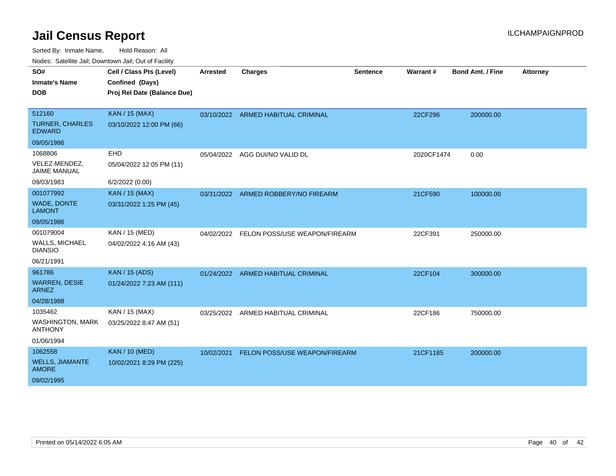Sorted By: Inmate Name, Hold Reason: All

|  |  |  | Nodes: Satellite Jail; Downtown Jail; Out of Facility |
|--|--|--|-------------------------------------------------------|
|--|--|--|-------------------------------------------------------|

| SO#                                       | Cell / Class Pts (Level)    | <b>Arrested</b> | <b>Charges</b>                     | <b>Sentence</b> | Warrant#   | <b>Bond Amt. / Fine</b> | <b>Attorney</b> |
|-------------------------------------------|-----------------------------|-----------------|------------------------------------|-----------------|------------|-------------------------|-----------------|
| <b>Inmate's Name</b>                      | Confined (Days)             |                 |                                    |                 |            |                         |                 |
| <b>DOB</b>                                | Proj Rel Date (Balance Due) |                 |                                    |                 |            |                         |                 |
|                                           |                             |                 |                                    |                 |            |                         |                 |
| 512160                                    | KAN / 15 (MAX)              |                 | 03/10/2022 ARMED HABITUAL CRIMINAL |                 | 22CF296    | 200000.00               |                 |
| <b>TURNER, CHARLES</b><br><b>EDWARD</b>   | 03/10/2022 12:00 PM (66)    |                 |                                    |                 |            |                         |                 |
| 09/05/1986                                |                             |                 |                                    |                 |            |                         |                 |
| 1068806                                   | EHD                         | 05/04/2022      | AGG DUI/NO VALID DL                |                 | 2020CF1474 | 0.00                    |                 |
| VELEZ-MENDEZ,<br><b>JAIME MANUAL</b>      | 05/04/2022 12:05 PM (11)    |                 |                                    |                 |            |                         |                 |
| 09/03/1983                                | 6/2/2022 (0.00)             |                 |                                    |                 |            |                         |                 |
| 001077992                                 | <b>KAN / 15 (MAX)</b>       | 03/31/2022      | ARMED ROBBERY/NO FIREARM           |                 | 21CF590    | 100000.00               |                 |
| WADE, DONTE<br><b>LAMONT</b>              | 03/31/2022 1:25 PM (45)     |                 |                                    |                 |            |                         |                 |
| 09/05/1986                                |                             |                 |                                    |                 |            |                         |                 |
| 001079004                                 | KAN / 15 (MED)              | 04/02/2022      | FELON POSS/USE WEAPON/FIREARM      |                 | 22CF391    | 250000.00               |                 |
| <b>WALLS, MICHAEL</b><br><b>DIANSIO</b>   | 04/02/2022 4:16 AM (43)     |                 |                                    |                 |            |                         |                 |
| 06/21/1991                                |                             |                 |                                    |                 |            |                         |                 |
| 961786                                    | <b>KAN / 15 (ADS)</b>       |                 | 01/24/2022 ARMED HABITUAL CRIMINAL |                 | 22CF104    | 300000.00               |                 |
| <b>WARREN, DESIE</b><br><b>ARNEZ</b>      | 01/24/2022 7:23 AM (111)    |                 |                                    |                 |            |                         |                 |
| 04/28/1988                                |                             |                 |                                    |                 |            |                         |                 |
| 1035462                                   | KAN / 15 (MAX)              | 03/25/2022      | ARMED HABITUAL CRIMINAL            |                 | 22CF186    | 750000.00               |                 |
| <b>WASHINGTON, MARK</b><br><b>ANTHONY</b> | 03/25/2022 8:47 AM (51)     |                 |                                    |                 |            |                         |                 |
| 01/06/1994                                |                             |                 |                                    |                 |            |                         |                 |
| 1062558                                   | <b>KAN / 10 (MED)</b>       | 10/02/2021      | FELON POSS/USE WEAPON/FIREARM      |                 | 21CF1185   | 200000.00               |                 |
| <b>WELLS, JIAMANTE</b><br><b>AMORE</b>    | 10/02/2021 8:29 PM (225)    |                 |                                    |                 |            |                         |                 |
| 09/02/1995                                |                             |                 |                                    |                 |            |                         |                 |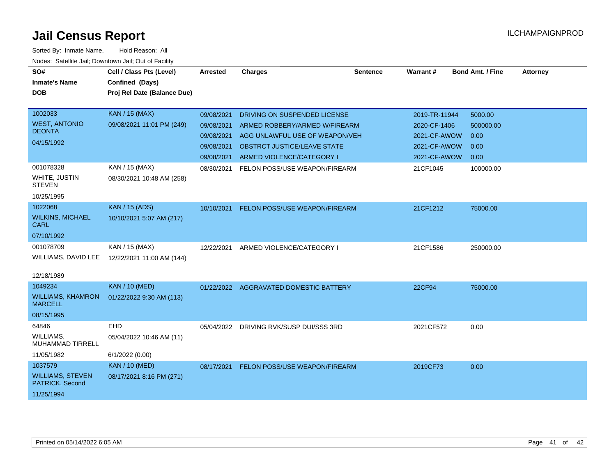| SO#<br><b>Inmate's Name</b><br><b>DOB</b>                           | Cell / Class Pts (Level)<br>Confined (Days)<br>Proj Rel Date (Balance Due) | <b>Arrested</b>                                                    | <b>Charges</b>                                                                                                                                              | <b>Sentence</b> | Warrant#                                                                      | <b>Bond Amt. / Fine</b>                      | <b>Attorney</b> |
|---------------------------------------------------------------------|----------------------------------------------------------------------------|--------------------------------------------------------------------|-------------------------------------------------------------------------------------------------------------------------------------------------------------|-----------------|-------------------------------------------------------------------------------|----------------------------------------------|-----------------|
| 1002033<br><b>WEST, ANTONIO</b><br><b>DEONTA</b><br>04/15/1992      | <b>KAN / 15 (MAX)</b><br>09/08/2021 11:01 PM (249)                         | 09/08/2021<br>09/08/2021<br>09/08/2021<br>09/08/2021<br>09/08/2021 | DRIVING ON SUSPENDED LICENSE<br>ARMED ROBBERY/ARMED W/FIREARM<br>AGG UNLAWFUL USE OF WEAPON/VEH<br>OBSTRCT JUSTICE/LEAVE STATE<br>ARMED VIOLENCE/CATEGORY I |                 | 2019-TR-11944<br>2020-CF-1406<br>2021-CF-AWOW<br>2021-CF-AWOW<br>2021-CF-AWOW | 5000.00<br>500000.00<br>0.00<br>0.00<br>0.00 |                 |
| 001078328<br>WHITE, JUSTIN<br><b>STEVEN</b><br>10/25/1995           | KAN / 15 (MAX)<br>08/30/2021 10:48 AM (258)                                | 08/30/2021                                                         | FELON POSS/USE WEAPON/FIREARM                                                                                                                               |                 | 21CF1045                                                                      | 100000.00                                    |                 |
| 1022068<br><b>WILKINS, MICHAEL</b><br><b>CARL</b><br>07/10/1992     | <b>KAN / 15 (ADS)</b><br>10/10/2021 5:07 AM (217)                          | 10/10/2021                                                         | FELON POSS/USE WEAPON/FIREARM                                                                                                                               |                 | 21CF1212                                                                      | 75000.00                                     |                 |
| 001078709<br>WILLIAMS, DAVID LEE<br>12/18/1989                      | KAN / 15 (MAX)<br>12/22/2021 11:00 AM (144)                                | 12/22/2021                                                         | ARMED VIOLENCE/CATEGORY I                                                                                                                                   |                 | 21CF1586                                                                      | 250000.00                                    |                 |
| 1049234<br><b>WILLIAMS, KHAMRON</b><br><b>MARCELL</b><br>08/15/1995 | <b>KAN / 10 (MED)</b><br>01/22/2022 9:30 AM (113)                          |                                                                    | 01/22/2022 AGGRAVATED DOMESTIC BATTERY                                                                                                                      |                 | 22CF94                                                                        | 75000.00                                     |                 |
| 64846<br><b>WILLIAMS,</b><br>MUHAMMAD TIRRELL<br>11/05/1982         | <b>EHD</b><br>05/04/2022 10:46 AM (11)<br>6/1/2022 (0.00)                  |                                                                    | 05/04/2022 DRIVING RVK/SUSP DUI/SSS 3RD                                                                                                                     |                 | 2021CF572                                                                     | 0.00                                         |                 |
| 1037579<br><b>WILLIAMS, STEVEN</b><br>PATRICK, Second<br>11/25/1994 | <b>KAN / 10 (MED)</b><br>08/17/2021 8:16 PM (271)                          | 08/17/2021                                                         | FELON POSS/USE WEAPON/FIREARM                                                                                                                               |                 | 2019CF73                                                                      | 0.00                                         |                 |